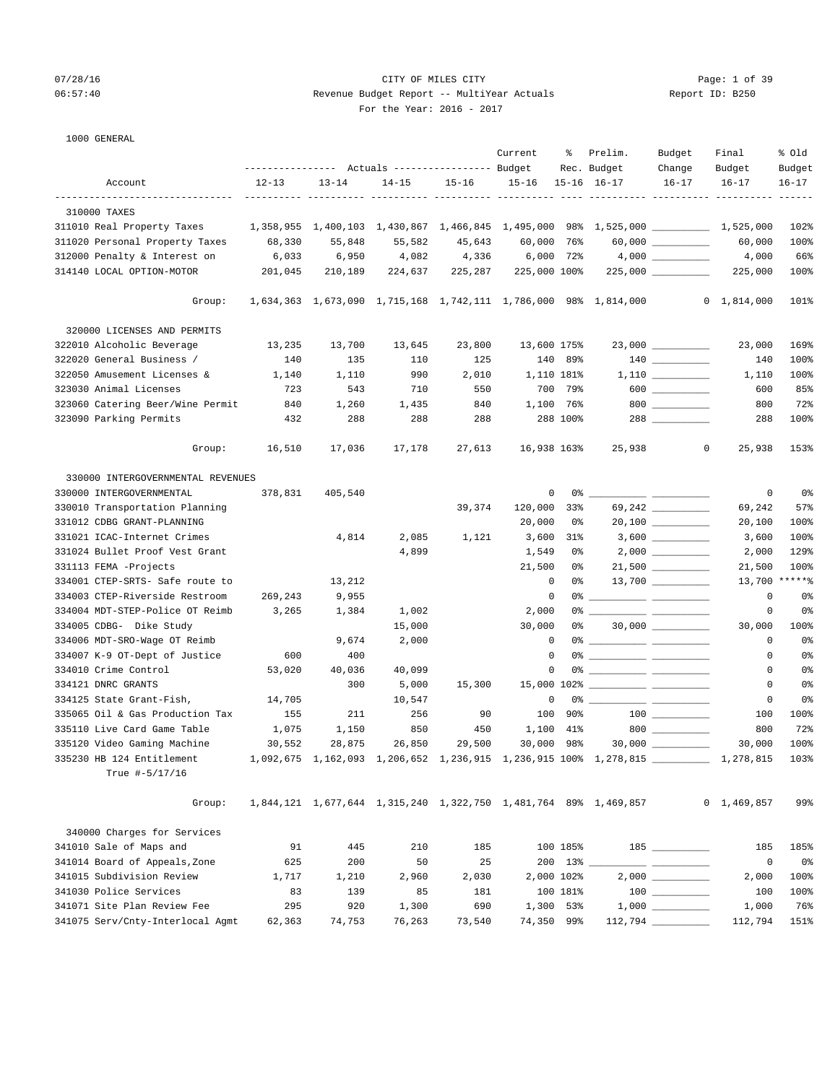# 07/28/16 Page: 1 of 39 06:57:40 Revenue Budget Report -- MultiYear Actuals Report ID: B250 For the Year: 2016 - 2017

1000 GENERAL

|                                             | ---------------- |           | Actuals ----------------- Budget |           | Current             | ៖            | Prelim.<br>Rec. Budget                                           | Budget<br>Change                       | Final<br>Budget                                                           | % old<br>Budget |
|---------------------------------------------|------------------|-----------|----------------------------------|-----------|---------------------|--------------|------------------------------------------------------------------|----------------------------------------|---------------------------------------------------------------------------|-----------------|
| Account                                     | $12 - 13$        | $13 - 14$ | $14 - 15$                        | $15 - 16$ | $15 - 16$           |              | 15-16 16-17                                                      | $16 - 17$                              | $16 - 17$                                                                 | $16 - 17$       |
|                                             |                  |           |                                  |           |                     |              | ----------- ----------                                           |                                        |                                                                           |                 |
| 310000 TAXES                                |                  |           |                                  |           |                     |              |                                                                  |                                        |                                                                           |                 |
| 311010 Real Property Taxes                  |                  |           |                                  |           |                     |              |                                                                  |                                        | 1,358,955 1,400,103 1,430,867 1,466,845 1,495,000 98% 1,525,000 1,525,000 | 102%            |
| 311020 Personal Property Taxes              | 68,330           | 55,848    | 55,582                           | 45,643    | 60,000 76%          |              |                                                                  |                                        | 60,000                                                                    | 100%            |
| 312000 Penalty & Interest on                | 6,033            | 6,950     | 4,082                            | 4,336     | 6,000 72%           |              |                                                                  | $4,000$ __________                     | 4,000                                                                     | 66%             |
| 314140 LOCAL OPTION-MOTOR                   | 201,045          | 210,189   | 224,637                          | 225,287   | 225,000 100%        |              |                                                                  | $225,000$ _________                    | 225,000                                                                   | 100%            |
| Group:                                      |                  |           |                                  |           |                     |              | 1,634,363 1,673,090 1,715,168 1,742,111 1,786,000 98% 1,814,000  |                                        | $0 \quad 1,814,000$                                                       | 101%            |
| 320000 LICENSES AND PERMITS                 |                  |           |                                  |           |                     |              |                                                                  |                                        |                                                                           |                 |
| 322010 Alcoholic Beverage                   | 13,235           | 13,700    | 13,645                           | 23,800    | 13,600 175%         |              |                                                                  | $23,000$ _________                     | 23,000                                                                    | 169%            |
| 322020 General Business /                   | 140              | 135       | 110                              | 125       |                     | 140 89%      |                                                                  |                                        | 140                                                                       | 100%            |
| 322050 Amusement Licenses &                 | 1,140            | 1,110     | 990                              | 2,010     | 1,110 181%          |              |                                                                  |                                        | 1,110                                                                     | 100%            |
| 323030 Animal Licenses                      | 723              | 543       | 710                              | 550       | 700                 | 79%          |                                                                  | 600                                    | 600                                                                       | 85%             |
| 323060 Catering Beer/Wine Permit            | 840              | 1,260     | 1,435                            | 840       | 1,100 76%           |              |                                                                  | $800$                                  | 800                                                                       | 72%             |
| 323090 Parking Permits                      | 432              | 288       | 288                              | 288       |                     | 288 100%     |                                                                  |                                        | 288                                                                       | 100%            |
| Group:                                      | 16,510           | 17,036    | 17,178                           | 27,613    | 16,938 163%         |              | 25,938                                                           | 0                                      | 25,938                                                                    | 153%            |
|                                             |                  |           |                                  |           |                     |              |                                                                  |                                        |                                                                           |                 |
| 330000 INTERGOVERNMENTAL REVENUES           |                  |           |                                  |           |                     |              |                                                                  |                                        |                                                                           |                 |
| 330000 INTERGOVERNMENTAL                    | 378,831          | 405,540   |                                  |           | 0                   |              |                                                                  |                                        | 0                                                                         | 0 <sup>°</sup>  |
| 330010 Transportation Planning              |                  |           |                                  | 39,374    | 120,000             | 33%          |                                                                  | 69,242 _________                       | 69,242                                                                    | 57%             |
| 331012 CDBG GRANT-PLANNING                  |                  |           |                                  |           | 20,000              | 0%           |                                                                  |                                        | 20,100                                                                    | 100%            |
| 331021 ICAC-Internet Crimes                 |                  | 4,814     | 2,085                            | 1,121     | 3,600               | 31%          |                                                                  |                                        | 3,600                                                                     | 100%            |
| 331024 Bullet Proof Vest Grant              |                  |           | 4,899                            |           | 1,549               | 0 %          |                                                                  | 2,000 _________                        | 2,000                                                                     | 129%            |
| 331113 FEMA -Projects                       |                  |           |                                  |           | 21,500              | 0 %          |                                                                  | $21,500$ _________                     | 21,500                                                                    | 100%            |
| 334001 CTEP-SRTS- Safe route to             |                  | 13,212    |                                  |           | 0                   | 0%           |                                                                  |                                        | 13,700                                                                    | $*****$         |
| 334003 CTEP-Riverside Restroom              | 269,243          | 9,955     |                                  |           | 0                   |              |                                                                  |                                        | 0                                                                         | 0 <sup>o</sup>  |
| 334004 MDT-STEP-Police OT Reimb             | 3,265            | 1,384     | 1,002                            |           | 2,000               |              |                                                                  |                                        | 0                                                                         | 0 <sup>o</sup>  |
| 334005 CDBG- Dike Study                     |                  |           | 15,000                           |           | 30,000              | 0 %          |                                                                  | $30,000$ _________                     | 30,000                                                                    | 100%            |
| 334006 MDT-SRO-Wage OT Reimb                |                  | 9,674     | 2,000                            |           | 0                   |              |                                                                  |                                        | 0                                                                         | 0%              |
| 334007 K-9 OT-Dept of Justice               | 600              | 400       |                                  |           | 0                   |              |                                                                  |                                        | $\circ$                                                                   | 0 <sup>8</sup>  |
| 334010 Crime Control                        | 53,020           | 40,036    | 40,099                           |           | 0                   |              |                                                                  |                                        | 0                                                                         | 0 <sup>8</sup>  |
| 334121 DNRC GRANTS                          |                  | 300       | 5,000                            | 15,300    |                     |              |                                                                  |                                        | $\mathbf 0$                                                               | 0 <sup>8</sup>  |
| 334125 State Grant-Fish,                    | 14,705           |           | 10,547                           |           | $\mathbf 0$         |              |                                                                  |                                        | 0                                                                         | 0%              |
| 335065 Oil & Gas Production Tax             | 155              | 211       | 256                              | 90        | 100                 | 90%          |                                                                  |                                        | 100                                                                       | 100%            |
| 335110 Live Card Game Table                 | 1,075            | 1,150     | 850                              | 450       | 1,100<br>30,000 98% | 41%          |                                                                  | $800$                                  | 800                                                                       | 72%             |
| 335120 Video Gaming Machine                 | 30,552           | 28,875    | 26,850                           | 29,500    |                     |              | 1,092,675 1,162,093 1,206,652 1,236,915 1,236,915 100% 1,278,815 |                                        | 30,000<br>1, 278, 815                                                     | 100%            |
| 335230 HB 124 Entitlement<br>True #-5/17/16 |                  |           |                                  |           |                     |              |                                                                  |                                        |                                                                           | 103%            |
| Group:                                      |                  |           |                                  |           |                     |              | 1,844,121 1,677,644 1,315,240 1,322,750 1,481,764 89% 1,469,857  |                                        | $0 \quad 1,469,857$                                                       | 99%             |
| 340000 Charges for Services                 |                  |           |                                  |           |                     |              |                                                                  |                                        |                                                                           |                 |
| 341010 Sale of Maps and                     | 91               | 445       | 210                              | 185       |                     | 100 185%     |                                                                  |                                        | 185                                                                       | 185%            |
| 341014 Board of Appeals, Zone               | 625              | 200       | 50                               | 25        |                     | $200$ 13% __ |                                                                  |                                        | $\circ$                                                                   | 0 <sup>o</sup>  |
| 341015 Subdivision Review                   | 1,717            | 1,210     | 2,960                            | 2,030     | 2,000 102%          |              |                                                                  |                                        | 2,000                                                                     | 100%            |
| 341030 Police Services                      | 83               | 139       | 85                               | 181       |                     | 100 181%     |                                                                  | $\begin{tabular}{c} 100 \end{tabular}$ | 100                                                                       | 100%            |
| 341071 Site Plan Review Fee                 | 295              | 920       | 1,300                            | 690       | 1,300 53%           |              |                                                                  | $1,000$                                | 1,000                                                                     | 76%             |
| 341075 Serv/Cnty-Interlocal Agmt            | 62,363           | 74,753    | 76,263                           | 73,540    | 74,350 99%          |              |                                                                  |                                        | 112,794                                                                   | 151%            |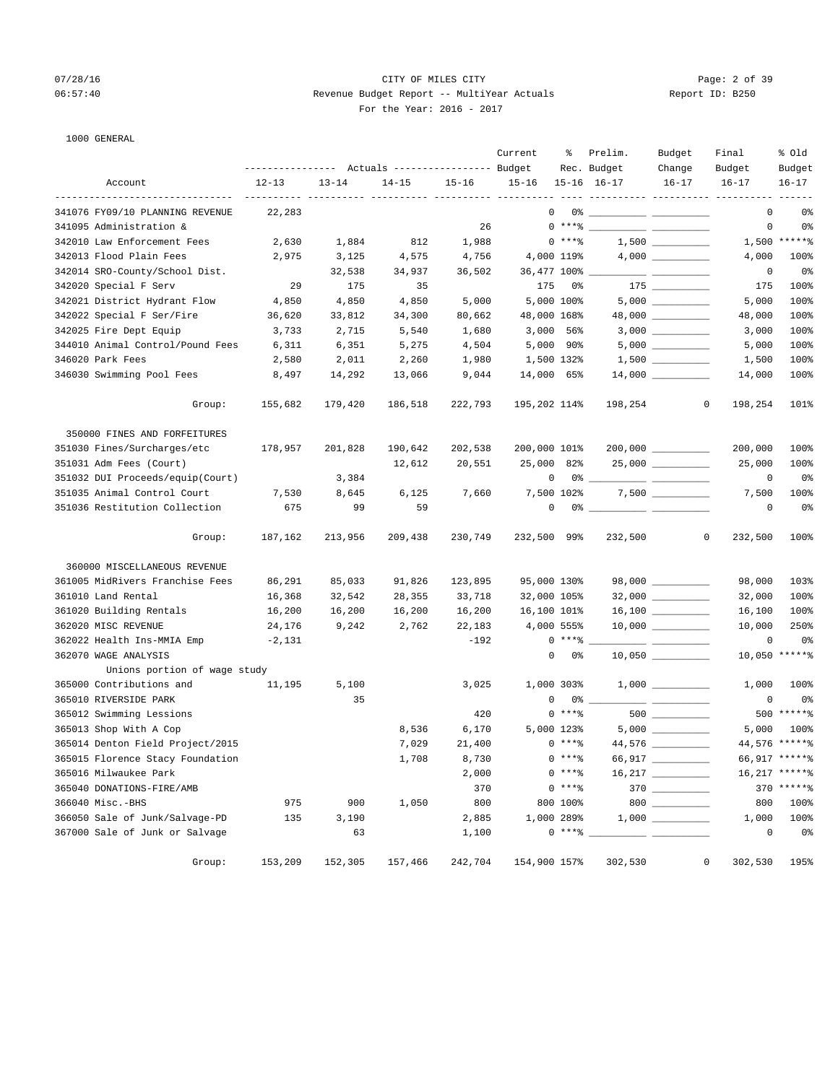# 07/28/16 Page: 2 of 39 06:57:40 Revenue Budget Report -- MultiYear Actuals Report ID: B250 For the Year: 2016 - 2017

# 1000 GENERAL

|                                          |                                                 |           |           |           | Current      | ႜ                 | Prelim.                                                                                                                                                                                                                                                                                                                                                            | Budget                 | Final                                        | % old           |
|------------------------------------------|-------------------------------------------------|-----------|-----------|-----------|--------------|-------------------|--------------------------------------------------------------------------------------------------------------------------------------------------------------------------------------------------------------------------------------------------------------------------------------------------------------------------------------------------------------------|------------------------|----------------------------------------------|-----------------|
|                                          | --------------- Actuals ---------------- Budget |           |           |           |              |                   | Rec. Budget                                                                                                                                                                                                                                                                                                                                                        | Change                 | Budget                                       | Budget          |
| Account<br>----------------------------- | $12 - 13$                                       | $13 - 14$ | $14 - 15$ | $15 - 16$ | $15 - 16$    |                   | 15-16 16-17                                                                                                                                                                                                                                                                                                                                                        | $16 - 17$              | $16 - 17$<br>---------- ---------- --------- | $16 - 17$       |
| 341076 FY09/10 PLANNING REVENUE          | 22,283                                          |           |           |           |              |                   | $\begin{picture}(150,10) \put(0,0){\vector(1,0){100}} \put(15,0){\vector(1,0){100}} \put(15,0){\vector(1,0){100}} \put(15,0){\vector(1,0){100}} \put(15,0){\vector(1,0){100}} \put(15,0){\vector(1,0){100}} \put(15,0){\vector(1,0){100}} \put(15,0){\vector(1,0){100}} \put(15,0){\vector(1,0){100}} \put(15,0){\vector(1,0){100}} \put(15,0){\vector(1,0){100}}$ |                        | 0                                            | 0%              |
| 341095 Administration &                  |                                                 |           |           | 26        |              |                   | $0***$ $\frac{20}{10}$                                                                                                                                                                                                                                                                                                                                             |                        | 0                                            | 0%              |
| 342010 Law Enforcement Fees              | 2,630                                           | 1,884     | 812       | 1,988     |              | $0***8$           |                                                                                                                                                                                                                                                                                                                                                                    |                        |                                              | $1,500$ *****%  |
| 342013 Flood Plain Fees                  | 2,975                                           | 3,125     | 4,575     | 4,756     |              | 4,000 119%        |                                                                                                                                                                                                                                                                                                                                                                    | $4,000$ _________      | 4,000                                        | 100%            |
| 342014 SRO-County/School Dist.           |                                                 | 32,538    | 34,937    | 36,502    |              | 36,477 100% __    |                                                                                                                                                                                                                                                                                                                                                                    |                        | 0                                            | 0%              |
| 342020 Special F Serv                    | 29                                              | 175       | 35        |           | 175          | 0%                |                                                                                                                                                                                                                                                                                                                                                                    |                        | 175                                          | 100%            |
| 342021 District Hydrant Flow             | 4,850                                           | 4,850     | 4,850     | 5,000     |              | 5,000 100%        |                                                                                                                                                                                                                                                                                                                                                                    |                        | 5,000                                        | 100%            |
| 342022 Special F Ser/Fire                | 36,620                                          | 33,812    | 34,300    | 80,662    |              | 48,000 168%       |                                                                                                                                                                                                                                                                                                                                                                    | 48,000 _________       | 48,000                                       | 100%            |
| 342025 Fire Dept Equip                   | 3,733                                           | 2,715     | 5,540     | 1,680     | 3,000        | 56%               |                                                                                                                                                                                                                                                                                                                                                                    |                        | 3,000                                        | 100%            |
| 344010 Animal Control/Pound Fees         | 6,311                                           | 6,351     | 5,275     | 4,504     |              | $5,000$ 90%       |                                                                                                                                                                                                                                                                                                                                                                    | $5,000$ __________     | 5,000                                        | 100%            |
| 346020 Park Fees                         | 2,580                                           | 2,011     | 2,260     | 1,980     |              | 1,500 132%        |                                                                                                                                                                                                                                                                                                                                                                    |                        | 1,500                                        | 100%            |
| 346030 Swimming Pool Fees                | 8,497                                           | 14,292    | 13,066    | 9,044     |              | 14,000 65%        |                                                                                                                                                                                                                                                                                                                                                                    |                        | 14,000                                       | 100%            |
| Group:                                   | 155,682                                         | 179,420   | 186,518   | 222,793   | 195,202 114% |                   |                                                                                                                                                                                                                                                                                                                                                                    | 198,254<br>$\mathbf 0$ | 198,254                                      | 101%            |
| 350000 FINES AND FORFEITURES             |                                                 |           |           |           |              |                   |                                                                                                                                                                                                                                                                                                                                                                    |                        |                                              |                 |
| 351030 Fines/Surcharges/etc              | 178,957                                         | 201,828   | 190,642   | 202,538   |              | 200,000 101%      |                                                                                                                                                                                                                                                                                                                                                                    | $200,000$ ___________  | 200,000                                      | 100%            |
| 351031 Adm Fees (Court)                  |                                                 |           | 12,612    | 20,551    |              | 25,000 82%        |                                                                                                                                                                                                                                                                                                                                                                    | $25,000$ _________     | 25,000                                       | 100%            |
| 351032 DUI Proceeds/equip(Court)         |                                                 | 3,384     |           |           |              | 0                 |                                                                                                                                                                                                                                                                                                                                                                    |                        | 0                                            | 0%              |
| 351035 Animal Control Court              | 7,530                                           | 8,645     | 6,125     | 7,660     |              | 7,500 102%        |                                                                                                                                                                                                                                                                                                                                                                    |                        | 7,500                                        | 100%            |
| 351036 Restitution Collection            | 675                                             | 99        | 59        |           |              | 0                 |                                                                                                                                                                                                                                                                                                                                                                    |                        | $\circ$                                      | 0%              |
| Group:                                   | 187,162                                         | 213,956   | 209,438   | 230,749   |              | 232,500 99%       | 232,500                                                                                                                                                                                                                                                                                                                                                            | $\circ$                | 232,500                                      | 100%            |
| 360000 MISCELLANEOUS REVENUE             |                                                 |           |           |           |              |                   |                                                                                                                                                                                                                                                                                                                                                                    |                        |                                              |                 |
| 361005 MidRivers Franchise Fees          | 86,291                                          | 85,033    | 91,826    | 123,895   |              | 95,000 130%       |                                                                                                                                                                                                                                                                                                                                                                    |                        | 98,000                                       | 103%            |
| 361010 Land Rental                       | 16,368                                          | 32,542    | 28,355    | 33,718    |              | 32,000 105%       |                                                                                                                                                                                                                                                                                                                                                                    |                        | 32,000                                       | 100%            |
| 361020 Building Rentals                  | 16,200                                          | 16,200    | 16,200    | 16,200    |              | 16,100 101%       |                                                                                                                                                                                                                                                                                                                                                                    |                        | 16,100                                       | 100%            |
| 362020 MISC REVENUE                      | 24,176                                          | 9,242     | 2,762     | 22,183    |              | 4,000 555%        |                                                                                                                                                                                                                                                                                                                                                                    | $10,000$ _________     | 10,000                                       | 250%            |
| 362022 Health Ins-MMIA Emp               | $-2,131$                                        |           |           | $-192$    |              | $0***$ $*$        |                                                                                                                                                                                                                                                                                                                                                                    |                        | 0                                            | 0%              |
| 362070 WAGE ANALYSIS                     |                                                 |           |           |           |              | $\mathbf 0$<br>0% |                                                                                                                                                                                                                                                                                                                                                                    | $10,050$ ________      |                                              | 10,050 ******   |
| Unions portion of wage study             |                                                 |           |           |           |              |                   |                                                                                                                                                                                                                                                                                                                                                                    |                        |                                              |                 |
| 365000 Contributions and                 | 11,195                                          | 5,100     |           | 3,025     |              | 1,000 303%        |                                                                                                                                                                                                                                                                                                                                                                    |                        | 1,000                                        | 100%            |
| 365010 RIVERSIDE PARK                    |                                                 | 35        |           |           |              | 0                 | $0\%$ __                                                                                                                                                                                                                                                                                                                                                           |                        | 0                                            | 0%              |
| 365012 Swimming Lessions                 |                                                 |           |           | 420       |              | $0***8$           |                                                                                                                                                                                                                                                                                                                                                                    |                        |                                              | 500 ******      |
| 365013 Shop With A Cop                   |                                                 |           | 8,536     | 6,170     |              | 5,000 123%        |                                                                                                                                                                                                                                                                                                                                                                    |                        | 5,000                                        | 100%            |
| 365014 Denton Field Project/2015         |                                                 |           | 7,029     | 21,400    |              | $0$ *** %         |                                                                                                                                                                                                                                                                                                                                                                    | 44,576                 |                                              | 44,576 ******   |
| 365015 Florence Stacy Foundation         |                                                 |           | 1,708     | 8,730     |              | $0***8$           |                                                                                                                                                                                                                                                                                                                                                                    | 66,917 __________      |                                              | 66,917 ******   |
| 365016 Milwaukee Park                    |                                                 |           |           | 2,000     |              | $0***8$           |                                                                                                                                                                                                                                                                                                                                                                    |                        |                                              | $16,217$ ****** |
| 365040 DONATIONS-FIRE/AMB                |                                                 |           |           | 370       |              | $0***8$           |                                                                                                                                                                                                                                                                                                                                                                    |                        |                                              | 370 ***** %     |
| 366040 Misc.-BHS                         | 975                                             | 900       | 1,050     | 800       |              | 800 100%          |                                                                                                                                                                                                                                                                                                                                                                    | 800                    | 800                                          | 100%            |
| 366050 Sale of Junk/Salvage-PD           | 135                                             | 3,190     |           | 2,885     |              | 1,000 289%        |                                                                                                                                                                                                                                                                                                                                                                    |                        | 1,000                                        | 100%            |
| 367000 Sale of Junk or Salvage           |                                                 | 63        |           | 1,100     |              | $0***8$           |                                                                                                                                                                                                                                                                                                                                                                    |                        | 0                                            | 0%              |
| Group:                                   | 153,209                                         | 152,305   | 157,466   | 242,704   | 154,900 157% |                   | 302,530                                                                                                                                                                                                                                                                                                                                                            | 0                      | 302,530                                      | 195%            |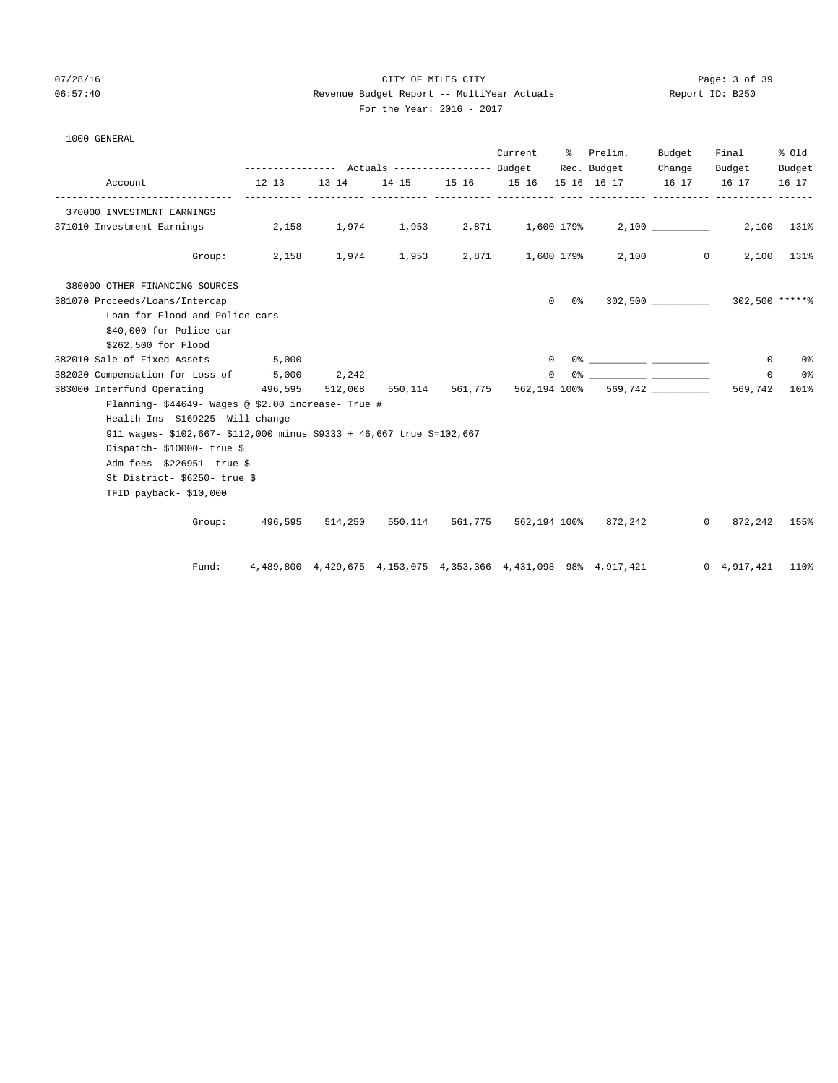# 07/28/16 CITY OF MILES CITY Page: 3 of 39 06:57:40 Revenue Budget Report -- MultiYear Actuals Report ID: B250 For the Year: 2016 - 2017

| 1000 GENERAL                                                            |                                                                         |                                                                         |         |         |              |                       |                          |         |                |                |                |
|-------------------------------------------------------------------------|-------------------------------------------------------------------------|-------------------------------------------------------------------------|---------|---------|--------------|-----------------------|--------------------------|---------|----------------|----------------|----------------|
|                                                                         |                                                                         |                                                                         |         |         | Current      |                       | % Prelim.                | Budget  |                | Final          | % Old          |
|                                                                         |                                                                         |                                                                         |         |         |              |                       | Rec. Budget              | Change  |                | Budget         | Budget         |
| Account                                                                 |                                                                         | $12-13$ $13-14$ $14-15$ $15-16$ $15-16$ $15-16$ $16-17$ $16-17$ $16-17$ |         |         |              |                       |                          |         |                |                | $16 - 17$      |
| 370000 INVESTMENT EARNINGS                                              |                                                                         |                                                                         |         |         |              |                       |                          |         |                |                |                |
| 371010 Investment Earnings                                              | $2,158$ $1,974$ $1,953$ $2,871$ $1,600$ $179\%$ $2,100$ $\qquad \qquad$ |                                                                         |         |         |              |                       |                          |         |                |                | 2,100 131%     |
|                                                                         | Group: 2,158 1,974 1,953                                                |                                                                         |         |         |              |                       | 2,871 1,600 179% 2,100 0 |         |                |                | 2,100 131%     |
| 380000 OTHER FINANCING SOURCES                                          |                                                                         |                                                                         |         |         |              |                       |                          |         |                |                |                |
| 381070 Proceeds/Loans/Intercap                                          |                                                                         |                                                                         |         |         |              | 0 %<br>$\overline{0}$ |                          |         |                |                |                |
| Loan for Flood and Police cars                                          |                                                                         |                                                                         |         |         |              |                       |                          |         |                |                |                |
| \$40,000 for Police car                                                 |                                                                         |                                                                         |         |         |              |                       |                          |         |                |                |                |
| \$262,500 for Flood                                                     |                                                                         |                                                                         |         |         |              |                       |                          |         |                |                |                |
| 382010 Sale of Fixed Assets                                             | 5,000                                                                   |                                                                         |         |         | $^{\circ}$   |                       |                          |         |                | $\overline{0}$ | 0 <sup>o</sup> |
| 382020 Compensation for Loss of -5,000 2,242                            |                                                                         |                                                                         |         |         | $^{\circ}$   |                       |                          |         |                | $\circ$        | 0 %            |
| 383000 Interfund Operating 496,595 512,008 550,114 561,775 562,194 100% |                                                                         |                                                                         |         |         |              |                       |                          | 569,742 |                | 569,742        | 101%           |
| Planning- \$44649- Wages @ \$2.00 increase- True #                      |                                                                         |                                                                         |         |         |              |                       |                          |         |                |                |                |
| Health Ins- \$169225- Will change                                       |                                                                         |                                                                         |         |         |              |                       |                          |         |                |                |                |
| 911 wages- \$102,667- \$112,000 minus \$9333 + 46,667 true \$=102,667   |                                                                         |                                                                         |         |         |              |                       |                          |         |                |                |                |
| Dispatch- \$10000- true \$                                              |                                                                         |                                                                         |         |         |              |                       |                          |         |                |                |                |
| Adm fees- \$226951- true \$                                             |                                                                         |                                                                         |         |         |              |                       |                          |         |                |                |                |
| St District- \$6250- true \$                                            |                                                                         |                                                                         |         |         |              |                       |                          |         |                |                |                |
| TFID payback-\$10,000                                                   |                                                                         |                                                                         |         |         |              |                       |                          |         |                |                |                |
| Group:                                                                  |                                                                         | 496,595 514,250                                                         | 550,114 | 561,775 | 562,194 100% |                       | 872,242                  |         | $\overline{0}$ | 872,242        | 155%           |

Fund: 4,489,800 4,429,675 4,153,075 4,353,366 4,431,098 98% 4,917,421 0 4,917,421 110%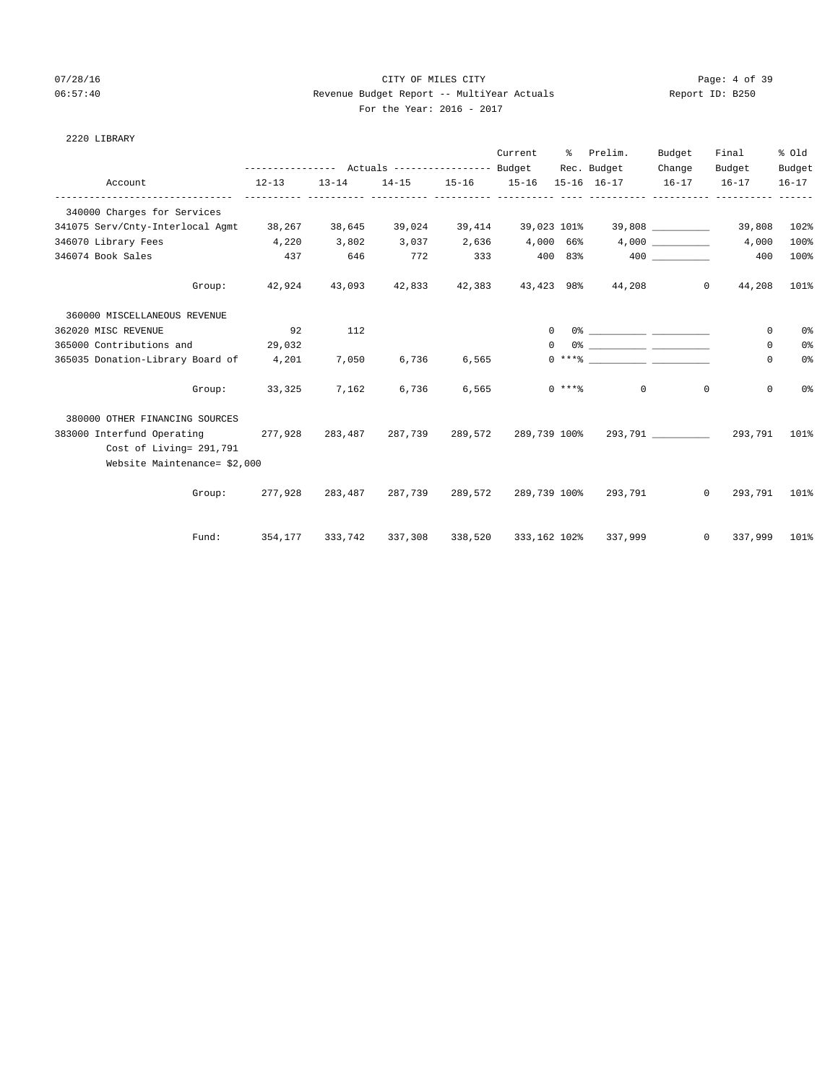# 07/28/16 CITY OF MILES CITY Page: 4 of 39 06:57:40 Revenue Budget Report -- MultiYear Actuals Report ID: B250 For the Year: 2016 - 2017

2220 LIBRARY

|                                        |           |               |                 |         | Current            | ႜႜ           | Prelim.<br>Rec. Budget                    | Budget<br>Change             | Final<br>Budget    | % old               |
|----------------------------------------|-----------|---------------|-----------------|---------|--------------------|--------------|-------------------------------------------|------------------------------|--------------------|---------------------|
| Account                                | $12 - 13$ | $13 - 14$     |                 |         |                    |              | 14-15 15-16 15-16 15-16 16-17 16-17 16-17 |                              |                    | Budget<br>$16 - 17$ |
| 340000 Charges for Services            |           |               |                 |         |                    |              |                                           |                              |                    |                     |
| 341075 Serv/Cnty-Interlocal Agmt       |           | 38,267 38,645 | 39,024          |         | 39,414 39,023 101% |              |                                           | 39,808                       | 39,808             | 102%                |
| 346070 Library Fees                    | 4,220     | 3,802         | 3,037           | 2,636   | 4,000 66%          |              |                                           | 4,000                        | 4,000              | 100%                |
| 346074 Book Sales                      | 437       | 646           | 772             |         |                    |              | 333 400 83% 400                           |                              | 400                | 100%                |
| Group:                                 | 42,924    | 43,093        | 42,833          |         |                    |              | 42,383 43,423 98% 44,208                  |                              | $\circ$<br>44,208  | 101%                |
| 360000 MISCELLANEOUS REVENUE           |           |               |                 |         |                    |              |                                           |                              |                    |                     |
| 362020 MISC REVENUE                    | 92        | 112           |                 |         |                    | $\Omega$     |                                           |                              | $\circ$            | 0 <sup>°</sup>      |
| 365000 Contributions and               | 29,032    |               |                 |         |                    | $\Omega$     |                                           |                              | $\Omega$           | 0%                  |
| 365035 Donation-Library Board of 4,201 |           | 7,050         | 6,736           | 6,565   |                    |              |                                           |                              | $\mathbf 0$        | 0 <sup>°</sup>      |
| Group:                                 | 33,325    | 7,162         | 6,736           | 6,565   |                    |              | $0***8$                                   | $0 \qquad \qquad$<br>$\circ$ | $\mathbf 0$        | 0 <sup>°</sup>      |
| 380000 OTHER FINANCING SOURCES         |           |               |                 |         |                    |              |                                           |                              |                    |                     |
| 383000 Interfund Operating 277,928     |           |               | 283,487 287,739 | 289,572 |                    |              | 289,739 100% 293,791 293,791              |                              |                    | 101%                |
| Cost of Living= 291,791                |           |               |                 |         |                    |              |                                           |                              |                    |                     |
| Website Maintenance= \$2,000           |           |               |                 |         |                    |              |                                           |                              |                    |                     |
| Group:                                 | 277,928   |               |                 |         |                    |              |                                           |                              | $\circ$<br>293,791 | 101%                |
| Fund:                                  | 354,177   | 333,742       | 337,308         | 338,520 |                    | 333,162 102% | 337,999                                   |                              | $\circ$<br>337,999 | 101%                |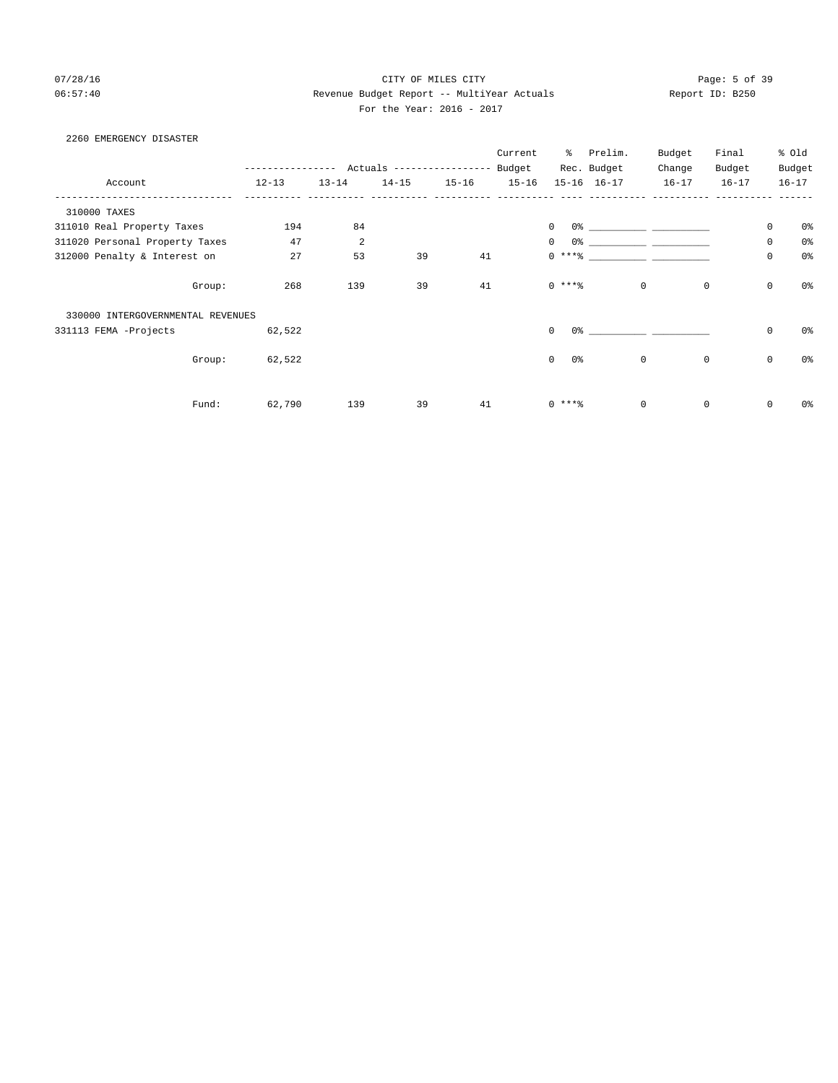# 07/28/16 CITY OF MILES CITY Page: 5 of 39 06:57:40 Revenue Budget Report -- MultiYear Actuals Report ID: B250 For the Year: 2016 - 2017

### 2260 EMERGENCY DISASTER

|                                   |        |           |                |                           |           | Current   | နွ                         | Prelim.                                                                                                                                                                                                                       | Budget    | Final       |                     | % old          |
|-----------------------------------|--------|-----------|----------------|---------------------------|-----------|-----------|----------------------------|-------------------------------------------------------------------------------------------------------------------------------------------------------------------------------------------------------------------------------|-----------|-------------|---------------------|----------------|
|                                   |        |           |                | Actuals ----------------- |           | Budget    |                            | Rec. Budget                                                                                                                                                                                                                   | Change    | Budget      |                     | Budget         |
| Account                           |        | $12 - 13$ | $13 - 14$      | $14 - 15$                 | $15 - 16$ | $15 - 16$ |                            | $15 - 16$ $16 - 17$                                                                                                                                                                                                           | $16 - 17$ | $16 - 17$   |                     | $16 - 17$      |
|                                   |        |           |                |                           |           |           |                            |                                                                                                                                                                                                                               |           |             |                     |                |
| 310000 TAXES                      |        |           |                |                           |           |           |                            |                                                                                                                                                                                                                               |           |             |                     |                |
| 311010 Real Property Taxes        |        | 194       | 84             |                           |           |           | 0                          | 0.3 - 0.3 - 0.3 - 0.3 - 0.3 - 0.3 - 0.3 - 0.3 - 0.3 - 0.3 - 0.3 - 0.3 - 0.3 - 0.3 - 0.3 - 0.3 - 0.3 - 0.3 - 0.3 - 0.3 - 0.3 - 0.3 - 0.3 - 0.3 - 0.3 - 0.3 - 0.3 - 0.3 - 0.3 - 0.3 - 0.3 - 0.3 - 0.3 - 0.3 - 0.3 - 0.3 - 0.3 - |           |             | $\mathsf{O}\xspace$ | 0 <sup>°</sup> |
| 311020 Personal Property Taxes    |        | 47        | $\overline{a}$ |                           |           |           | $\mathbf{0}$               |                                                                                                                                                                                                                               |           |             | $\mathsf{O}\xspace$ | 0 <sup>°</sup> |
| 312000 Penalty & Interest on      |        | 27        | 53             | 39                        | 41        |           | $0***8$                    |                                                                                                                                                                                                                               |           |             | $\mathsf{O}\xspace$ | 0 <sup>°</sup> |
|                                   |        |           |                |                           |           |           |                            |                                                                                                                                                                                                                               |           |             |                     |                |
|                                   | Group: | 268       | 139            | 39                        | 41        |           | $0***8$                    | $\mathbf 0$                                                                                                                                                                                                                   |           | $\mathbb O$ | $\mathsf{O}$        | 0 <sup>°</sup> |
|                                   |        |           |                |                           |           |           |                            |                                                                                                                                                                                                                               |           |             |                     |                |
| 330000 INTERGOVERNMENTAL REVENUES |        |           |                |                           |           |           |                            |                                                                                                                                                                                                                               |           |             |                     |                |
| 331113 FEMA -Projects             |        | 62,522    |                |                           |           |           | $\Omega$<br>0 %            |                                                                                                                                                                                                                               |           |             | $\mathbf 0$         | 0%             |
|                                   |        |           |                |                           |           |           |                            |                                                                                                                                                                                                                               |           |             |                     |                |
|                                   | Group: | 62,522    |                |                           |           |           | $\Omega$<br>0 <sup>o</sup> | $\mathbf 0$                                                                                                                                                                                                                   |           | 0           | $\mathbf 0$         | 0 <sup>°</sup> |
|                                   |        |           |                |                           |           |           |                            |                                                                                                                                                                                                                               |           |             |                     |                |
|                                   |        |           |                |                           |           |           |                            |                                                                                                                                                                                                                               |           |             |                     |                |
|                                   | Fund:  | 62,790    | 139            | 39                        | 41        |           | $0$ *** $%$                | 0                                                                                                                                                                                                                             |           | 0           | 0                   | 0%             |
|                                   |        |           |                |                           |           |           |                            |                                                                                                                                                                                                                               |           |             |                     |                |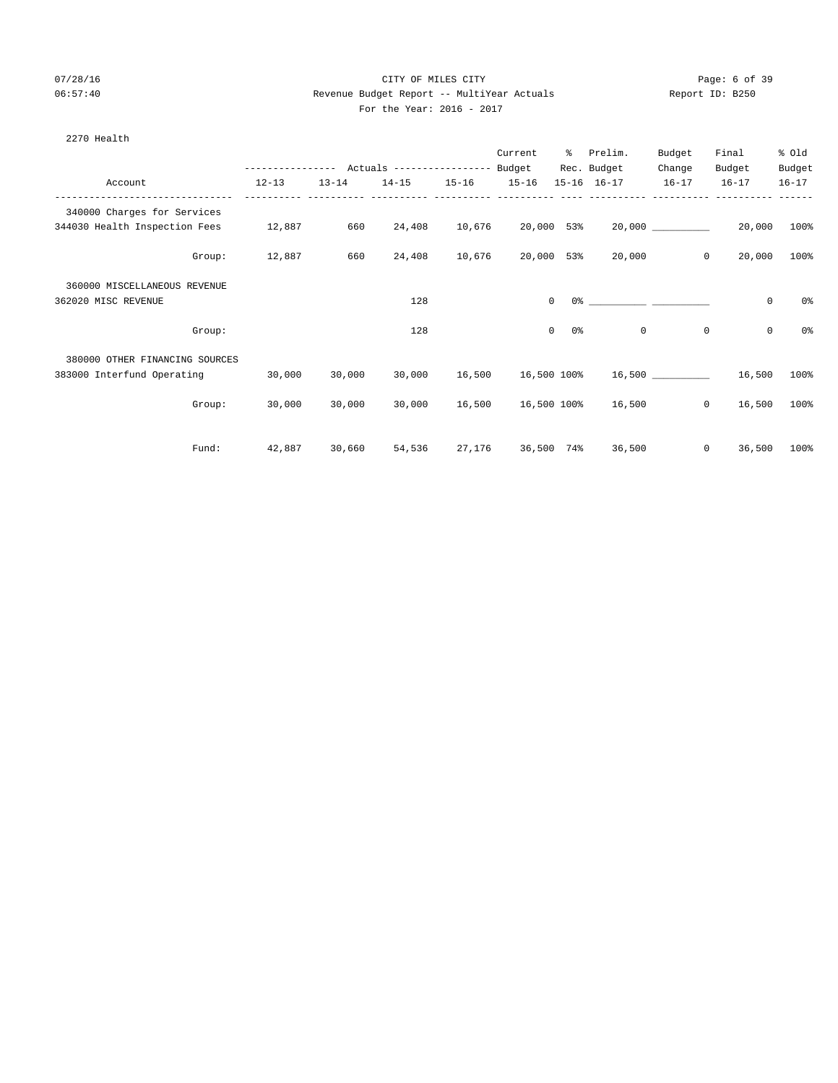# 07/28/16 CITY OF MILES CITY Page: 6 of 39 06:57:40 Revenue Budget Report -- MultiYear Actuals Report ID: B250 For the Year: 2016 - 2017

|  | For the Year: 2016 |  |
|--|--------------------|--|
|  |                    |  |

| 2270 Health                    |        |                  |           |                                  |           |           |             |                         |        |                            |                |
|--------------------------------|--------|------------------|-----------|----------------------------------|-----------|-----------|-------------|-------------------------|--------|----------------------------|----------------|
|                                |        |                  |           |                                  |           | Current   |             | % Prelim.               | Budget | Final                      | % Old          |
|                                |        | ---------------- |           | Actuals ----------------- Budget |           |           |             | Rec. Budget             | Change | Budget                     | Budget         |
| Account                        |        | $12 - 13$        | $13 - 14$ | $14 - 15$                        | $15 - 16$ | $15 - 16$ |             | 15-16 16-17 16-17       |        | $16 - 17$                  | $16 - 17$      |
| 340000 Charges for Services    |        |                  |           |                                  |           |           |             |                         |        |                            |                |
| 344030 Health Inspection Fees  |        | 12,887           | 660       | 24,408                           | 10,676    |           | 20,000 53%  |                         |        | 20,000                     | 100%           |
|                                | Group: | 12,887           | 660       | 24,408                           | 10,676    |           | 20,000 53%  | 20,000                  |        | $\mathbf 0$<br>20,000      | 100%           |
| 360000 MISCELLANEOUS REVENUE   |        |                  |           |                                  |           |           |             |                         |        |                            |                |
| 362020 MISC REVENUE            |        |                  |           | 128                              |           |           | 0           | $0$ % 이 아이 아이 아이에 어려워요. |        | 0                          | 0%             |
|                                | Group: |                  |           | 128                              |           |           | 0<br>0응     | 0                       |        | $\mathbf 0$<br>$\mathbf 0$ | 0 <sub>8</sub> |
| 380000 OTHER FINANCING SOURCES |        |                  |           |                                  |           |           |             |                         |        |                            |                |
| 383000 Interfund Operating     |        | 30,000           | 30,000    | 30,000                           | 16,500    |           | 16,500 100% |                         | 16,500 | 16,500                     | 100%           |
|                                | Group: | 30,000           | 30,000    | 30,000                           | 16,500    |           | 16,500 100% | 16,500                  |        | $\overline{0}$<br>16,500   | 100%           |
|                                | Fund:  | 42,887           | 30,660    | 54,536                           | 27,176    |           | 36,500 74%  | 36,500                  |        | $\circ$<br>36,500          | 100%           |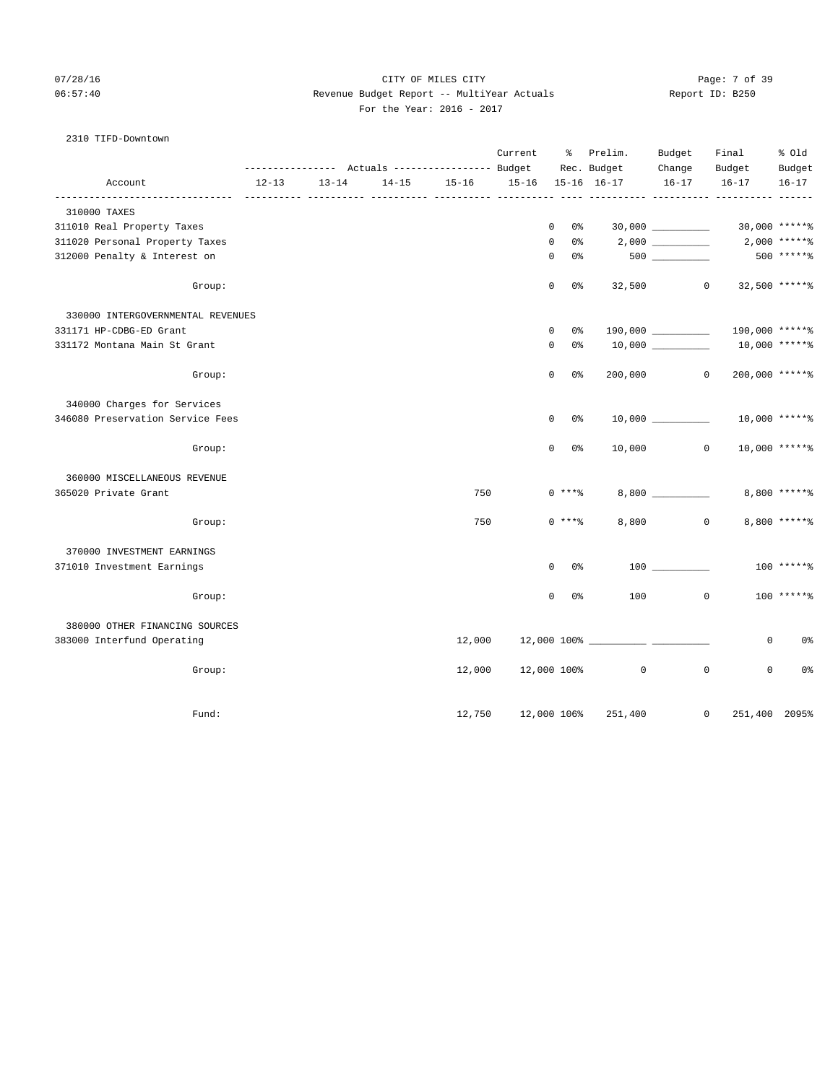# 07/28/16 Page: 7 of 39 06:57:40 Revenue Budget Report -- MultiYear Actuals Report ID: B250 For the Year: 2016 - 2017

### 2310 TIFD-Downtown

|                                   |           |           |                                                |           | Current                       | ႜႜႜၟ                          | Prelim.                       | Budget                                     | Final                            | % old           |
|-----------------------------------|-----------|-----------|------------------------------------------------|-----------|-------------------------------|-------------------------------|-------------------------------|--------------------------------------------|----------------------------------|-----------------|
|                                   |           |           |                                                |           |                               |                               | Rec. Budget                   | Change                                     | Budget                           | Budget          |
| Account                           | $12 - 13$ | $13 - 14$ | $14 - 15$<br>------ ---------- --------- ----- | $15 - 16$ | $15 - 16$<br>----- ---------- |                               | 15-16 16-17                   | $16 - 17$                                  | $16 - 17$                        | $16 - 17$       |
| 310000 TAXES                      |           |           |                                                |           |                               |                               |                               |                                            |                                  |                 |
| 311010 Real Property Taxes        |           |           |                                                |           |                               | $\mathbf 0$<br>0%             |                               |                                            |                                  | $30,000$ *****% |
| 311020 Personal Property Taxes    |           |           |                                                |           |                               | 0<br>0%                       |                               |                                            |                                  | $2,000$ *****%  |
| 312000 Penalty & Interest on      |           |           |                                                |           |                               | 0<br>0%                       |                               |                                            |                                  | 500 ******      |
| Group:                            |           |           |                                                |           |                               | 0<br>0%                       | 32,500                        |                                            | $\mathbf{0}$                     | 32,500 ******   |
| 330000 INTERGOVERNMENTAL REVENUES |           |           |                                                |           |                               |                               |                               |                                            |                                  |                 |
| 331171 HP-CDBG-ED Grant           |           |           |                                                |           |                               | 0<br>0%                       |                               |                                            | 190,000 ******                   |                 |
| 331172 Montana Main St Grant      |           |           |                                                |           |                               | 0<br>0%                       |                               |                                            | 10,000 ******                    |                 |
| Group:                            |           |           |                                                |           |                               | 0<br>0%                       | 200,000                       |                                            | $\mathsf{O}$<br>$200,000$ ****** |                 |
| 340000 Charges for Services       |           |           |                                                |           |                               |                               |                               |                                            |                                  |                 |
| 346080 Preservation Service Fees  |           |           |                                                |           |                               | 0<br>0%                       |                               |                                            |                                  | 10,000 ******   |
| Group:                            |           |           |                                                |           |                               | $\mathbf 0$<br>0 <sup>o</sup> |                               | $10,000$ 0                                 |                                  | 10,000 ******   |
| 360000 MISCELLANEOUS REVENUE      |           |           |                                                |           |                               |                               |                               |                                            |                                  |                 |
| 365020 Private Grant              |           |           |                                                | 750       |                               | $0***8$                       |                               | $8,800$ $-$                                |                                  | 8,800 ******    |
| Group:                            |           |           |                                                | 750       |                               | $0$ ****                      | 8,800                         |                                            | $\Omega$                         | $8,800$ ******  |
| 370000 INVESTMENT EARNINGS        |           |           |                                                |           |                               |                               |                               |                                            |                                  |                 |
| 371010 Investment Earnings        |           |           |                                                |           |                               | $\mathbf 0$<br>0%             |                               | $\begin{array}{c} 100 \\ -100 \end{array}$ |                                  | $100$ ******    |
| Group:                            |           |           |                                                |           |                               | 0 <sup>°</sup><br>0           | 100                           | $\mathbf 0$                                |                                  | 100 ******      |
| 380000 OTHER FINANCING SOURCES    |           |           |                                                |           |                               |                               |                               |                                            |                                  |                 |
| 383000 Interfund Operating        |           |           |                                                | 12,000    |                               |                               | 12,000 100% _________________ |                                            | $\mathbf 0$                      | 0%              |
| Group:                            |           |           |                                                | 12,000    |                               | 12,000 100%                   | 0                             | $\mathbf 0$                                | 0                                | 0%              |
| Fund:                             |           |           |                                                | 12,750    |                               | 12,000 106%                   | 251,400                       |                                            | $\mathsf{O}$<br>251,400 2095%    |                 |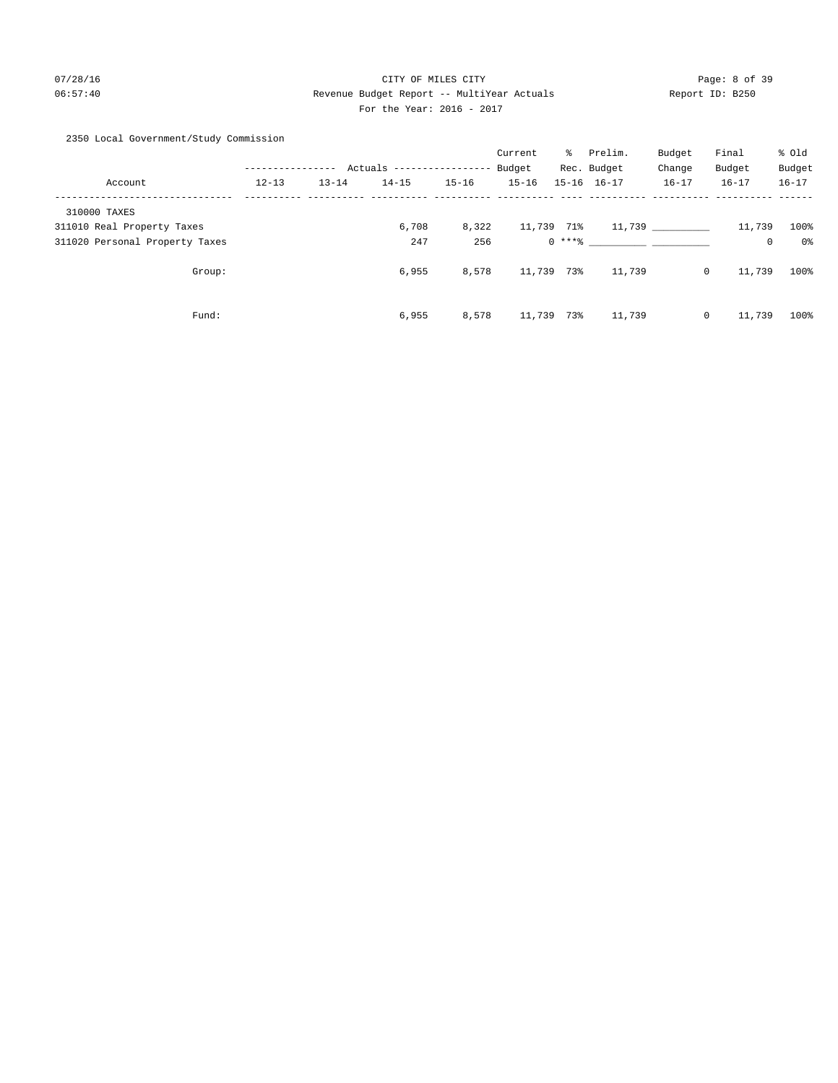# 07/28/16 CITY OF MILES CITY Page: 8 of 39 06:57:40 Revenue Budget Report -- MultiYear Actuals Report ID: B250 For the Year: 2016 - 2017

2350 Local Government/Study Commission

|                                |           |           |                            |           | Current    | $\frac{1}{2}$ | Prelim.                                                                                                                                                                                                                                                                                                                                                                                                                                                                                                                                               | Budget    | Final       | % Old     |
|--------------------------------|-----------|-----------|----------------------------|-----------|------------|---------------|-------------------------------------------------------------------------------------------------------------------------------------------------------------------------------------------------------------------------------------------------------------------------------------------------------------------------------------------------------------------------------------------------------------------------------------------------------------------------------------------------------------------------------------------------------|-----------|-------------|-----------|
|                                |           |           | Actuals ------------------ |           | Budget     |               | Rec. Budget                                                                                                                                                                                                                                                                                                                                                                                                                                                                                                                                           | Change    | Budget      | Budget    |
| Account                        | $12 - 13$ | $13 - 14$ | $14 - 15$                  | $15 - 16$ | $15 - 16$  |               | $15 - 16$ $16 - 17$                                                                                                                                                                                                                                                                                                                                                                                                                                                                                                                                   | $16 - 17$ | $16 - 17$   | $16 - 17$ |
| 310000 TAXES                   |           |           |                            |           |            |               |                                                                                                                                                                                                                                                                                                                                                                                                                                                                                                                                                       |           |             |           |
| 311010 Real Property Taxes     |           |           | 6,708                      | 8,322     | 11,739 71% |               |                                                                                                                                                                                                                                                                                                                                                                                                                                                                                                                                                       | 11,739    | 11,739      | 100%      |
| 311020 Personal Property Taxes |           |           | 247                        | 256       |            |               | $0***$ $\longleftarrow$ $\longleftarrow$ $\longleftarrow$ $\longleftarrow$ $\longleftarrow$ $\longleftarrow$ $\longleftarrow$ $\longleftarrow$ $\longleftarrow$ $\longleftarrow$ $\longleftarrow$ $\longleftarrow$ $\longleftarrow$ $\longleftarrow$ $\longleftarrow$ $\longleftarrow$ $\longleftarrow$ $\longleftarrow$ $\longleftarrow$ $\longleftarrow$ $\longleftarrow$ $\longleftarrow$ $\longleftarrow$ $\longleftarrow$ $\longleftarrow$ $\longleftarrow$ $\longleftarrow$ $\longleftarrow$ $\longleftarrow$ $\longleftarrow$ $\longleftarrow$ |           | $\mathbf 0$ | 0%        |
| Group:                         |           |           | 6,955                      | 8,578     | 11,739 73% |               | 11,739                                                                                                                                                                                                                                                                                                                                                                                                                                                                                                                                                | $\circ$   | 11,739      | 100%      |
| Fund:                          |           |           | 6,955                      | 8,578     | 11,739 73% |               | 11,739                                                                                                                                                                                                                                                                                                                                                                                                                                                                                                                                                | $\circ$   | 11,739      | 100%      |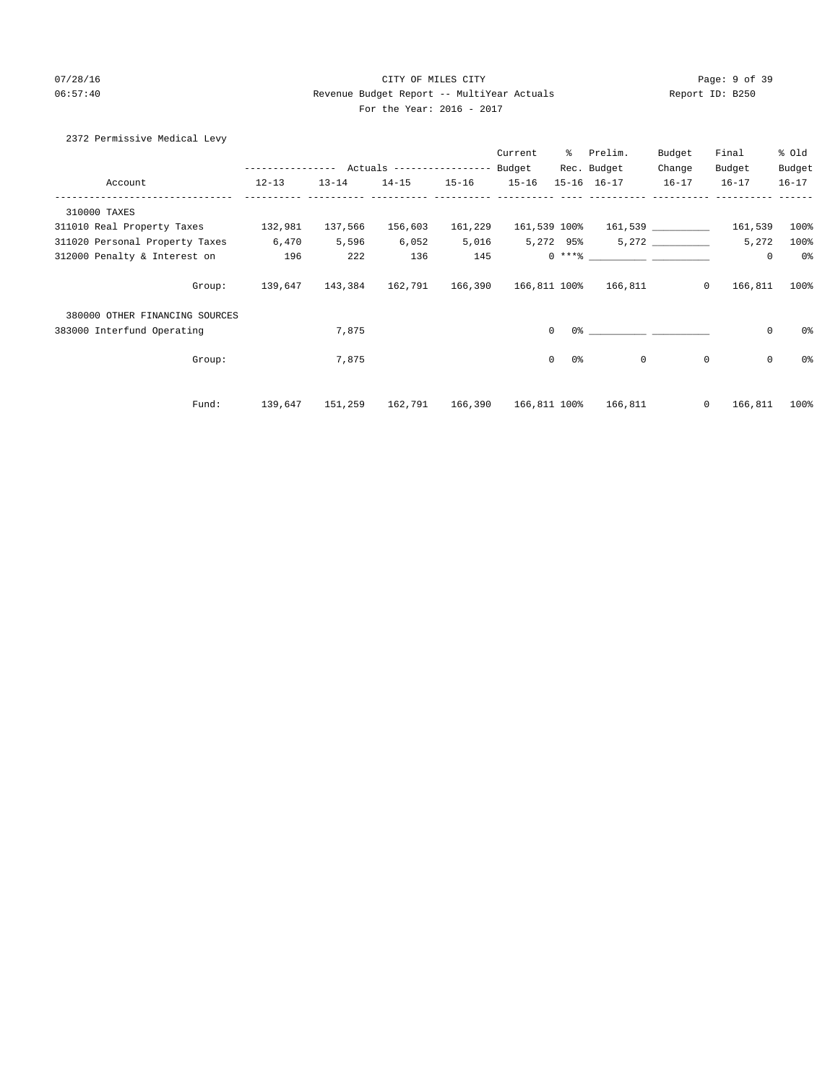# 07/28/16 CITY OF MILES CITY Page: 9 of 39 06:57:40 Revenue Budget Report -- MultiYear Actuals Report ID: B250 For the Year: 2016 - 2017

2372 Permissive Medical Levy

|                                |                           |           |                                          |           | Current   | ႜွ              | Prelim.                                  | Budget       | Final        | % Old     |
|--------------------------------|---------------------------|-----------|------------------------------------------|-----------|-----------|-----------------|------------------------------------------|--------------|--------------|-----------|
|                                | . _ _ _ _ _ _ _ _ _ _ _ _ |           | Actuals ----------------- Budget         |           |           |                 | Rec. Budget                              | Change       | Budget       | Budget    |
| Account                        | $12 - 13$                 | $13 - 14$ | $14 - 15$                                | $15 - 16$ | $15 - 16$ |                 | $15 - 16$ $16 - 17$                      | $16 - 17$    | $16 - 17$    | $16 - 17$ |
| 310000 TAXES                   |                           |           |                                          |           |           |                 |                                          |              |              |           |
| 311010 Real Property Taxes     | 132,981                   | 137,566   | 156,603                                  | 161,229   |           | 161,539 100%    |                                          | 161,539      | 161,539      | 100%      |
| 311020 Personal Property Taxes | 6,470                     | 5,596     | 6,052                                    | 5,016     |           | 5,272 95%       |                                          |              | 5,272        | 100%      |
| 312000 Penalty & Interest on   | 196                       | 222       | 136                                      | 145       |           |                 | $0 \times x * x$                         |              | $\mathbf 0$  | $0\,$     |
| Group:                         | 139,647                   |           | 143,384  162,791  166,390  166,811  100% |           |           |                 | 166,811                                  | $\circ$      | 166,811      | $100\%$   |
| 380000 OTHER FINANCING SOURCES |                           |           |                                          |           |           |                 |                                          |              |              |           |
| 383000 Interfund Operating     |                           | 7,875     |                                          |           |           | $\Omega$        | $0$ 왕 아이에게 아이들은 아이들의 아이들이 아이들이 아이들이 있었다. |              | $\mathsf{O}$ | 0%        |
| Group:                         |                           | 7,875     |                                          |           |           | $\Omega$<br>0 % | $\mathbf 0$                              | 0            | $\mathbf 0$  | 0%        |
| Fund:                          | 139,647                   | 151,259   | 162,791                                  | 166,390   |           | 166,811 100%    | 166,811                                  | $\mathbf{0}$ | 166,811      | 100%      |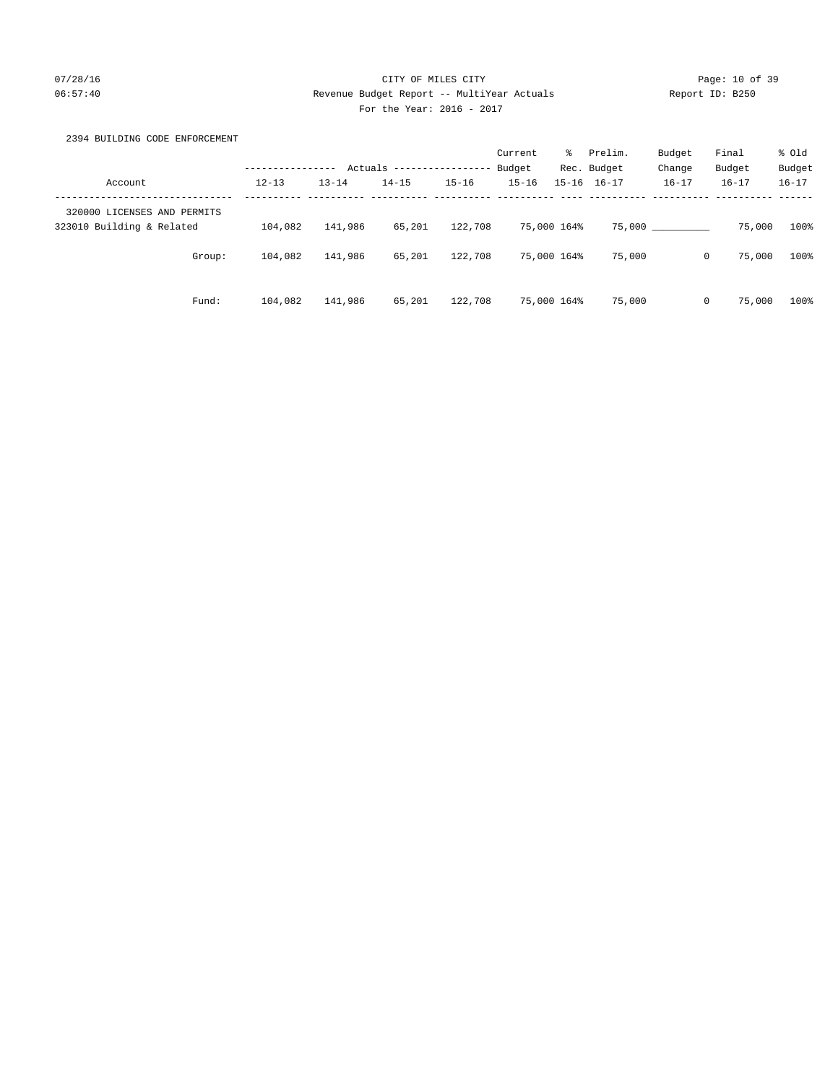# 07/28/16 Page: 10 of 39 06:57:40 Revenue Budget Report -- MultiYear Actuals Report ID: B250 For the Year: 2016 - 2017

# 2394 BUILDING CODE ENFORCEMENT

|                             |           |           |           |                   | Current   | ៖           | Prelim.             | Budget    | Final                  | % old     |
|-----------------------------|-----------|-----------|-----------|-------------------|-----------|-------------|---------------------|-----------|------------------------|-----------|
|                             |           | Actuals   |           | ----------------- | Budget    |             | Rec. Budget         | Change    | Budget                 | Budget    |
| Account                     | $12 - 13$ | $13 - 14$ | $14 - 15$ | $15 - 16$         | $15 - 16$ |             | $15 - 16$ $16 - 17$ | $16 - 17$ | $16 - 17$              | $16 - 17$ |
| 320000 LICENSES AND PERMITS |           |           |           |                   |           |             |                     |           |                        |           |
| 323010 Building & Related   | 104,082   | 141,986   | 65,201    | 122,708           |           | 75,000 164% |                     | 75,000    | 75,000                 | 100%      |
| Group:                      | 104,082   | 141,986   | 65,201    | 122,708           |           | 75,000 164% | 75,000              |           | 75,000<br>0            | 100%      |
| Fund:                       | 104,082   | 141,986   | 65,201    | 122,708           |           | 75,000 164% | 75,000              |           | 75,000<br>$\mathbf{0}$ | 100%      |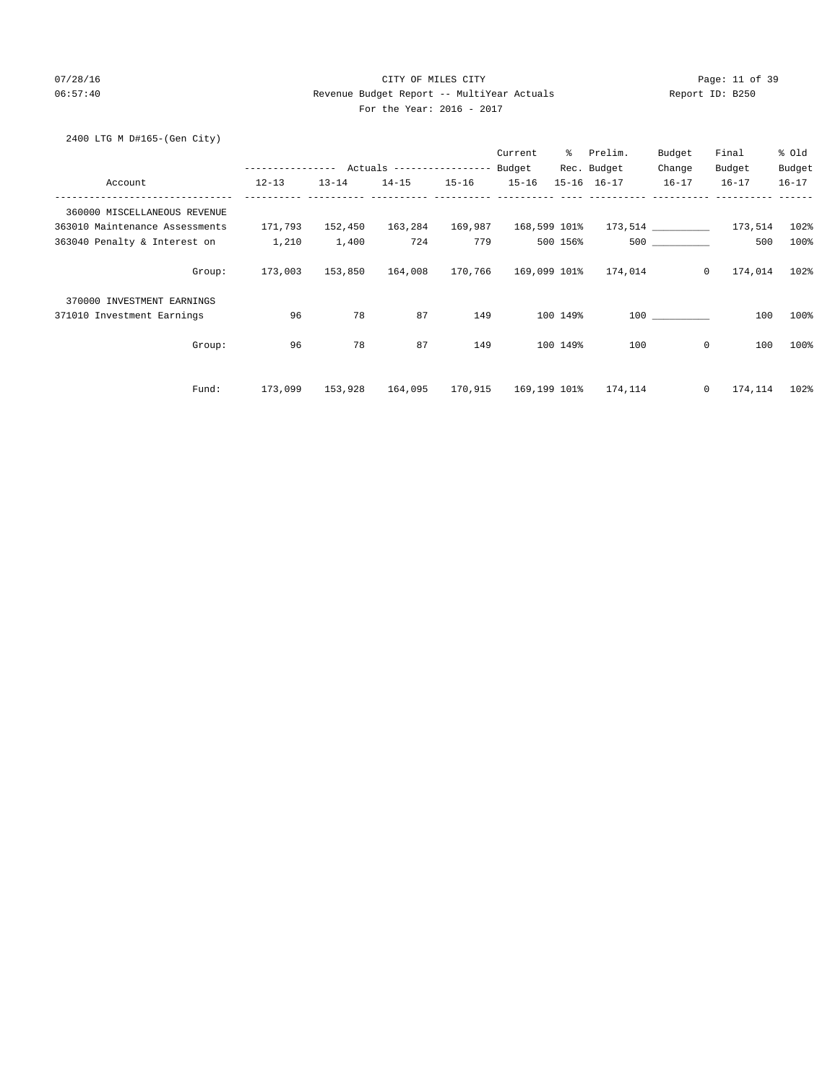# 07/28/16 Page: 11 of 39 06:57:40 Revenue Budget Report -- MultiYear Actuals Report ID: B250 For the Year: 2016 - 2017

2400 LTG M D#165-(Gen City)

|                                |                  |           |                                  |           | Current   | ွေ           | Prelim.     | Budget    | Final                   | % Old     |
|--------------------------------|------------------|-----------|----------------------------------|-----------|-----------|--------------|-------------|-----------|-------------------------|-----------|
|                                | ---------------- |           | Actuals ----------------- Budget |           |           |              | Rec. Budget | Change    | Budget                  | Budget    |
| Account                        | $12 - 13$        | $13 - 14$ | $14 - 15$                        | $15 - 16$ | $15 - 16$ |              | 15-16 16-17 | $16 - 17$ | $16 - 17$               | $16 - 17$ |
| 360000 MISCELLANEOUS REVENUE   |                  |           |                                  |           |           |              |             |           |                         |           |
| 363010 Maintenance Assessments | 171,793          | 152,450   | 163,284                          | 169,987   |           | 168,599 101% |             |           |                         | 102%      |
| 363040 Penalty & Interest on   | 1,210            | 1,400     | 724                              | 779       |           | 500 156%     |             | 500 000   | 500                     | 100%      |
| Group:                         | 173,003          | 153,850   | 164,008                          | 170,766   |           | 169,099 101% | 174,014     |           | $\circ$<br>174,014      | 102%      |
| 370000 INVESTMENT EARNINGS     |                  |           |                                  |           |           |              |             |           |                         |           |
| 371010 Investment Earnings     | 96               | 78        | 87                               | 149       |           | 100 149%     |             | 100 000   | 100                     | 100%      |
| Group:                         | 96               | 78        | 87                               | 149       |           | 100 149%     | 100         |           | $\circ$<br>100          | 100%      |
| Fund:                          | 173,099          | 153,928   | 164,095                          | 170,915   |           | 169,199 101% | 174,114     |           | $\mathbf{0}$<br>174,114 | 102%      |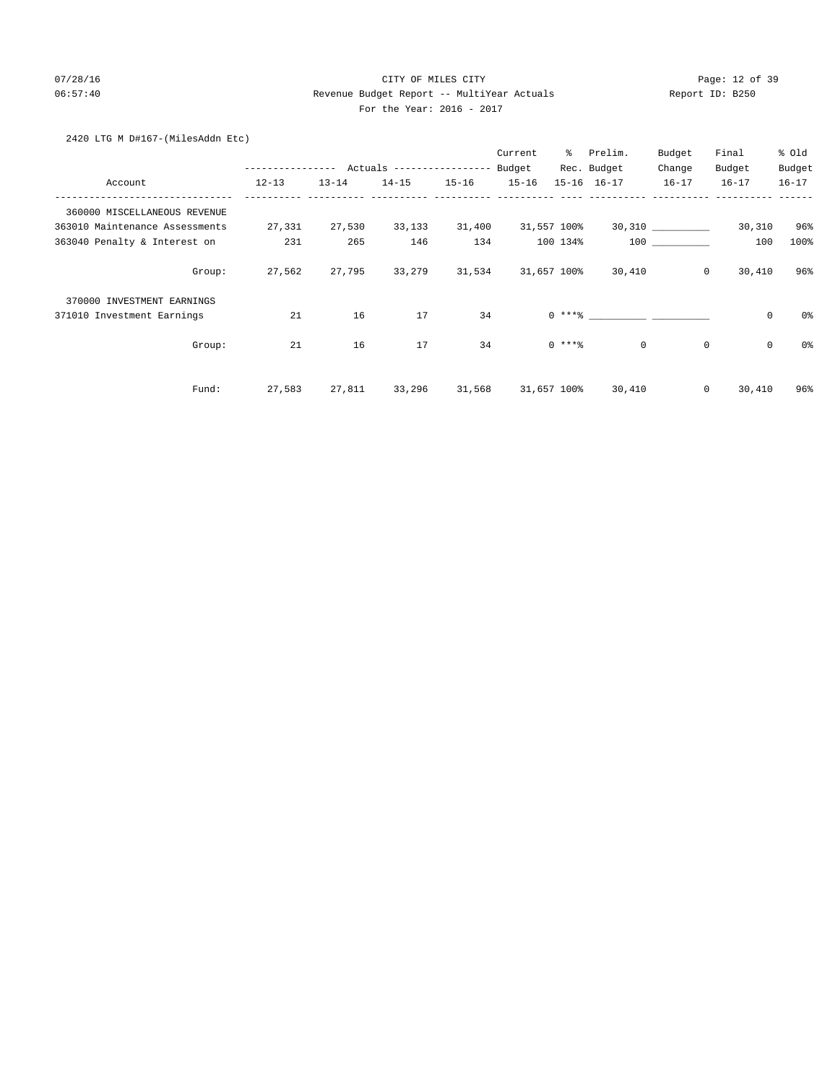# 07/28/16 Page: 12 of 39 06:57:40 Revenue Budget Report -- MultiYear Actuals Report ID: B250 For the Year: 2016 - 2017

# 2420 LTG M D#167-(MilesAddn Etc)

|                                |           |                                            |           |           | Current   | ႜ           | Prelim.                       | Budget            | Final       | % Old     |
|--------------------------------|-----------|--------------------------------------------|-----------|-----------|-----------|-------------|-------------------------------|-------------------|-------------|-----------|
|                                |           | ---------------- Actuals ----------------- |           |           | Budget    |             | Rec. Budget                   | Change            | Budget      | Budget    |
| Account                        | $12 - 13$ | $13 - 14$                                  | $14 - 15$ | $15 - 16$ | $15 - 16$ |             | $15 - 16$ $16 - 17$           | $16 - 17$         | $16 - 17$   | $16 - 17$ |
| 360000 MISCELLANEOUS REVENUE   |           |                                            |           |           |           |             |                               |                   |             |           |
| 363010 Maintenance Assessments | 27,331    | 27,530                                     | 33,133    | 31,400    |           | 31,557 100% |                               | 30,310 __________ | 30,310      | 96%       |
| 363040 Penalty & Interest on   | 231       | 265                                        | 146       | 134       |           | 100 134%    |                               | 100 000           | 100         | 100%      |
| Group:                         | 27,562    | 27,795                                     | 33,279    | 31,534    |           | 31,657 100% | 30,410                        | $\circ$           | 30,410      | 96%       |
| 370000 INVESTMENT EARNINGS     |           |                                            |           |           |           |             |                               |                   |             |           |
| 371010 Investment Earnings     | 21        | 16                                         | 17        | 34        |           |             | $0***$ $\qquad \qquad \qquad$ |                   | $\mathbf 0$ | 0%        |
| Group:                         | 21        | 16                                         | 17        | 34        |           | $0***$ $*$  | $\mathbf 0$                   | $\mathbf 0$       | 0           | 0%        |
| Fund:                          | 27,583    | 27,811                                     | 33,296    | 31,568    |           | 31,657 100% | 30,410                        | $\mathbf{0}$      | 30,410      | 96%       |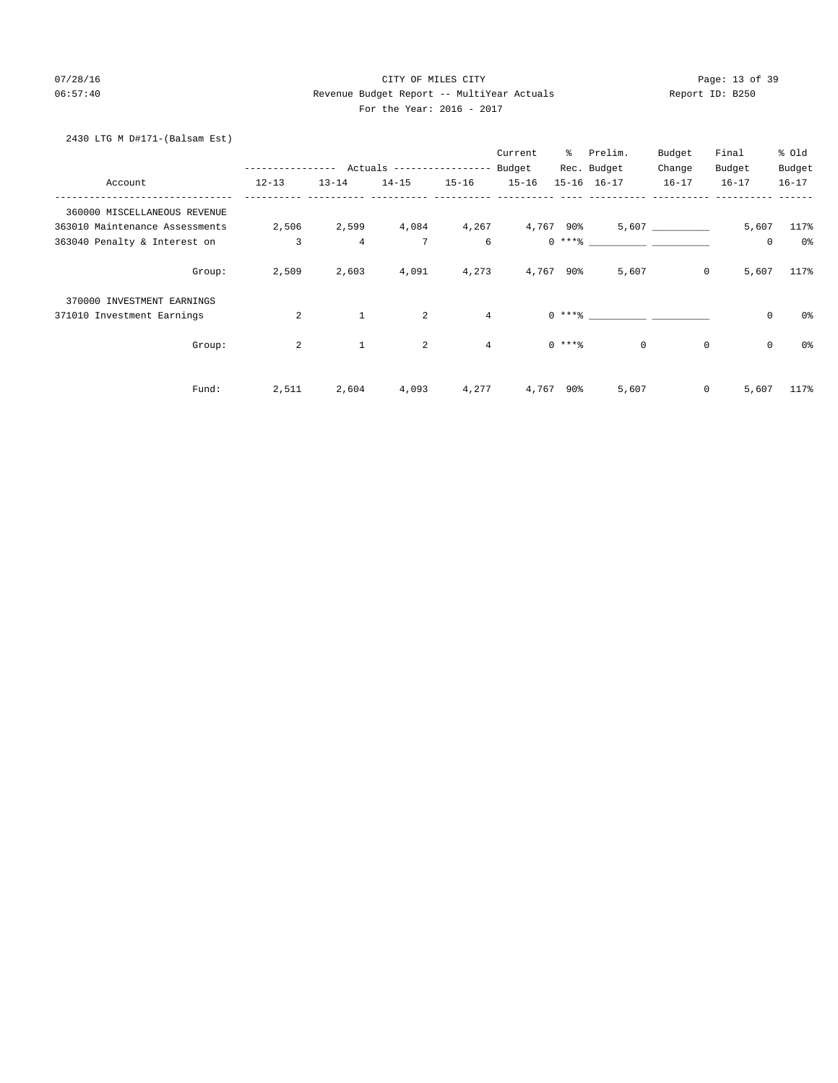# 07/28/16 Page: 13 of 39 06:57:40 Revenue Budget Report -- MultiYear Actuals Report ID: B250 For the Year: 2016 - 2017

# 2430 LTG M D#171-(Balsam Est)

|                                |                |                |                           |                 | Current         | ៖         | Prelim.               | Budget         | Final       | % Old     |
|--------------------------------|----------------|----------------|---------------------------|-----------------|-----------------|-----------|-----------------------|----------------|-------------|-----------|
|                                | ------------   |                | Actuals ----------------- |                 | Budget          |           | Rec. Budget           | Change         | Budget      | Budget    |
| Account                        | $12 - 13$      | $13 - 14$      | $14 - 15$                 | $15 - 16$       | $15 - 16$       |           | $15 - 16$ $16 - 17$   | $16 - 17$      | $16 - 17$   | $16 - 17$ |
| 360000 MISCELLANEOUS REVENUE   |                |                |                           |                 |                 |           |                       |                |             |           |
| 363010 Maintenance Assessments | 2,506          | 2,599          | 4,084                     |                 | 4,267 4,767 90% |           |                       | 5,607          | 5,607       | 117%      |
| 363040 Penalty & Interest on   | 3              | $\overline{4}$ | 7                         | 6               |                 |           |                       |                | $\mathbf 0$ | 0%        |
| Group:                         | 2,509          | 2,603          | 4,091                     | 4,273           |                 | 4,767 90% | 5,607                 | $\overline{0}$ | 5,607       | 117%      |
| 370000 INVESTMENT EARNINGS     |                |                |                           |                 |                 |           |                       |                |             |           |
| 371010 Investment Earnings     | 2              | $\mathbf{1}$   | 2                         | $\overline{4}$  |                 |           | $0$ *** $\frac{6}{3}$ |                | 0           | 0%        |
| Group:                         | $\overline{a}$ | $\mathbf{1}$   | 2                         | $4\overline{ }$ |                 | $0***8$   | $\circ$               | $\mathbb O$    | $\mathsf 0$ | 0%        |
| Fund:                          | 2,511          | 2,604          | 4,093                     | 4,277           |                 | 4,767 90% | 5,607                 | $\mathsf{O}$   | 5,607       | 117%      |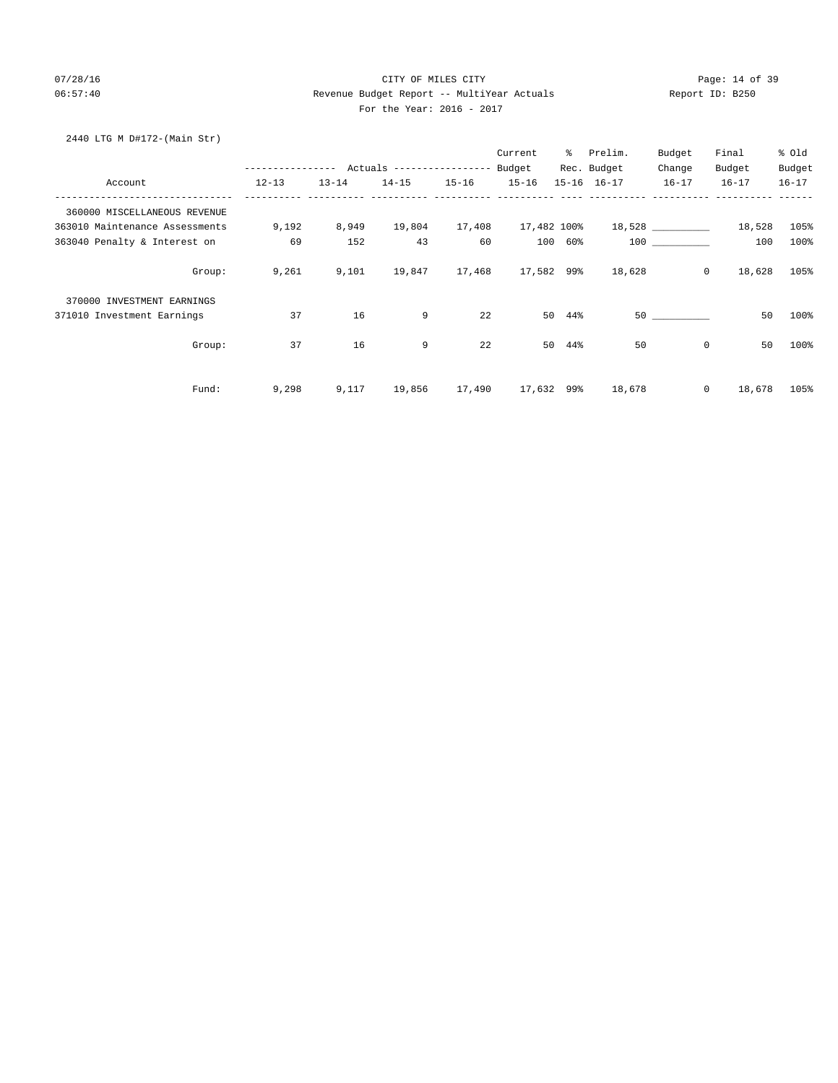### 07/28/16 CITY OF MILES CITY Page: 14 of 39 06:57:40 Revenue Budget Report -- MultiYear Actuals Report ID: B250 For the Year: 2016 - 2017

### 2440 LTG M D#172-(Main Str)

|                                |                                                       |           |           |           | Current           |         | % Prelim.   | Budget            | Final     | % old     |
|--------------------------------|-------------------------------------------------------|-----------|-----------|-----------|-------------------|---------|-------------|-------------------|-----------|-----------|
|                                | ---------------    Actuals ----------------    Budget |           |           |           |                   |         | Rec. Budget | Change            | Budget    | Budget    |
| Account                        | $12 - 13$                                             | $13 - 14$ | $14 - 15$ | $15 - 16$ | $15 - 16$         |         | 15-16 16-17 | $16 - 17$         | $16 - 17$ | $16 - 17$ |
| 360000 MISCELLANEOUS REVENUE   |                                                       |           |           |           |                   |         |             |                   |           |           |
| 363010 Maintenance Assessments | 9,192                                                 | 8,949     | 19,804    | 17,408    | 17,482 100%       |         |             | 18,528 __________ | 18,528    | 105%      |
| 363040 Penalty & Interest on   | 69                                                    | 152       | 43        | 60        |                   | 100 60% |             | 100 000           | 100       | 100%      |
| Group:                         | 9,261                                                 | 9,101     | 19,847    |           | 17,468 17,582 99% |         | 18,628      | $\circ$           | 18,628    | 105%      |
| 370000 INVESTMENT EARNINGS     |                                                       |           |           |           |                   |         |             |                   |           |           |
| 371010 Investment Earnings     | 37                                                    | 16        | 9         | 22        |                   | 50 44%  |             | 50                | 50        | 100%      |
| Group:                         | 37                                                    | 16        | 9         | 22        | 50                | 44%     | 50          | $\mathbf 0$       | 50        | 100%      |
| Fund:                          | 9,298                                                 | 9,117     | 19,856    | 17,490    | 17,632 99%        |         | 18,678      | $\mathbf{0}$      | 18,678    | 105%      |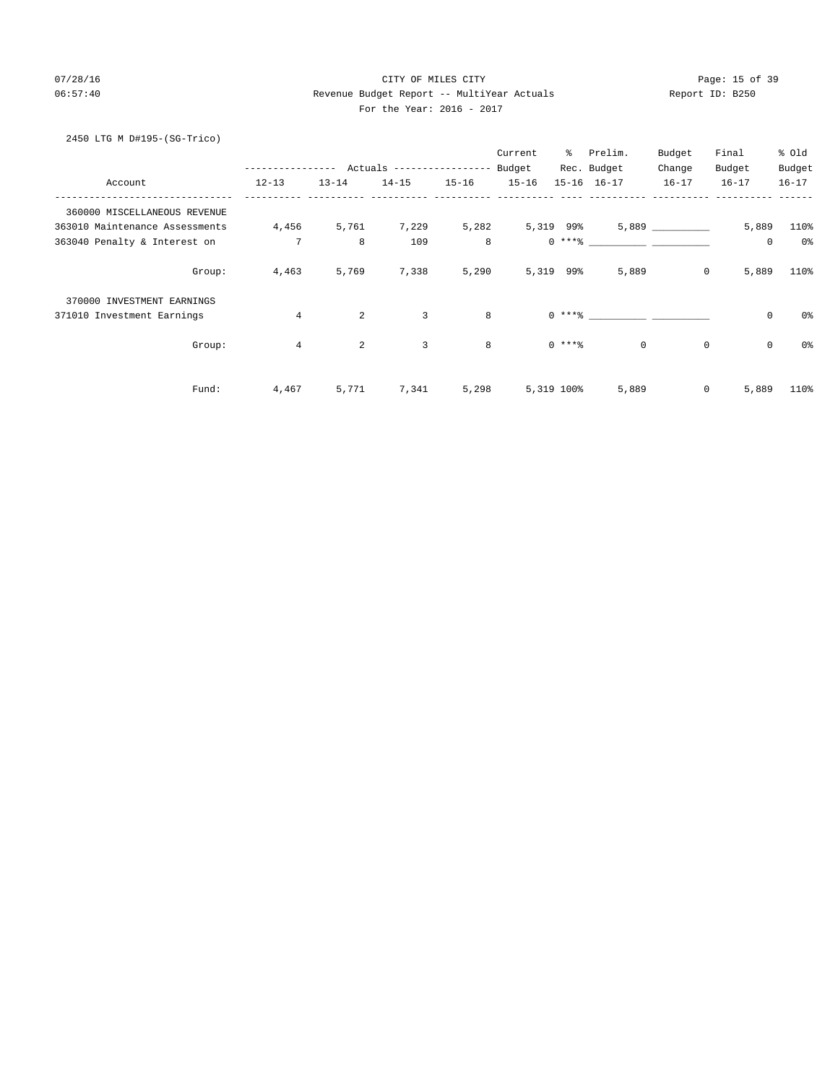# 07/28/16 Page: 15 of 39 06:57:40 Revenue Budget Report -- MultiYear Actuals Report ID: B250 For the Year: 2016 - 2017

# 2450 LTG M D#195-(SG-Trico)

|                                |                                                       |           |           |           | Current   | ႜႜၟ        | Prelim.                             | Budget      | Final               | % old     |
|--------------------------------|-------------------------------------------------------|-----------|-----------|-----------|-----------|------------|-------------------------------------|-------------|---------------------|-----------|
|                                | ---------------    Actuals ----------------    Budget |           |           |           |           |            | Rec. Budget                         | Change      | Budget              | Budget    |
| Account                        | $12 - 13$                                             | $13 - 14$ | $14 - 15$ | $15 - 16$ | $15 - 16$ |            | 15-16 16-17                         | $16 - 17$   | $16 - 17$           | $16 - 17$ |
| 360000 MISCELLANEOUS REVENUE   |                                                       |           |           |           |           |            |                                     |             |                     |           |
| 363010 Maintenance Assessments | 4,456                                                 | 5,761     | 7,229     | 5,282     | 5,319 99% |            |                                     | 5,889       | 5,889               | 110%      |
| 363040 Penalty & Interest on   | $\overline{7}$                                        | 8         | 109       | 8         |           |            |                                     |             | $\mathbf 0$         | $0\,$     |
| Group:                         | 4,463                                                 | 5,769     | 7,338     | 5,290     | 5,319 99% |            | 5,889                               | $\circ$     | 5,889               | 110%      |
| 370000 INVESTMENT EARNINGS     |                                                       |           |           |           |           |            |                                     |             |                     |           |
| 371010 Investment Earnings     | $\overline{4}$                                        | 2         | 3         | 8         |           |            | $0 \rightarrow + + +$ $\frac{1}{2}$ |             | $\mathsf{O}\xspace$ | 0%        |
| Group:                         | 4                                                     | 2         | 3         | 8         |           | $0$ ****   | $\Omega$                            | $\mathbf 0$ | $\mathbf 0$         | 0%        |
| Fund:                          | 4,467                                                 | 5,771     | 7,341     | 5,298     |           | 5,319 100% | 5,889                               | 0           | 5,889               | 110%      |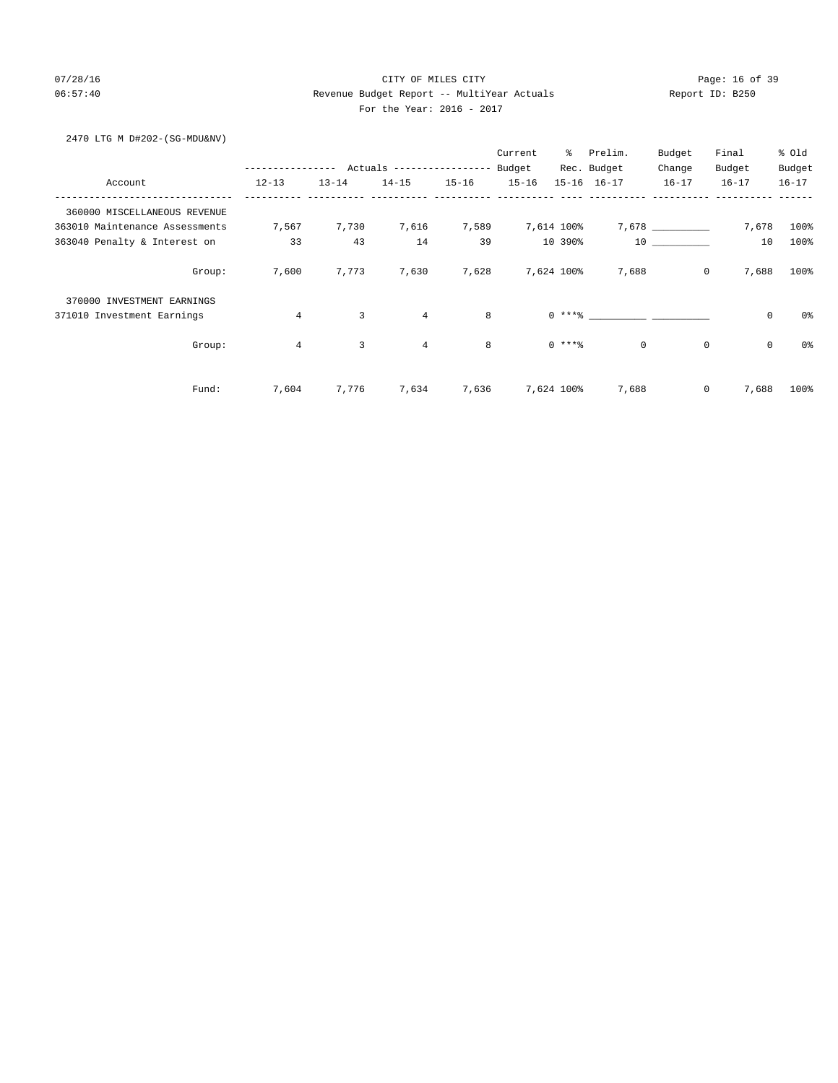# 07/28/16 Page: 16 of 39 06:57:40 Revenue Budget Report -- MultiYear Actuals Report ID: B250 For the Year: 2016 - 2017

2470 LTG M D#202-(SG-MDU&NV)

|                                |                |           |                            |           | Current   | ៖          | Prelim.       | Budget    | Final                      | % old     |
|--------------------------------|----------------|-----------|----------------------------|-----------|-----------|------------|---------------|-----------|----------------------------|-----------|
|                                | ----------     |           | Actuals ------------------ |           | Budget    |            | Rec. Budget   | Change    | Budget                     | Budget    |
| Account                        | $12 - 13$      | $13 - 14$ | $14 - 15$                  | $15 - 16$ | $15 - 16$ |            | 15-16 16-17   | $16 - 17$ | $16 - 17$                  | $16 - 17$ |
| 360000 MISCELLANEOUS REVENUE   |                |           |                            |           |           |            |               |           |                            |           |
| 363010 Maintenance Assessments | 7,567          | 7,730     | 7,616                      | 7,589     |           | 7,614 100% |               | 7,678     | 7,678                      | 100%      |
| 363040 Penalty & Interest on   | 33             | 43        | 14                         | 39        |           | 10 390%    |               | 10        | 10                         | 100%      |
| Group:                         | 7,600          | 7,773     | 7,630                      | 7,628     |           | 7,624 100% | 7,688         |           | $\mathsf{O}$<br>7,688      | 100%      |
| 370000 INVESTMENT EARNINGS     |                |           |                            |           |           |            |               |           |                            |           |
| 371010 Investment Earnings     | $\overline{4}$ | 3         | $\overline{4}$             | 8         |           |            | $0***$ $1***$ |           | $\mathbf 0$                | 0%        |
| Group:                         | 4              | 3         | $\overline{4}$             | 8         |           | $0***$ $*$ | $\mathsf{O}$  |           | $\mathbf 0$<br>$\mathbf 0$ | 0%        |
| Fund:                          | 7,604          | 7,776     | 7,634                      | 7,636     |           | 7,624 100% | 7,688         |           | 0<br>7,688                 | 100%      |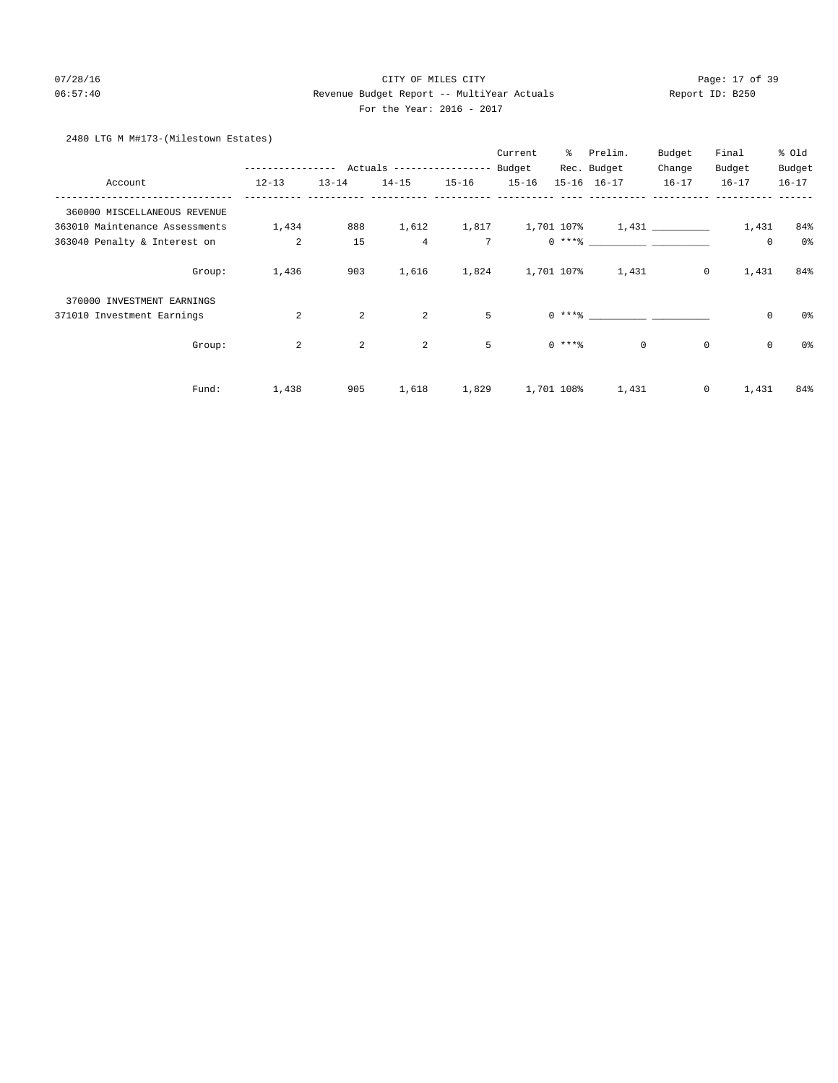# 07/28/16 Page: 17 of 39 06:57:40 Revenue Budget Report -- MultiYear Actuals Report ID: B250 For the Year: 2016 - 2017

# 2480 LTG M M#173-(Milestown Estates)

|                                |                  |                |                           |                 | Current   | ွေ          | Prelim.                            | Budget      | Final       | % Old          |
|--------------------------------|------------------|----------------|---------------------------|-----------------|-----------|-------------|------------------------------------|-------------|-------------|----------------|
|                                | ---------------- |                | Actuals ----------------- |                 | Budget    |             | Rec. Budget                        | Change      | Budget      | Budget         |
| Account                        | $12 - 13$        | $13 - 14$      | $14 - 15$                 | $15 - 16$       | $15 - 16$ |             | $15 - 16$ $16 - 17$                | $16 - 17$   | $16 - 17$   | $16 - 17$      |
| 360000 MISCELLANEOUS REVENUE   |                  |                |                           |                 |           |             |                                    |             |             |                |
| 363010 Maintenance Assessments | 1,434            | 888            | 1,612                     | 1,817           |           |             | $1,701$ 107% $1,431$ _________     |             | 1,431       | 84%            |
| 363040 Penalty & Interest on   | 2                | 15             | $\overline{4}$            | $7\overline{ }$ |           |             | $0 \xrightarrow{\ast\ast\ast\ast}$ |             | 0           | 0 <sup>o</sup> |
| Group:                         | 1,436            | 903            | 1,616                     | 1,824           |           |             | 1,701 107% 1,431                   | $\circ$     | 1,431       | 84%            |
| 370000 INVESTMENT EARNINGS     |                  |                |                           |                 |           |             |                                    |             |             |                |
| 371010 Investment Earnings     | 2                | $\overline{a}$ | 2                         | 5               |           |             | $0 \times 10^{-10}$                |             | 0           | 0%             |
| Group:                         | $\overline{a}$   | $\overline{a}$ | 2                         | 5               |           | $0$ *** $%$ | $\circ$                            | $\mathbf 0$ | $\mathbf 0$ | 0%             |
| Fund:                          | 1,438            | 905            | 1,618                     | 1,829           |           | 1,701 108%  | 1,431                              | 0           | 1,431       | 84%            |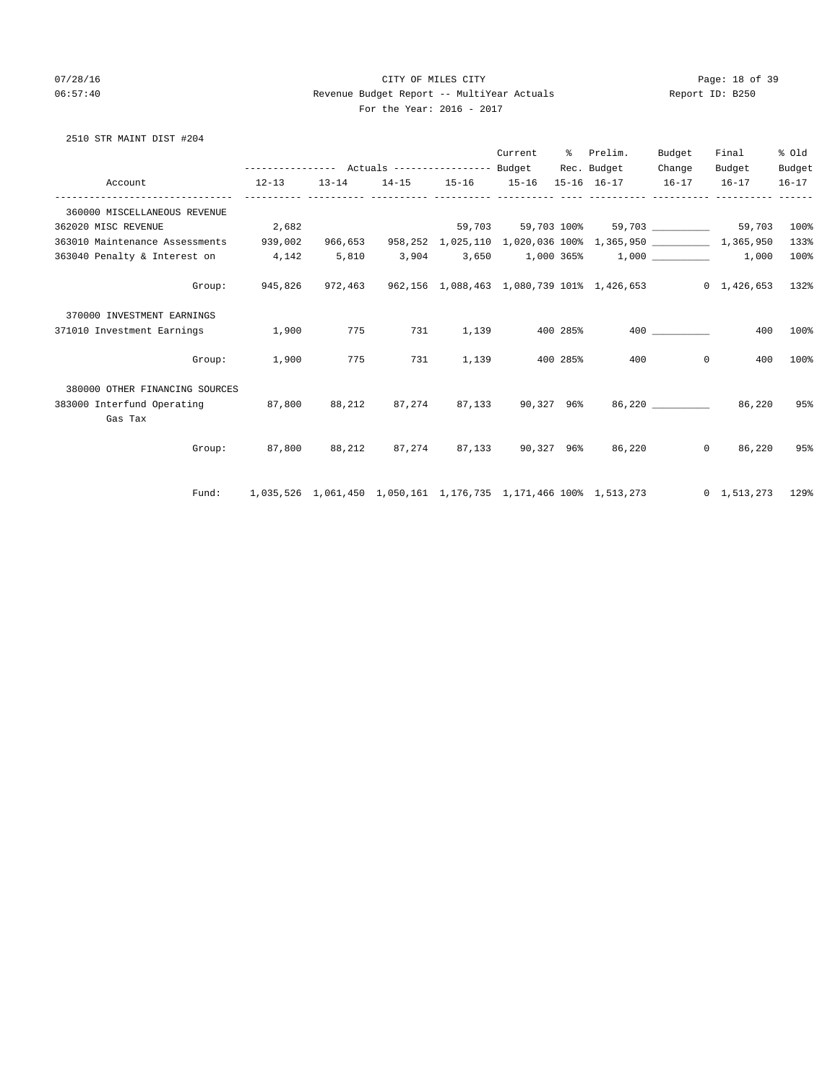### 07/28/16 CITY OF MILES CITY Page: 18 of 39 06:57:40 Revenue Budget Report -- MultiYear Actuals Report ID: B250 For the Year: 2016 - 2017

# 2510 STR MAINT DIST #204

|                                                                                             |           |           |     |           | Current |          | % Prelim.<br>Rec. Budget                                             | Budget<br>Change | Final<br>Budget                 | % old<br>Budget |
|---------------------------------------------------------------------------------------------|-----------|-----------|-----|-----------|---------|----------|----------------------------------------------------------------------|------------------|---------------------------------|-----------------|
| Account                                                                                     | $12 - 13$ | $13 - 14$ |     |           |         |          | 14-15 15-16 15-16 15-16 16-17 16-17 16-17                            |                  |                                 | $16 - 17$       |
| 360000 MISCELLANEOUS REVENUE                                                                |           |           |     |           |         |          |                                                                      |                  |                                 |                 |
| 2,682<br>362020 MISC REVENUE                                                                |           |           |     |           |         |          | $59,703$ $59,703$ $100$ $59,703$ $\_\_$                              |                  | 59,703                          | 100%            |
| 363010 Maintenance Assessments 939,002                                                      |           |           |     |           |         |          | 966,653  958,252  1,025,110  1,020,036  100%  1,365,950  1,365,950   |                  |                                 | 133%            |
| 363040 Penalty & Interest on 4,142                                                          |           | 5,810     |     |           |         |          | 3,904 3,650 1,000 365% 1,000 1,000                                   |                  |                                 | 100%            |
| Group:                                                                                      | 945,826   |           |     |           |         |          | 972,463  962,156  1,088,463  1,080,739  101%  1,426,653  0 1,426,653 |                  |                                 | 132%            |
| 370000 INVESTMENT EARNINGS                                                                  |           |           |     |           |         |          |                                                                      |                  |                                 |                 |
| 371010 Investment Earnings                                                                  | 1,900     | 775       |     | 731 1,139 |         | 400 285% |                                                                      | 400 000          | 400                             | 100%            |
| Group:                                                                                      | 1,900     | 775       | 731 |           | 1,139   | 400 285% | 400                                                                  | $\circ$          | 400                             | 100%            |
| 380000 OTHER FINANCING SOURCES                                                              |           |           |     |           |         |          |                                                                      |                  |                                 |                 |
| 383000 Interfund Operating 87,800 88,212 87,274 87,133 90,327 96% 86,220 _______<br>Gas Tax |           |           |     |           |         |          |                                                                      |                  | 86,220                          | 95%             |
| Group:                                                                                      |           |           |     |           |         |          | 87,800 88,212 87,274 87,133 90,327 96% 86,220                        | $\Omega$         | 86,220                          | 95%             |
| Fund:                                                                                       |           |           |     |           |         |          | 1,035,526 1,061,450 1,050,161 1,176,735 1,171,466 100% 1,513,273     |                  | $0 \quad 1,513,273 \quad 129$ % |                 |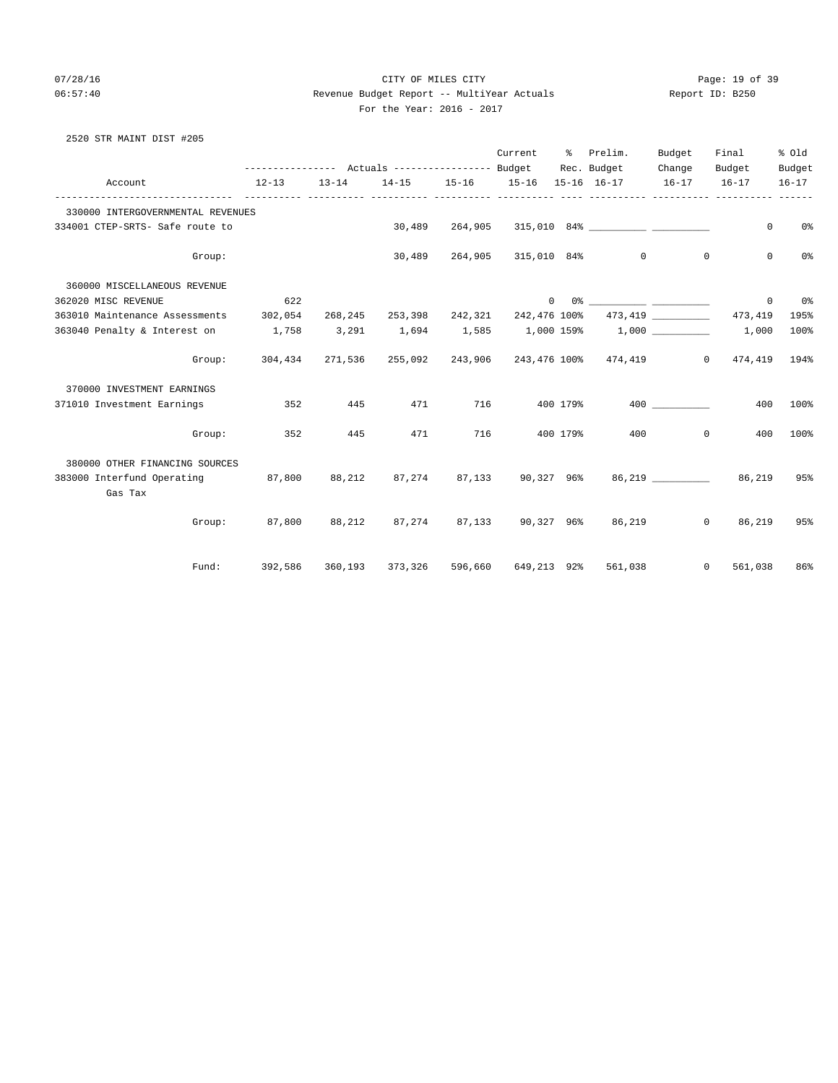2520 STR MAINT DIST #205

# 07/28/16 CITY OF MILES CITY Page: 19 of 39 06:57:40 Revenue Budget Report -- MultiYear Actuals Report ID: B250 For the Year: 2016 - 2017

|                                        |                                                                                      |           |                                      |     | Current                       | ႜႜႜၟ     | Prelim.                                                                                                                                                                                                                                                                                                                                                            | Budget         | Final                                                                | % old     |
|----------------------------------------|--------------------------------------------------------------------------------------|-----------|--------------------------------------|-----|-------------------------------|----------|--------------------------------------------------------------------------------------------------------------------------------------------------------------------------------------------------------------------------------------------------------------------------------------------------------------------------------------------------------------------|----------------|----------------------------------------------------------------------|-----------|
|                                        | --------------- Actuals ---------------- Budget Rec. Budget                          |           |                                      |     |                               |          |                                                                                                                                                                                                                                                                                                                                                                    | Change         | Budget                                                               | Budget    |
| Account                                | $12 - 13$                                                                            | $13 - 14$ |                                      |     | 14-15 15-16 15-16 15-16 16-17 |          |                                                                                                                                                                                                                                                                                                                                                                    | $16 - 17$      | $16 - 17$                                                            | $16 - 17$ |
| 330000 INTERGOVERNMENTAL REVENUES      |                                                                                      |           |                                      |     |                               |          |                                                                                                                                                                                                                                                                                                                                                                    |                |                                                                      |           |
| 334001 CTEP-SRTS- Safe route to        |                                                                                      |           | 30,489                               |     |                               |          |                                                                                                                                                                                                                                                                                                                                                                    |                | $\circ$                                                              | 0%        |
| Group:                                 |                                                                                      |           |                                      |     |                               |          | 30,489 264,905 315,010 84% 0                                                                                                                                                                                                                                                                                                                                       | $\Omega$       | $\mathbf 0$                                                          | 0%        |
| 360000 MISCELLANEOUS REVENUE           |                                                                                      |           |                                      |     |                               |          |                                                                                                                                                                                                                                                                                                                                                                    |                |                                                                      |           |
| 362020 MISC REVENUE                    | 622                                                                                  |           |                                      |     |                               |          | $\begin{picture}(150,10) \put(0,0){\vector(1,0){100}} \put(15,0){\vector(1,0){100}} \put(15,0){\vector(1,0){100}} \put(15,0){\vector(1,0){100}} \put(15,0){\vector(1,0){100}} \put(15,0){\vector(1,0){100}} \put(15,0){\vector(1,0){100}} \put(15,0){\vector(1,0){100}} \put(15,0){\vector(1,0){100}} \put(15,0){\vector(1,0){100}} \put(15,0){\vector(1,0){100}}$ |                | $\circ$                                                              | 0%        |
| 363010 Maintenance Assessments 302,054 |                                                                                      |           | 268,245 253,398 242,321 242,476 100% |     |                               |          |                                                                                                                                                                                                                                                                                                                                                                    |                | 473, 419 473, 419                                                    | 195%      |
| 363040 Penalty & Interest on 1,758     |                                                                                      | 3,291     |                                      |     |                               |          |                                                                                                                                                                                                                                                                                                                                                                    |                | $1,694$ $1,585$ $1,000$ $159\%$ $1,000$ $\_\_\_\_\_\_\_\_\_$ $1,000$ | 100%      |
| Group:                                 | $304,434$ $271,536$ $255,092$ $243,906$ $243,476$ $100\%$ $474,419$ 0 $474,419$ 194% |           |                                      |     |                               |          |                                                                                                                                                                                                                                                                                                                                                                    |                |                                                                      |           |
| 370000 INVESTMENT EARNINGS             |                                                                                      |           |                                      |     |                               |          |                                                                                                                                                                                                                                                                                                                                                                    |                |                                                                      |           |
| 371010 Investment Earnings             | 352                                                                                  | 445       | 471                                  | 716 |                               | 400 179% |                                                                                                                                                                                                                                                                                                                                                                    | 400 000        | 400                                                                  | 100%      |
| Group:                                 | 352                                                                                  | 445       | 471                                  | 716 |                               | 400 179% |                                                                                                                                                                                                                                                                                                                                                                    | 400<br>$\circ$ | 400                                                                  | 100%      |
| 380000 OTHER FINANCING SOURCES         |                                                                                      |           |                                      |     |                               |          |                                                                                                                                                                                                                                                                                                                                                                    |                |                                                                      |           |
| 383000 Interfund Operating<br>Gas Tax  | 87,800 88,212 87,274 87,133 90,327 96% 86,219                                        |           |                                      |     |                               |          |                                                                                                                                                                                                                                                                                                                                                                    |                | 86,219                                                               | 95%       |
|                                        | Group: 87,800 88,212 87,274 87,133 90,327 96% 86,219                                 |           |                                      |     |                               |          |                                                                                                                                                                                                                                                                                                                                                                    |                | 86,219<br>$\overline{0}$                                             | 95%       |
| Fund:                                  | 392,586 360,193 373,326 596,660 649,213 92% 561,038                                  |           |                                      |     |                               |          |                                                                                                                                                                                                                                                                                                                                                                    |                | $\overline{0}$<br>561,038                                            | 86%       |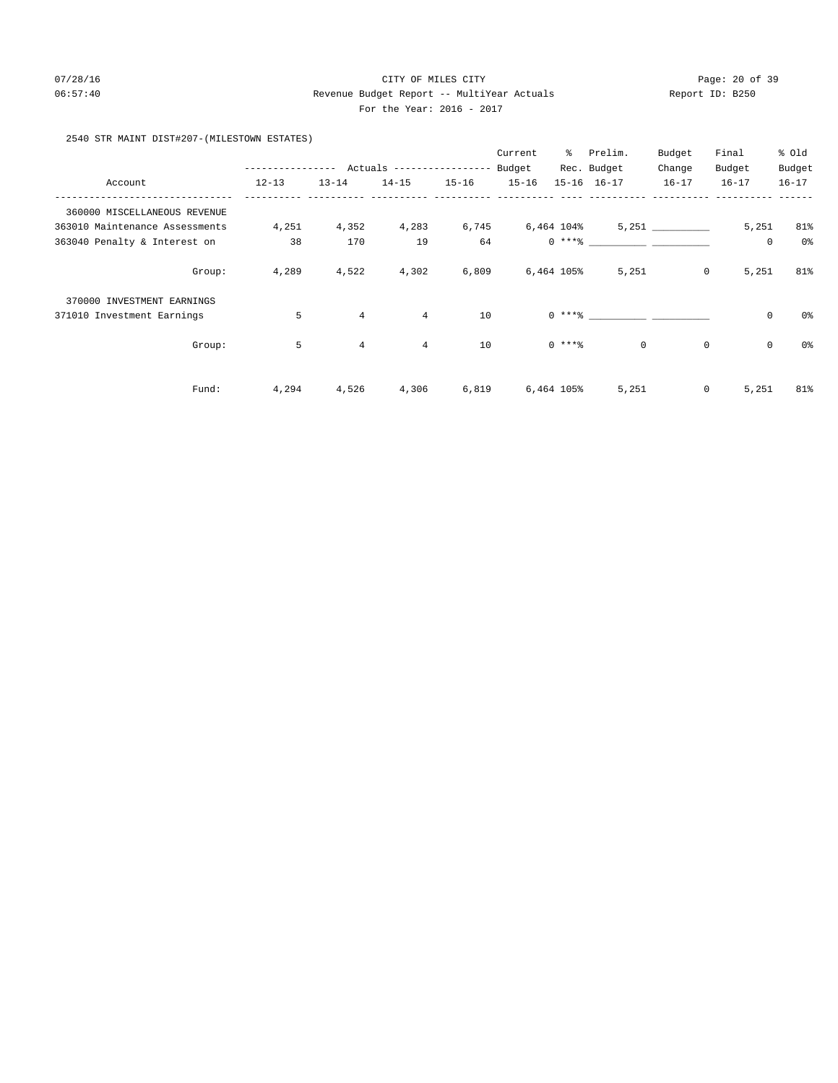# 07/28/16 Page: 20 of 39 06:57:40 Revenue Budget Report -- MultiYear Actuals Report ID: B250 For the Year: 2016 - 2017

# 2540 STR MAINT DIST#207-(MILESTOWN ESTATES)

|                                |               |                |                           |           | Current   | နွ         | Prelim.                                                                                                                                                                                                                                                                                                                                                                                                                                                                                                                                               | Budget       | Final               | % Old          |
|--------------------------------|---------------|----------------|---------------------------|-----------|-----------|------------|-------------------------------------------------------------------------------------------------------------------------------------------------------------------------------------------------------------------------------------------------------------------------------------------------------------------------------------------------------------------------------------------------------------------------------------------------------------------------------------------------------------------------------------------------------|--------------|---------------------|----------------|
|                                | ------------- |                | Actuals ----------------- |           | Budget    |            | Rec. Budget                                                                                                                                                                                                                                                                                                                                                                                                                                                                                                                                           | Change       | Budget              | Budget         |
| Account                        | $12 - 13$     | $13 - 14$      | $14 - 15$                 | $15 - 16$ | $15 - 16$ |            | 15-16 16-17                                                                                                                                                                                                                                                                                                                                                                                                                                                                                                                                           | $16 - 17$    | $16 - 17$           | $16 - 17$      |
| 360000 MISCELLANEOUS REVENUE   |               |                |                           |           |           |            |                                                                                                                                                                                                                                                                                                                                                                                                                                                                                                                                                       |              |                     |                |
| 363010 Maintenance Assessments | 4,251         | 4,352          | 4,283                     | 6,745     |           | 6,464 104% |                                                                                                                                                                                                                                                                                                                                                                                                                                                                                                                                                       | 5,251        | 5,251               | 81%            |
| 363040 Penalty & Interest on   | 38            | 170            | 19                        | 64        |           |            | $0***$ $\longleftarrow$ $\longleftarrow$ $\longleftarrow$ $\longleftarrow$ $\longleftarrow$ $\longleftarrow$ $\longleftarrow$ $\longleftarrow$ $\longleftarrow$ $\longleftarrow$ $\longleftarrow$ $\longleftarrow$ $\longleftarrow$ $\longleftarrow$ $\longleftarrow$ $\longleftarrow$ $\longleftarrow$ $\longleftarrow$ $\longleftarrow$ $\longleftarrow$ $\longleftarrow$ $\longleftarrow$ $\longleftarrow$ $\longleftarrow$ $\longleftarrow$ $\longleftarrow$ $\longleftarrow$ $\longleftarrow$ $\longleftarrow$ $\longleftarrow$ $\longleftarrow$ |              | 0                   | 0 <sup>o</sup> |
| Group:                         | 4,289         | 4,522          | 4,302                     | 6,809     |           | 6,464 105% | 5,251                                                                                                                                                                                                                                                                                                                                                                                                                                                                                                                                                 | $\mathsf{O}$ | 5,251               | 81%            |
| 370000 INVESTMENT EARNINGS     |               |                |                           |           |           |            |                                                                                                                                                                                                                                                                                                                                                                                                                                                                                                                                                       |              |                     |                |
| 371010 Investment Earnings     | 5             | $\overline{4}$ | $\overline{4}$            | 10        |           |            | $0 \rightarrow + +8$                                                                                                                                                                                                                                                                                                                                                                                                                                                                                                                                  |              | $\mathsf{O}\xspace$ | 0%             |
| Group:                         | 5             | $\overline{4}$ | $\overline{4}$            | 10        |           | $0$ ****   | $\mathbf{0}$                                                                                                                                                                                                                                                                                                                                                                                                                                                                                                                                          | $\mathbf 0$  | $\mathbf 0$         | $0\,$ s        |
| Fund:                          | 4,294         | 4,526          | 4,306                     | 6,819     |           | 6,464 105% | 5,251                                                                                                                                                                                                                                                                                                                                                                                                                                                                                                                                                 | 0            | 5,251               | 81%            |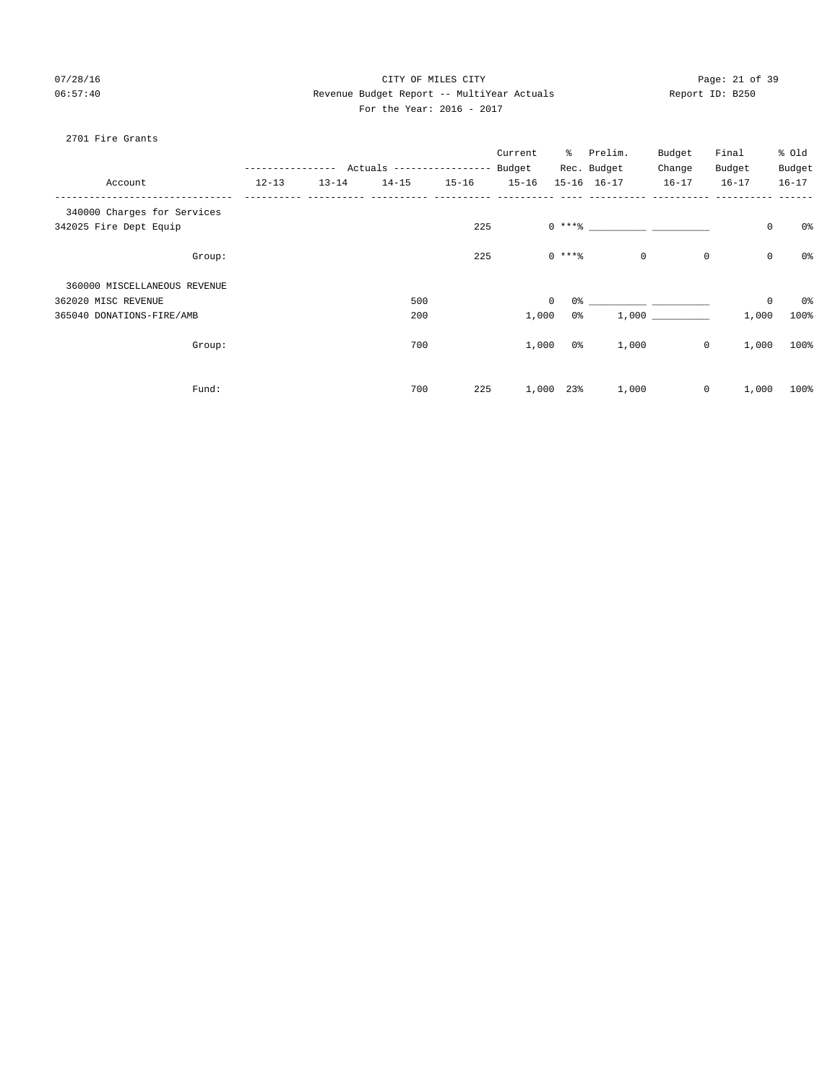# 07/28/16 Page: 21 of 39 06:57:40 Revenue Budget Report -- MultiYear Actuals Report ID: B250 For the Year: 2016 - 2017

### 2701 Fire Grants

|                              |           |             |                           |           | Current     | ∻              | Prelim.             | Budget      | Final     | % old                         |
|------------------------------|-----------|-------------|---------------------------|-----------|-------------|----------------|---------------------|-------------|-----------|-------------------------------|
|                              |           | $- - - - -$ | Actuals ----------------- |           | Budget      |                | Rec. Budget         | Change      | Budget    | Budget                        |
| Account                      | $12 - 13$ | $13 - 14$   | $14 - 15$                 | $15 - 16$ | $15 - 16$   |                | $15 - 16$ $16 - 17$ | $16 - 17$   | $16 - 17$ | $16 - 17$                     |
| 340000 Charges for Services  |           |             |                           |           |             |                |                     |             |           |                               |
| 342025 Fire Dept Equip       |           |             |                           | 225       |             |                | $0$ *** $8$         |             |           | $\mathsf 0$<br>0 <sup>o</sup> |
| Group:                       |           |             |                           | 225       |             | $0$ ****       | $\mathbf 0$         | 0           |           | $\mathsf 0$<br>0 <sup>o</sup> |
| 360000 MISCELLANEOUS REVENUE |           |             |                           |           |             |                |                     |             |           |                               |
| 362020 MISC REVENUE          |           |             | 500                       |           | $\mathbf 0$ | 0 <sup>°</sup> |                     |             |           | $\mathsf 0$<br>0%             |
| 365040 DONATIONS-FIRE/AMB    |           |             | 200                       |           | 1,000       | 0 <sup>°</sup> |                     | 1,000       | 1,000     | 100%                          |
| Group:                       |           |             | 700                       |           | 1,000       | 0 %            | 1,000               | $\mathbf 0$ | 1,000     | 100%                          |
| Fund:                        |           |             | 700                       | 225       | 1,000       | 23%            | 1,000               | $\mathbf 0$ | 1,000     | 100%                          |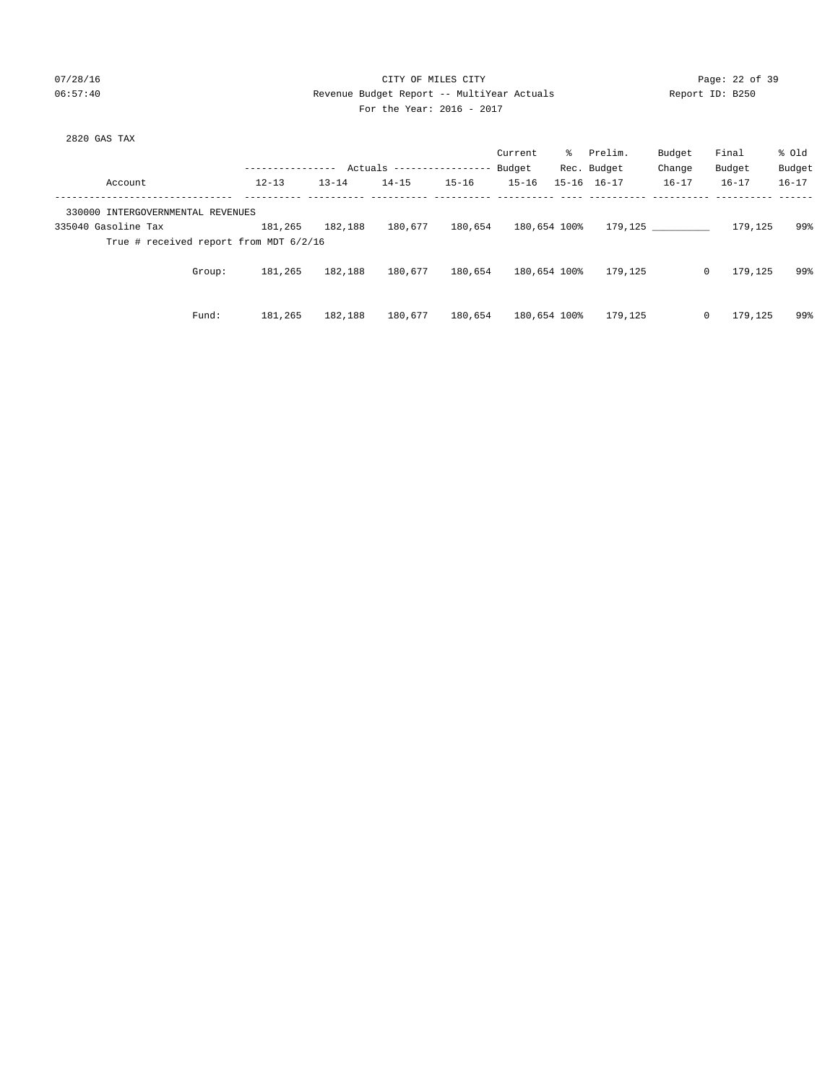# 07/28/16 Page: 22 of 39 06:57:40 Revenue Budget Report -- MultiYear Actuals Report ID: B250 For the Year: 2016 - 2017

| 2820 GAS TAX                           |                  |           |                                  |           |              |             |            |           |           |
|----------------------------------------|------------------|-----------|----------------------------------|-----------|--------------|-------------|------------|-----------|-----------|
|                                        |                  |           |                                  |           | Current      | % Prelim.   | Budget     | Final     | % old     |
|                                        | ---------------- |           | Actuals ----------------- Budget |           |              | Rec. Budget | Change     | Budget    | Budget    |
| Account                                | $12 - 13$        | $13 - 14$ | $14 - 15$                        | $15 - 16$ | $15 - 16$    | 15-16 16-17 | $16 - 17$  | $16 - 17$ | $16 - 17$ |
| 330000 INTERGOVERNMENTAL REVENUES      |                  |           |                                  |           |              |             |            |           |           |
| 335040 Gasoline Tax                    | 181,265          | 182,188   | 180,677                          | 180,654   | 180,654 100% |             | 179, 125   | 179,125   | 99%       |
| True # received report from MDT 6/2/16 |                  |           |                                  |           |              |             |            |           |           |
| Group:                                 | 181,265          | 182,188   | 180,677                          | 180,654   | 180,654 100% | 179,125     | $\circ$    | 179,125   | 99%       |
| Fund:                                  | 181,265          | 182,188   | 180,677                          | 180,654   | 180,654 100% | 179,125     | $^{\circ}$ | 179,125   | 99%       |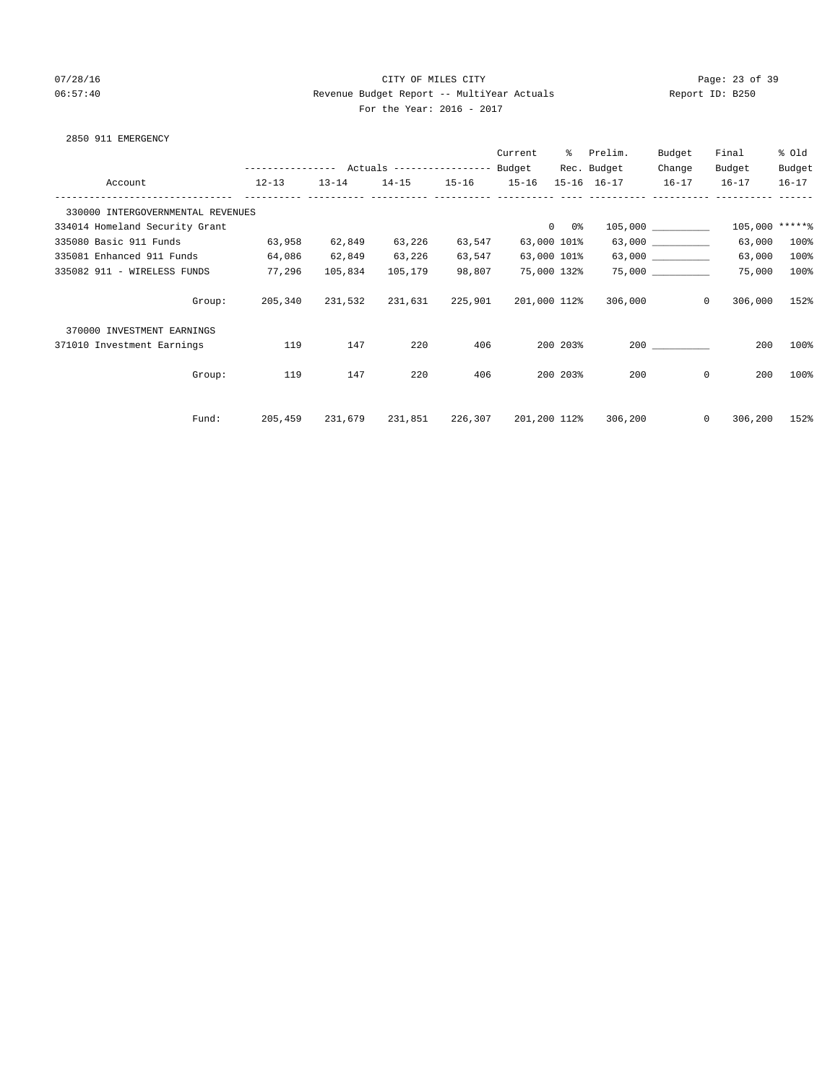# 07/28/16 Page: 23 of 39 06:57:40 Revenue Budget Report -- MultiYear Actuals Report ID: B250 For the Year: 2016 - 2017

### 2850 911 EMERGENCY

|                                   |                                                 |           |                         |                   | Current      |               | % Prelim.                                    | Budget       | Final          | % old     |
|-----------------------------------|-------------------------------------------------|-----------|-------------------------|-------------------|--------------|---------------|----------------------------------------------|--------------|----------------|-----------|
|                                   | --------------- Actuals ---------------- Budget |           |                         |                   |              |               | Rec. Budget                                  | Change       | Budget         | Budget    |
| Account                           | $12 - 13$                                       | $13 - 14$ |                         | 14-15 15-16 15-16 |              |               | 15-16 16-17                                  | $16 - 17$    | $16 - 17$      | $16 - 17$ |
|                                   |                                                 |           |                         |                   |              |               |                                              |              |                |           |
| 330000 INTERGOVERNMENTAL REVENUES |                                                 |           |                         |                   |              |               |                                              |              |                |           |
| 334014 Homeland Security Grant    |                                                 |           |                         |                   |              | $0\qquad 0$ % |                                              |              | 105,000 *****% |           |
| 335080 Basic 911 Funds 63,958     |                                                 | 62,849    | 63,226                  | 63,547            |              | 63,000 101%   |                                              |              | 63,000         | 100%      |
| 335081 Enhanced 911 Funds         | 64,086                                          | 62,849    | 63,226                  | 63,547            |              | 63,000 101%   |                                              | 63,000       | 63,000         | 100%      |
| 335082 911 - WIRELESS FUNDS       | 77,296                                          | 105,834   | 105,179                 | 98,807            | 75,000 132%  |               |                                              | 75,000       | 75,000         | 100%      |
|                                   |                                                 |           |                         |                   |              |               |                                              |              |                |           |
| Group:                            | 205,340                                         |           | 231,532 231,631 225,901 |                   | 201,000 112% |               | 306,000                                      | $\circ$      | 306,000        | 152%      |
|                                   |                                                 |           |                         |                   |              |               |                                              |              |                |           |
| 370000 INVESTMENT EARNINGS        |                                                 |           |                         |                   |              |               |                                              |              |                |           |
| 371010 Investment Earnings        | 119                                             | 147       | 220                     | 406               |              | 200 203%      |                                              | 200          | 200            | 100%      |
|                                   |                                                 |           |                         |                   |              |               |                                              |              |                |           |
| Group:                            | 119                                             | 147       | 220                     | 406               |              | 200 203%      | 200                                          | $\mathbf{0}$ | 200            | 100%      |
|                                   |                                                 |           |                         |                   |              |               |                                              |              |                |           |
|                                   |                                                 |           |                         |                   |              |               |                                              |              |                |           |
| Fund:                             | 205,459                                         |           |                         |                   |              |               | 231,679 231,851 226,307 201,200 112% 306,200 | $\circ$      | 306,200        | 152%      |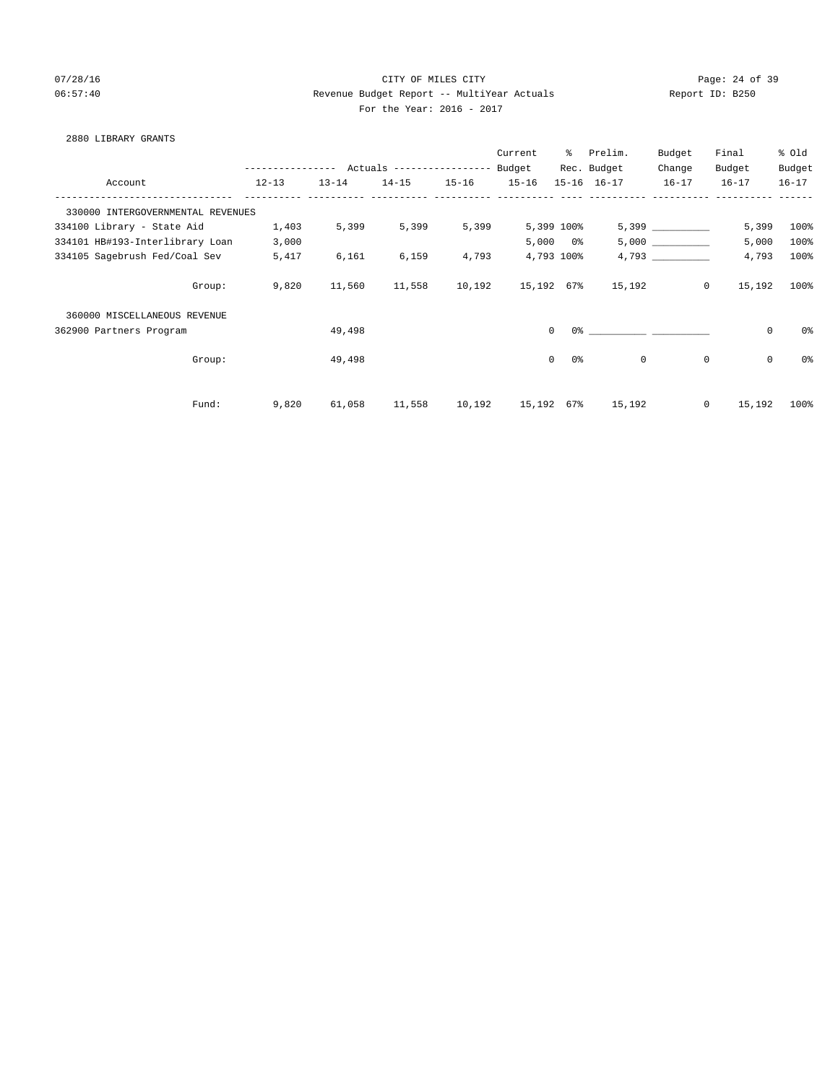# 07/28/16 Page: 24 of 39 06:57:40 Revenue Budget Report -- MultiYear Actuals Report ID: B250 For the Year: 2016 - 2017

### 2880 LIBRARY GRANTS

|                                   |                                            |           |           |           | Current    | $\approx$      | Prelim.                | Budget      | Final       | % old          |
|-----------------------------------|--------------------------------------------|-----------|-----------|-----------|------------|----------------|------------------------|-------------|-------------|----------------|
|                                   | ---------------- Actuals ----------------- |           |           |           | Budget     |                | Rec. Budget            | Change      | Budget      | Budget         |
| Account                           | $12 - 13$                                  | $13 - 14$ | $14 - 15$ | $15 - 16$ | $15 - 16$  |                | 15-16 16-17            | $16 - 17$   | $16 - 17$   | $16 - 17$      |
| 330000 INTERGOVERNMENTAL REVENUES |                                            |           |           |           |            |                |                        |             |             |                |
| 334100 Library - State Aid        | 1,403                                      | 5,399     | 5,399     | 5,399     |            | 5,399 100%     |                        |             | 5,399       | 100%           |
| 334101 HB#193-Interlibrary Loan   | 3,000                                      |           |           |           | 5,000      | _ 0%           |                        |             | 5,000       | 100%           |
| 334105 Sagebrush Fed/Coal Sev     | 5,417                                      | 6,161     | 6,159     | 4,793     |            | 4,793 100%     |                        |             | 4,793       | 100%           |
| Group:                            | 9,820                                      | 11,560    | 11,558    | 10,192    | 15,192 67% |                | 15,192                 | $\circ$     | 15,192      | 100%           |
| 360000 MISCELLANEOUS REVENUE      |                                            |           |           |           |            |                |                        |             |             |                |
| 362900 Partners Program           |                                            | 49,498    |           |           | $\Omega$   |                | $0$ % 이 아이에 이 아이에 있어요. |             | $\mathbf 0$ | 0 <sup>o</sup> |
| Group:                            |                                            | 49,498    |           |           | $\Omega$   | 0 <sup>o</sup> | $\mathbf{0}$           | $\mathbf 0$ | $\mathbf 0$ | 0 <sup>°</sup> |
| Fund:                             | 9,820                                      | 61,058    | 11,558    | 10,192    | 15,192 67% |                | 15,192                 | $\circ$     | 15,192      | $100\%$        |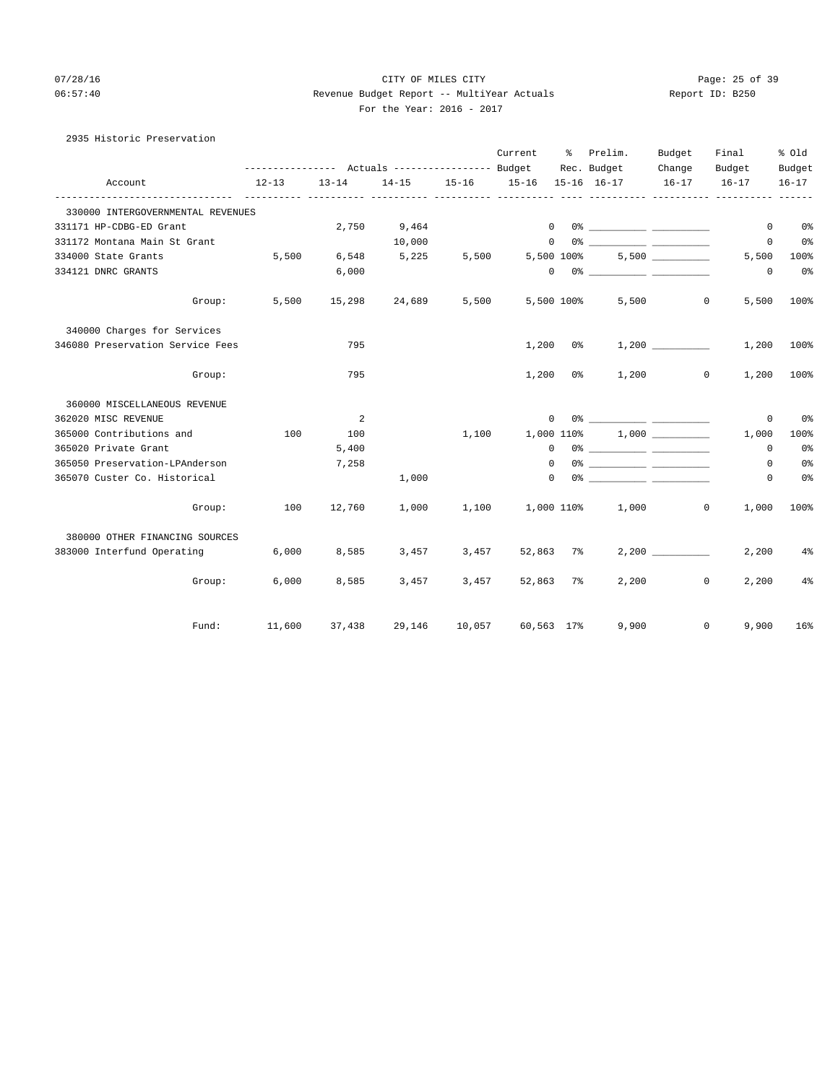# 07/28/16 Page: 25 of 39 06:57:40 Revenue Budget Report -- MultiYear Actuals Report ID: B250 For the Year: 2016 - 2017

|  | 2935 Historic Preservation |
|--|----------------------------|
|  |                            |

|                                   |                                                 |           |               |        | Current                                                 | ိ   | Prelim.                                                                                                                                                                                                                                                                                                                                                            | Budget    | Final                 | % old          |
|-----------------------------------|-------------------------------------------------|-----------|---------------|--------|---------------------------------------------------------|-----|--------------------------------------------------------------------------------------------------------------------------------------------------------------------------------------------------------------------------------------------------------------------------------------------------------------------------------------------------------------------|-----------|-----------------------|----------------|
|                                   | --------------- Actuals ---------------- Budget |           |               |        |                                                         |     | Rec. Budget                                                                                                                                                                                                                                                                                                                                                        | Change    | Budget                | Budget         |
| Account                           | $12 - 13$<br>_______________                    | $13 - 14$ | $\frac{1}{2}$ |        | 14-15 15-16 15-16 15-16 16-17<br>_____ ____<br>----- -- |     |                                                                                                                                                                                                                                                                                                                                                                    | $16 - 17$ | $16 - 17$             | $16 - 17$      |
| 330000 INTERGOVERNMENTAL REVENUES |                                                 |           |               |        |                                                         |     |                                                                                                                                                                                                                                                                                                                                                                    |           |                       |                |
| 331171 HP-CDBG-ED Grant           |                                                 | 2,750     | 9,464         |        |                                                         |     | $\begin{picture}(150,10) \put(0,0){\vector(1,0){100}} \put(15,0){\vector(1,0){100}} \put(15,0){\vector(1,0){100}} \put(15,0){\vector(1,0){100}} \put(15,0){\vector(1,0){100}} \put(15,0){\vector(1,0){100}} \put(15,0){\vector(1,0){100}} \put(15,0){\vector(1,0){100}} \put(15,0){\vector(1,0){100}} \put(15,0){\vector(1,0){100}} \put(15,0){\vector(1,0){100}}$ |           | $\mathbf{0}$          | 0%             |
| 331172 Montana Main St Grant      |                                                 |           | 10,000        |        |                                                         |     | $\begin{picture}(150,10) \put(0,0){\vector(1,0){100}} \put(15,0){\vector(1,0){100}} \put(15,0){\vector(1,0){100}} \put(15,0){\vector(1,0){100}} \put(15,0){\vector(1,0){100}} \put(15,0){\vector(1,0){100}} \put(15,0){\vector(1,0){100}} \put(15,0){\vector(1,0){100}} \put(15,0){\vector(1,0){100}} \put(15,0){\vector(1,0){100}} \put(15,0){\vector(1,0){100}}$ |           | $\mathbf 0$           | 0%             |
| 334000 State Grants               | 5,500                                           | 6,548     | 5,225         | 5,500  | 5,500 100%                                              |     |                                                                                                                                                                                                                                                                                                                                                                    | 5,500     | 5,500                 | 100%           |
| 334121 DNRC GRANTS                |                                                 | 6,000     |               |        |                                                         |     | $\begin{picture}(150,10) \put(0,0){\vector(1,0){100}} \put(15,0){\vector(1,0){100}} \put(15,0){\vector(1,0){100}} \put(15,0){\vector(1,0){100}} \put(15,0){\vector(1,0){100}} \put(15,0){\vector(1,0){100}} \put(15,0){\vector(1,0){100}} \put(15,0){\vector(1,0){100}} \put(15,0){\vector(1,0){100}} \put(15,0){\vector(1,0){100}} \put(15,0){\vector(1,0){100}}$ |           | 0                     | 0 <sup>°</sup> |
| Group:                            | 5,500                                           | 15,298    | 24,689        | 5,500  | 5,500 100%                                              |     |                                                                                                                                                                                                                                                                                                                                                                    | 5,500     | 5,500<br>$\circ$      | 100%           |
| 340000 Charges for Services       |                                                 |           |               |        |                                                         |     |                                                                                                                                                                                                                                                                                                                                                                    |           |                       |                |
| 346080 Preservation Service Fees  |                                                 | 795       |               |        | 1,200                                                   | 0%  |                                                                                                                                                                                                                                                                                                                                                                    |           | 1,200                 | 100%           |
| Group:                            |                                                 | 795       |               |        | $1,200$ $0$ %                                           |     |                                                                                                                                                                                                                                                                                                                                                                    | 1,200     | $\circ$<br>1,200      | 100%           |
| 360000 MISCELLANEOUS REVENUE      |                                                 |           |               |        |                                                         |     |                                                                                                                                                                                                                                                                                                                                                                    |           |                       |                |
| 362020 MISC REVENUE               |                                                 | 2         |               |        | $\mathbf{0}$                                            |     |                                                                                                                                                                                                                                                                                                                                                                    |           | 0                     | 0%             |
| 365000 Contributions and          | 100                                             | 100       |               | 1,100  | 1,000 110%                                              |     |                                                                                                                                                                                                                                                                                                                                                                    |           | 1,000                 | 100%           |
| 365020 Private Grant              |                                                 | 5,400     |               |        | $\Omega$                                                |     |                                                                                                                                                                                                                                                                                                                                                                    |           | $\Omega$              | 0%             |
| 365050 Preservation-LPAnderson    |                                                 | 7,258     |               |        | $\Omega$                                                |     |                                                                                                                                                                                                                                                                                                                                                                    |           | $\Omega$              | $0\,$          |
| 365070 Custer Co. Historical      |                                                 |           | 1,000         |        | $\Omega$                                                |     |                                                                                                                                                                                                                                                                                                                                                                    |           | $\Omega$              | 0 <sup>o</sup> |
| Group:                            | 100                                             | 12,760    | 1,000         |        | 1,100 1,000 110%                                        |     |                                                                                                                                                                                                                                                                                                                                                                    | 1,000     | $\mathbf{0}$<br>1,000 | 100%           |
| 380000 OTHER FINANCING SOURCES    |                                                 |           |               |        |                                                         |     |                                                                                                                                                                                                                                                                                                                                                                    |           |                       |                |
| 383000 Interfund Operating        | 6,000                                           | 8,585     | 3,457         | 3,457  | 52,863                                                  | 7%ะ |                                                                                                                                                                                                                                                                                                                                                                    | 2,200     | 2,200                 | $4\%$          |
| Group:                            | 6,000                                           | 8,585     | 3,457         | 3,457  | 52,863 7%                                               |     |                                                                                                                                                                                                                                                                                                                                                                    | 2,200     | $\circ$<br>2,200      | $4\%$          |
| Fund:                             | 11,600                                          | 37,438    | 29,146        | 10,057 | 60,563 17%                                              |     | 9,900                                                                                                                                                                                                                                                                                                                                                              |           | $\circ$<br>9,900      | 16%            |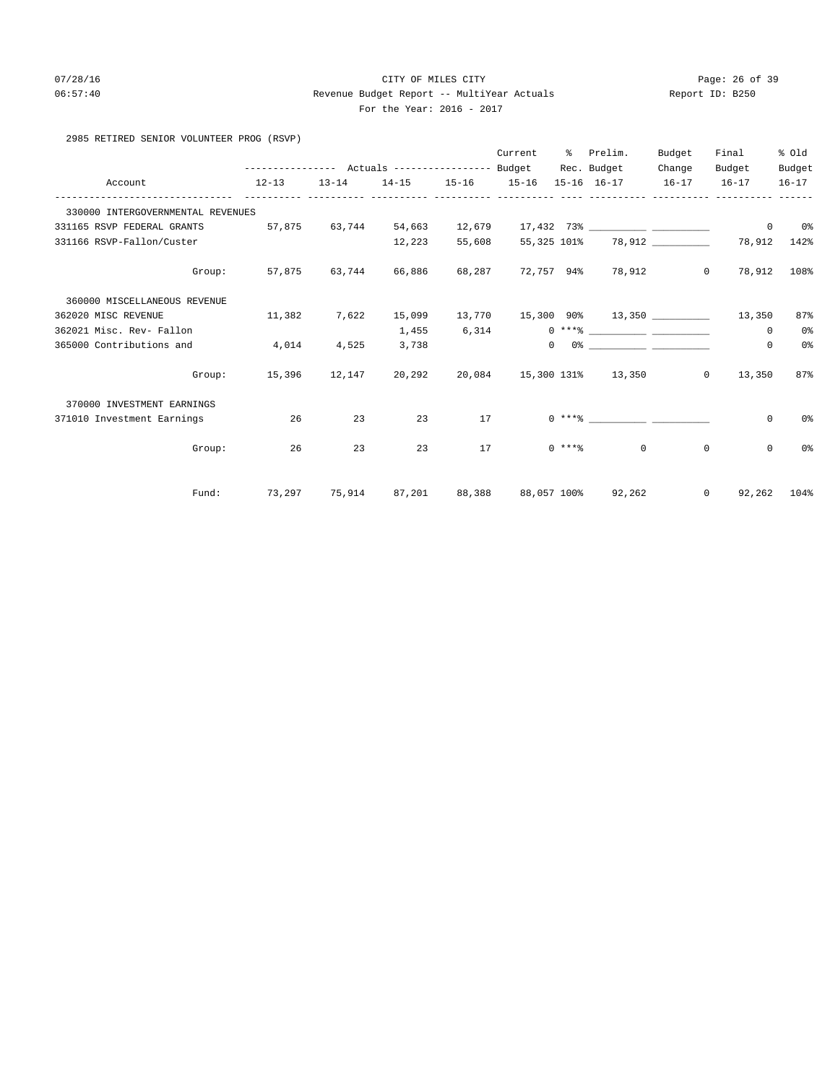# 07/28/16 Page: 26 of 39 06:57:40 Revenue Budget Report -- MultiYear Actuals Report ID: B250 For the Year: 2016 - 2017

|  |  |  | 2985 RETIRED SENIOR VOLUNTEER PROG (RSVP) |  |  |
|--|--|--|-------------------------------------------|--|--|
|--|--|--|-------------------------------------------|--|--|

|                                   |                                                                                  |       | --------------- Actuals ---------------- Budget Rec. Budget |        | Current | - ေ | Prelim.                                                                                                                                                                                                                                                                                                                                                            | Budget<br>Change | Final<br>Budget         | % old<br>Budget |
|-----------------------------------|----------------------------------------------------------------------------------|-------|-------------------------------------------------------------|--------|---------|-----|--------------------------------------------------------------------------------------------------------------------------------------------------------------------------------------------------------------------------------------------------------------------------------------------------------------------------------------------------------------------|------------------|-------------------------|-----------------|
| Account                           | $12 - 13$                                                                        |       |                                                             |        |         |     | $13-14$ $14-15$ $15-16$ $15-16$ $15-16$ $16-17$ $16-17$ $16-17$ $16-17$                                                                                                                                                                                                                                                                                            |                  |                         |                 |
| 330000 INTERGOVERNMENTAL REVENUES |                                                                                  |       |                                                             |        |         |     |                                                                                                                                                                                                                                                                                                                                                                    |                  |                         |                 |
| 331165 RSVP FEDERAL GRANTS        | 57,875   63,744   54,663   12,679   17,432 73%      ____________________________ |       |                                                             |        |         |     |                                                                                                                                                                                                                                                                                                                                                                    |                  | $\circ$                 | 0 %             |
| 331166 RSVP-Fallon/Custer         |                                                                                  |       | 12,223                                                      | 55,608 |         |     | 55,325 101% 78,912 78,912                                                                                                                                                                                                                                                                                                                                          |                  |                         | 142%            |
|                                   | Group: 57,875 63,744 66,886 68,287 72,757 94% 78,912 0 78,912 108%               |       |                                                             |        |         |     |                                                                                                                                                                                                                                                                                                                                                                    |                  |                         |                 |
| 360000 MISCELLANEOUS REVENUE      |                                                                                  |       |                                                             |        |         |     |                                                                                                                                                                                                                                                                                                                                                                    |                  |                         |                 |
| 362020 MISC REVENUE 11,382        |                                                                                  | 7,622 |                                                             |        |         |     | $15,099$ $13,770$ $15,300$ $90\%$ $13,350$ $130$ $13,350$                                                                                                                                                                                                                                                                                                          |                  |                         | 87%             |
| 362021 Misc. Rev- Fallon          |                                                                                  |       | 1,455                                                       | 6,314  |         |     |                                                                                                                                                                                                                                                                                                                                                                    |                  | $^{\circ}$              | 0%              |
| 365000 Contributions and          | 4,014                                                                            | 4,525 | 3,738                                                       |        |         |     | $\begin{picture}(180,10) \put(0,0){\vector(1,0){100}} \put(10,0){\vector(1,0){100}} \put(10,0){\vector(1,0){100}} \put(10,0){\vector(1,0){100}} \put(10,0){\vector(1,0){100}} \put(10,0){\vector(1,0){100}} \put(10,0){\vector(1,0){100}} \put(10,0){\vector(1,0){100}} \put(10,0){\vector(1,0){100}} \put(10,0){\vector(1,0){100}} \put(10,0){\vector(1,0){100}}$ |                  | $\circ$                 | 0%              |
|                                   | Group: 15,396 12,147 20,292 20,084 15,300 131% 13,350 0 13,350                   |       |                                                             |        |         |     |                                                                                                                                                                                                                                                                                                                                                                    |                  |                         | 87%             |
| 370000 INVESTMENT EARNINGS        |                                                                                  |       |                                                             |        |         |     |                                                                                                                                                                                                                                                                                                                                                                    |                  |                         |                 |
| 371010 Investment Earnings        | 26                                                                               | 23    | 23                                                          | 17     |         |     |                                                                                                                                                                                                                                                                                                                                                                    |                  | $\circ$                 | 0%              |
| Group:                            | 26                                                                               | 23    | 23                                                          |        | 17      |     | $0 \leftarrow \ast \ast \ast$ 0                                                                                                                                                                                                                                                                                                                                    |                  | $\circ$<br>$\mathbf{0}$ | 0 <sup>°</sup>  |
| Fund:                             | 73,297 75,914 87,201 88,388 88,057 100% 92,262                                   |       |                                                             |        |         |     |                                                                                                                                                                                                                                                                                                                                                                    |                  | $0$ 92,262 104%         |                 |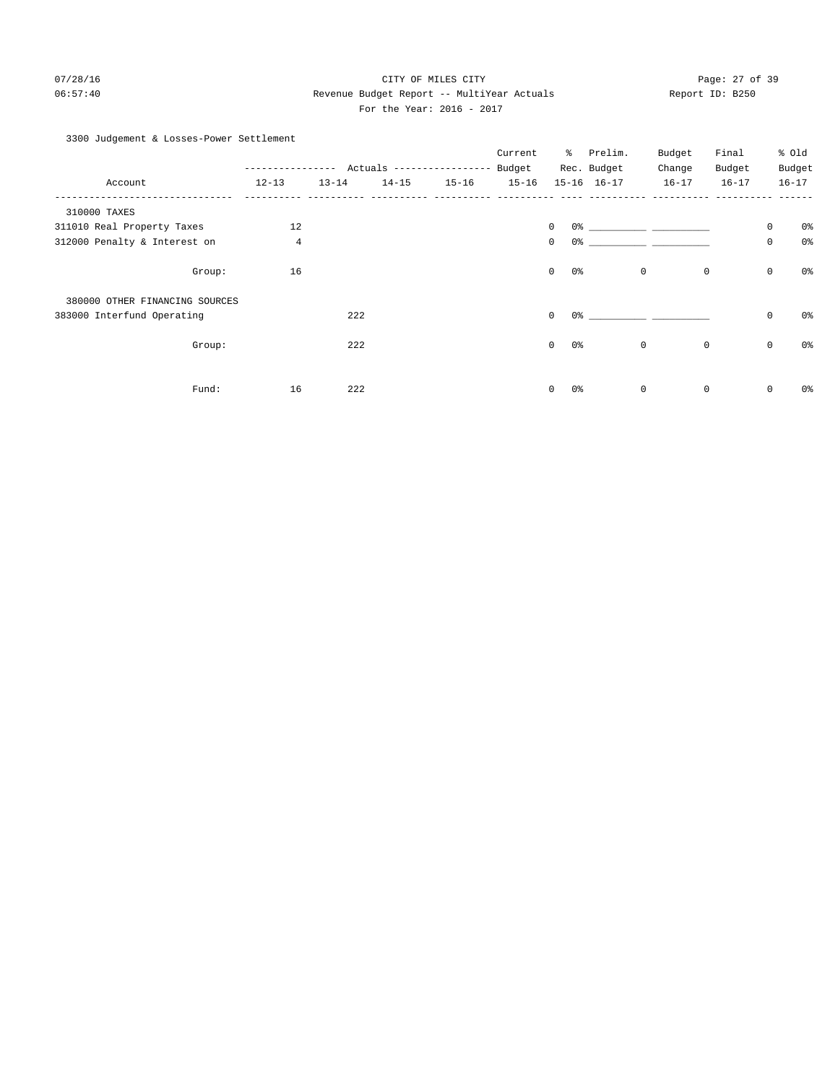# 07/28/16 Page: 27 of 39 06:57:40 Revenue Budget Report -- MultiYear Actuals Report ID: B250 For the Year: 2016 - 2017

### 3300 Judgement & Losses-Power Settlement

|                                |                |            |           |                                  | Current   | ႜၟ           | Prelim.     | Budget                                                                                                                                                                                                                      | Final       |                     | % Old          |
|--------------------------------|----------------|------------|-----------|----------------------------------|-----------|--------------|-------------|-----------------------------------------------------------------------------------------------------------------------------------------------------------------------------------------------------------------------------|-------------|---------------------|----------------|
|                                |                | ---------- |           | Actuals ----------------- Budget |           |              | Rec. Budget | Change                                                                                                                                                                                                                      | Budget      |                     | Budget         |
| Account                        | $12 - 13$      | $13 - 14$  | $14 - 15$ | $15 - 16$                        | $15 - 16$ |              | 15-16 16-17 | $16 - 17$                                                                                                                                                                                                                   | $16 - 17$   |                     | $16 - 17$      |
| 310000 TAXES                   |                |            |           |                                  |           |              |             |                                                                                                                                                                                                                             |             |                     |                |
| 311010 Real Property Taxes     | 12             |            |           |                                  |           | $\mathbf 0$  |             |                                                                                                                                                                                                                             |             | $\mathsf{O}\xspace$ | 0 <sup>o</sup> |
| 312000 Penalty & Interest on   | $\overline{4}$ |            |           |                                  |           | $\mathbf 0$  |             |                                                                                                                                                                                                                             |             | $\mathsf{O}\xspace$ | 0 <sup>°</sup> |
| Group:                         | 16             |            |           |                                  |           | $\mathbf{0}$ | 0%          | $\mathbf 0$                                                                                                                                                                                                                 | $\mathbf 0$ | $\mathsf 0$         | 0 <sup>o</sup> |
| 380000 OTHER FINANCING SOURCES |                |            |           |                                  |           |              |             |                                                                                                                                                                                                                             |             |                     |                |
| 383000 Interfund Operating     |                | 222        |           |                                  |           | $\mathbf 0$  |             | $0$ % and $0$ % and $0$ % and $0$ % and $0$ % and $0$ % and $0$ % and $0$ % and $0$ % and $0$ % and $0$ % and $0$ % and $0$ % and $0$ % and $0$ % and $0$ % and $0$ % and $0$ % and $0$ % and $0$ % and $0$ % and $0$ % and |             | $\mathsf{O}\xspace$ | 0 <sup>o</sup> |
| Group:                         |                | 222        |           |                                  |           | $\mathbf{0}$ | 0%          | $\mathbf 0$                                                                                                                                                                                                                 | $\mathbf 0$ | $\mathsf 0$         | 0 <sup>o</sup> |
| Fund:                          | 16             | 222        |           |                                  |           | $\mathbf{0}$ | $0\,$       | $\mathbf 0$                                                                                                                                                                                                                 | $\circ$     | $\circ$             | 0%             |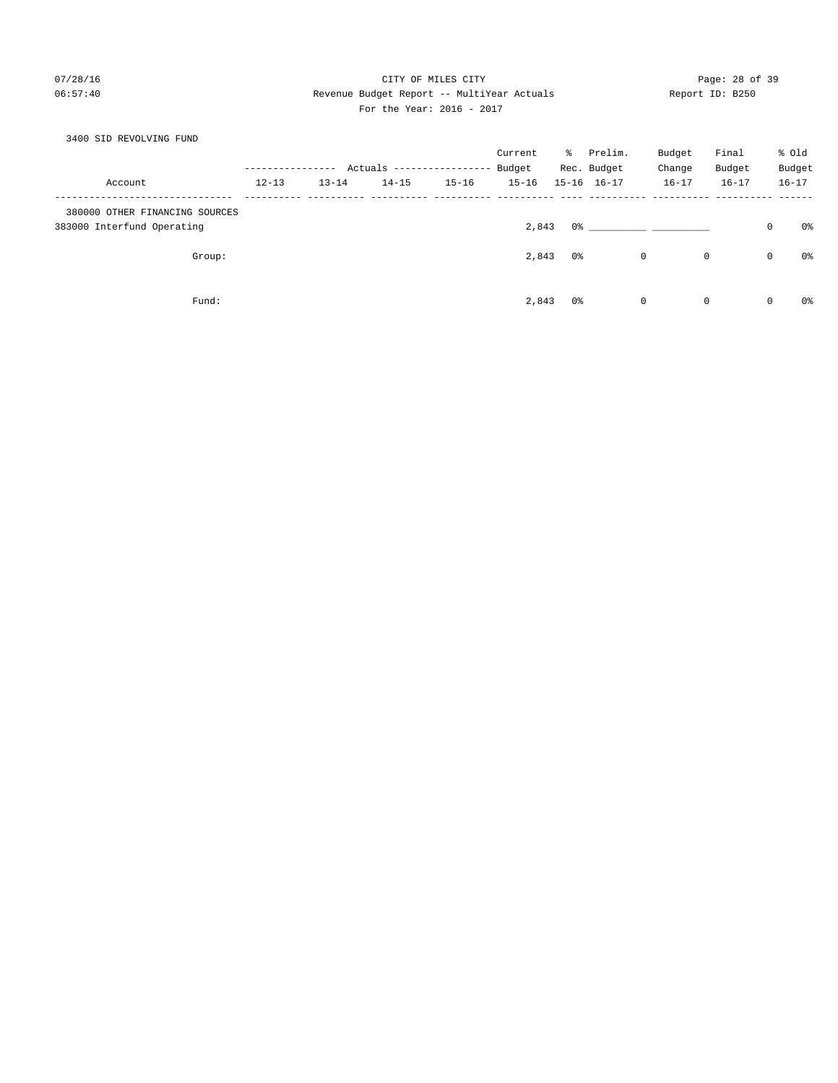# 07/28/16 Page: 28 of 39 06:57:40 Revenue Budget Report -- MultiYear Actuals Report ID: B250 For the Year: 2016 - 2017

## 3400 SID REVOLVING FUND

|                                |           |                            |           |           | Current   | ိ   | Prelim.             | Budget    | Final        |             | % old     |
|--------------------------------|-----------|----------------------------|-----------|-----------|-----------|-----|---------------------|-----------|--------------|-------------|-----------|
|                                |           | Actuals ------------------ |           |           |           |     | Rec. Budget         | Change    | Budget       |             | Budget    |
| Account                        | $12 - 13$ | $13 - 14$                  | $14 - 15$ | $15 - 16$ | $15 - 16$ |     | $15 - 16$ $16 - 17$ | $16 - 17$ | $16 - 17$    |             | $16 - 17$ |
| 380000 OTHER FINANCING SOURCES |           |                            |           |           |           |     |                     |           |              |             |           |
| 383000 Interfund Operating     |           |                            |           |           | 2,843     |     |                     |           |              | 0           | 0%        |
| Group:                         |           |                            |           |           | 2,843     | 0 % |                     | 0         | $\mathbf{0}$ | $\mathbf 0$ | 0%        |
| Fund:                          |           |                            |           |           | 2,843     | 0%  |                     | 0         | $\mathbf 0$  | 0           | 0%        |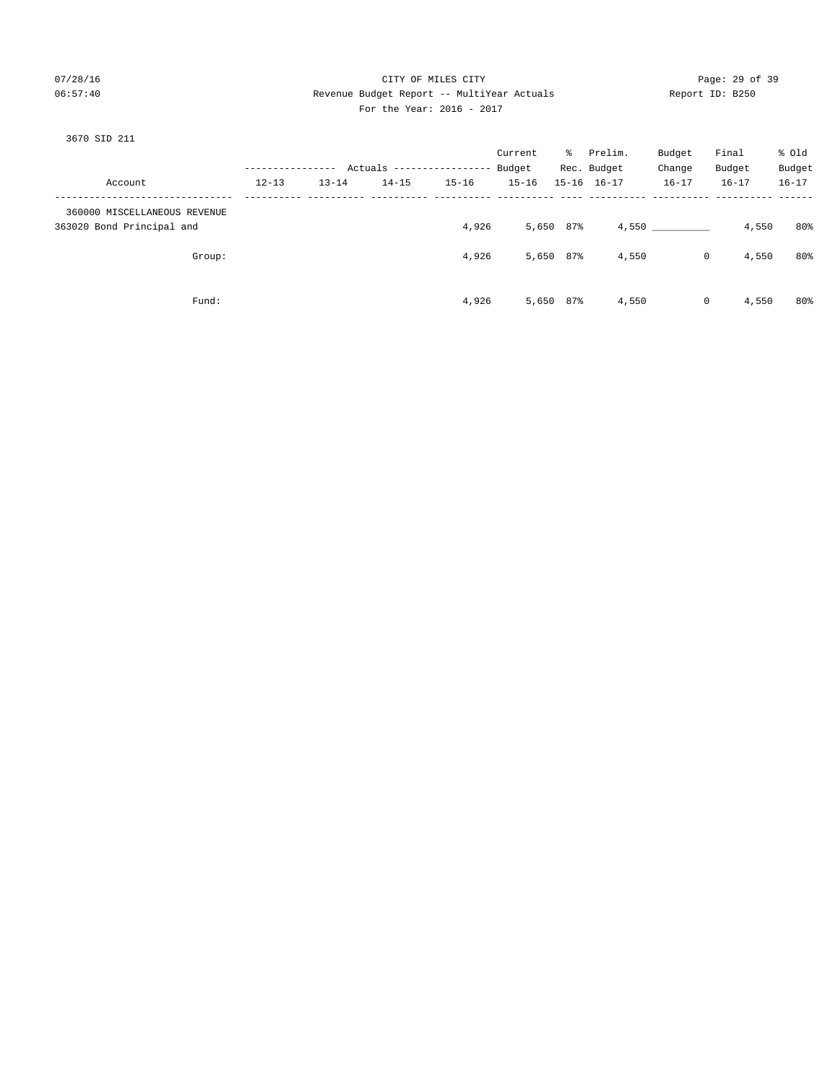# 07/28/16 Page: 29 of 39 06:57:40 Revenue Budget Report -- MultiYear Actuals Report ID: B250 For the Year: 2016 - 2017

|                                                           |           |           |                            |           | Current   |           | % Prelim.           | Budget       | Final     | % old     |
|-----------------------------------------------------------|-----------|-----------|----------------------------|-----------|-----------|-----------|---------------------|--------------|-----------|-----------|
|                                                           |           |           | Actuals ------------------ |           | Budget    |           | Rec. Budget         | Change       | Budget    | Budget    |
| Account                                                   | $12 - 13$ | $13 - 14$ | $14 - 15$                  | $15 - 16$ | $15 - 16$ |           | $15 - 16$ $16 - 17$ | $16 - 17$    | $16 - 17$ | $16 - 17$ |
| 360000 MISCELLANEOUS REVENUE<br>363020 Bond Principal and |           |           |                            | 4,926     |           | 5,650 87% |                     | 4,550        | 4,550     | 80%       |
| Group:                                                    |           |           |                            | 4,926     |           | 5,650 87% | 4,550               | $\mathbf{0}$ | 4,550     | $80\%$    |
| Fund:                                                     |           |           |                            | 4,926     |           | 5,650 87% | 4,550               | $\mathbf 0$  | 4,550     | $80\%$    |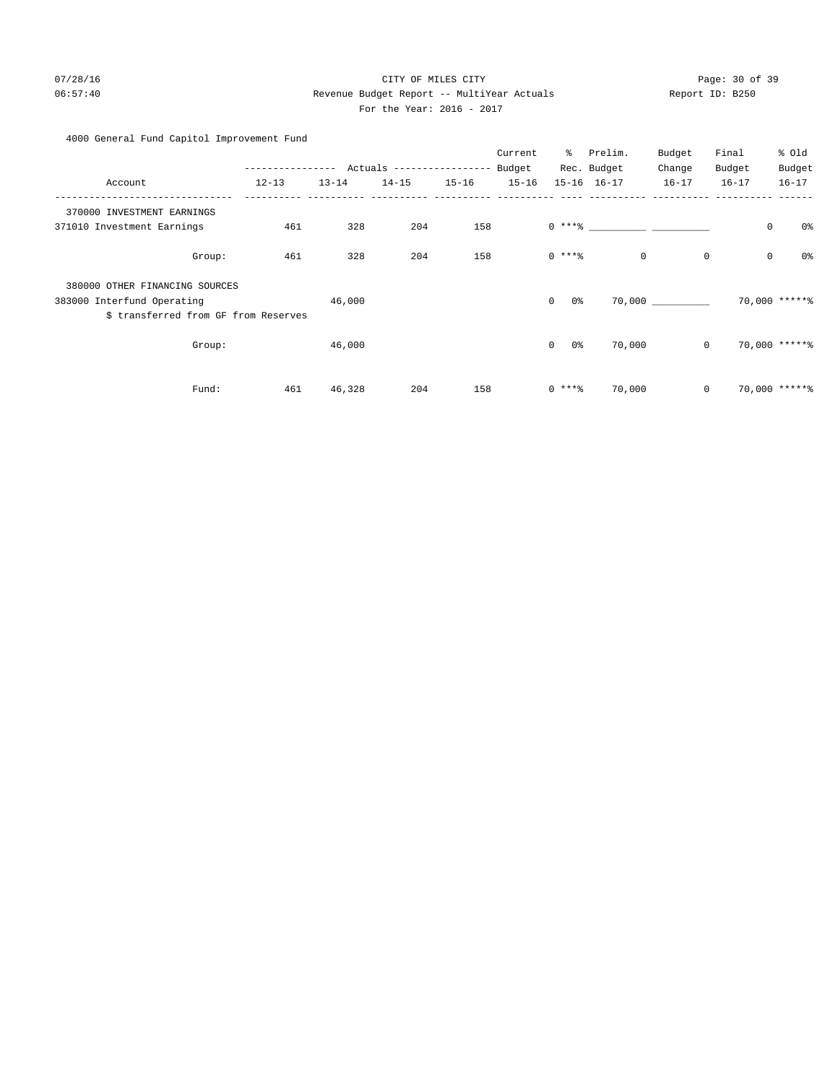# 07/28/16 Page: 30 of 39 06:57:40 Revenue Budget Report -- MultiYear Actuals Report ID: B250 For the Year: 2016 - 2017

# 4000 General Fund Capitol Improvement Fund

|                                      |                  |           |                           |           | Current   | ႜႜႜ                   | Prelim.                       | Budget       | Final     | % Old             |
|--------------------------------------|------------------|-----------|---------------------------|-----------|-----------|-----------------------|-------------------------------|--------------|-----------|-------------------|
|                                      | ---------------- |           | Actuals ----------------- |           | Budget    |                       | Rec. Budget                   | Change       | Budget    | Budget            |
| Account                              | $12 - 13$        | $13 - 14$ | $14 - 15$                 | $15 - 16$ | $15 - 16$ |                       | $15 - 16$ $16 - 17$           | $16 - 17$    | $16 - 17$ | $16 - 17$         |
| 370000 INVESTMENT EARNINGS           |                  |           |                           |           |           |                       |                               |              |           |                   |
| 371010 Investment Earnings           | 461              | 328       | 204                       | 158       |           |                       | $0***$ $\qquad \qquad \qquad$ |              |           | 0<br>0%           |
| Group:                               | 461              | 328       | 204                       | 158       |           | $0***$                | $\circ$                       | $\mathbf 0$  |           | $\mathsf 0$<br>0% |
| 380000 OTHER FINANCING SOURCES       |                  |           |                           |           |           |                       |                               |              |           |                   |
| 383000 Interfund Operating           |                  | 46,000    |                           |           |           | $\overline{0}$<br>0 % |                               | 70,000 000   |           | 70,000 ******     |
| \$ transferred from GF from Reserves |                  |           |                           |           |           |                       |                               |              |           |                   |
| Group:                               |                  | 46,000    |                           |           |           | $\circ$<br>0 %        | 70,000                        | $\circ$      |           | 70,000 ******     |
| Fund:                                | 461              | 46,328    | 204                       | 158       |           | $0***8$               | 70,000                        | $\mathbf{0}$ |           | 70,000 *****%     |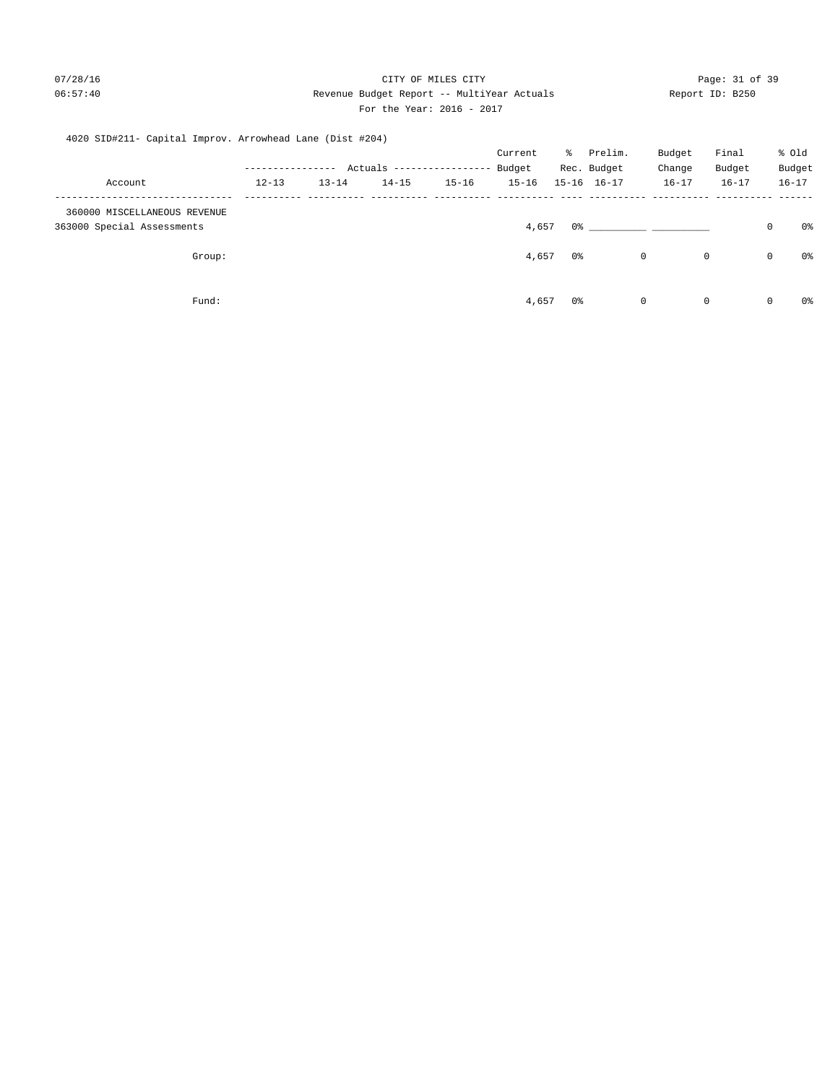### 07/28/16 CITY OF MILES CITY Page: 31 of 39 06:57:40 Revenue Budget Report -- MultiYear Actuals Report ID: B250 For the Year: 2016 - 2017

# 4020 SID#211- Capital Improv. Arrowhead Lane (Dist #204)

|                                                            |                  |           |                            |           | Current   | ွေ  | Prelim.             | Budget    | Final       |             | % Old     |
|------------------------------------------------------------|------------------|-----------|----------------------------|-----------|-----------|-----|---------------------|-----------|-------------|-------------|-----------|
|                                                            | ---------------- |           | Actuals ------------------ |           | Budget    |     | Rec. Budget         | Change    | Budget      |             | Budget    |
| Account                                                    | $12 - 13$        | $13 - 14$ | $14 - 15$                  | $15 - 16$ | $15 - 16$ |     | $15 - 16$ $16 - 17$ | $16 - 17$ | $16 - 17$   |             | $16 - 17$ |
| 360000 MISCELLANEOUS REVENUE<br>363000 Special Assessments |                  |           |                            |           | 4,657     | 0%  |                     |           |             | $\mathbf 0$ | 0%        |
| Group:                                                     |                  |           |                            |           | 4,657     | 0 % |                     | 0         | 0           | $\mathbf 0$ | 0%        |
| Fund:                                                      |                  |           |                            |           | 4,657     | 0%  |                     | 0         | $\mathbf 0$ | $\mathbf 0$ | 0%        |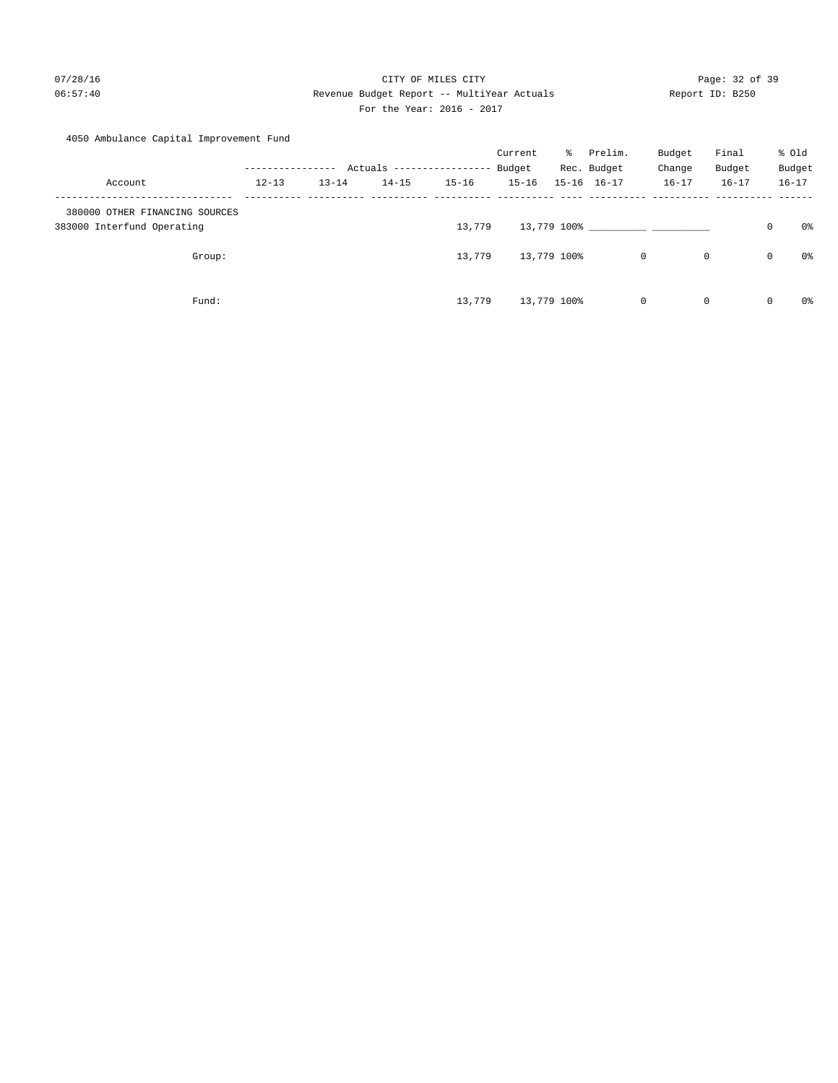# 07/28/16 Page: 32 of 39 06:57:40 Revenue Budget Report -- MultiYear Actuals Report ID: B250 For the Year: 2016 - 2017

# 4050 Ambulance Capital Improvement Fund

|                                |                  |           |                           |           | Current   | ႜႜ          | Prelim.             | Budget      | Final     |             | % Old     |
|--------------------------------|------------------|-----------|---------------------------|-----------|-----------|-------------|---------------------|-------------|-----------|-------------|-----------|
|                                | ---------------- |           | Actuals ----------------- |           | Budget    |             | Rec. Budget         | Change      | Budget    |             | Budget    |
| Account                        | $12 - 13$        | $13 - 14$ | $14 - 15$                 | $15 - 16$ | $15 - 16$ |             | $15 - 16$ $16 - 17$ | $16 - 17$   | $16 - 17$ |             | $16 - 17$ |
| 380000 OTHER FINANCING SOURCES |                  |           |                           |           |           |             |                     |             |           |             |           |
| 383000 Interfund Operating     |                  |           |                           | 13,779    |           |             |                     | 13,779 100% |           | $\mathbf 0$ | 0%        |
| Group:                         |                  |           |                           | 13,779    |           | 13,779 100% |                     | 0           | 0         | $\mathbf 0$ | 0%        |
| Fund:                          |                  |           |                           | 13,779    |           | 13,779 100% |                     | 0           | 0         | $\mathbf 0$ | 0%        |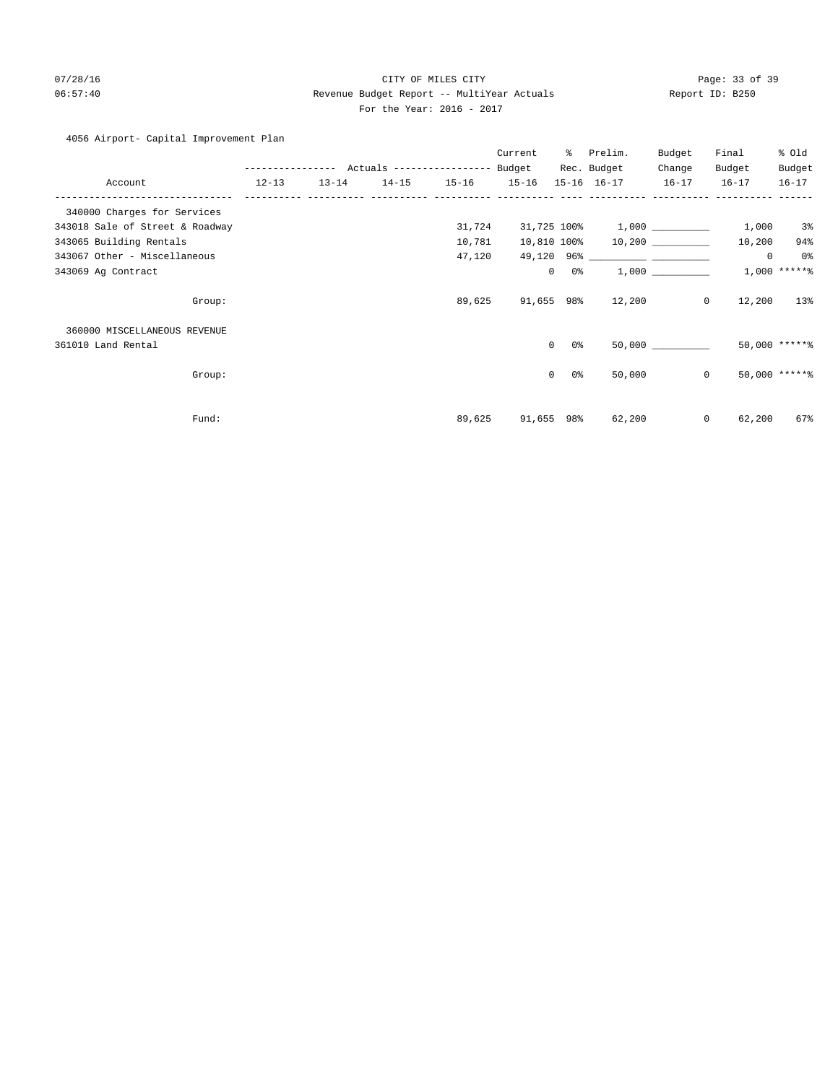# 07/28/16 Page: 33 of 39 06:57:40 Revenue Budget Report -- MultiYear Actuals Report ID: B250 For the Year: 2016 - 2017

# 4056 Airport- Capital Improvement Plan

|                                 |           |           |           |                     | Current     | ႜၟ             | Prelim.                        | Budget    | Final             | % Old           |
|---------------------------------|-----------|-----------|-----------|---------------------|-------------|----------------|--------------------------------|-----------|-------------------|-----------------|
|                                 |           |           |           |                     |             |                | Rec. Budget                    | Change    | Budget            | Budget          |
| Account                         | $12 - 13$ | $13 - 14$ | $14 - 15$ | $15 - 16$ $15 - 16$ |             |                | 15-16 16-17                    | $16 - 17$ | $16 - 17$         | $16 - 17$       |
| 340000 Charges for Services     |           |           |           |                     |             |                |                                |           |                   |                 |
| 343018 Sale of Street & Roadway |           |           |           | 31,724              |             |                | $31,725$ 100% 1,000 __________ |           | 1,000             | 3 <sup>°</sup>  |
| 343065 Building Rentals         |           |           |           | 10,781              | 10,810 100% |                |                                |           | 10,200            | 94%             |
| 343067 Other - Miscellaneous    |           |           |           | 47,120              |             |                |                                |           | $\mathbf 0$       | 0%              |
| 343069 Ag Contract              |           |           |           |                     | 0           | 0 %            |                                | 1,000     |                   | $1,000$ *****%  |
| Group:                          |           |           |           | 89,625              |             |                | 91,655 98% 12,200              |           | $\circ$<br>12,200 | 13%             |
| 360000 MISCELLANEOUS REVENUE    |           |           |           |                     |             |                |                                |           |                   |                 |
| 361010 Land Rental              |           |           |           |                     | $\Omega$    | 0 %            |                                | 50,000    |                   | $50,000$ *****% |
| Group:                          |           |           |           |                     | $\mathbf 0$ | 0 <sup>8</sup> | 50,000                         |           | $\circ$           | 50,000 ******   |
| Fund:                           |           |           |           | 89,625              | 91,655 98%  |                | 62,200                         |           | $\circ$<br>62,200 | 67%             |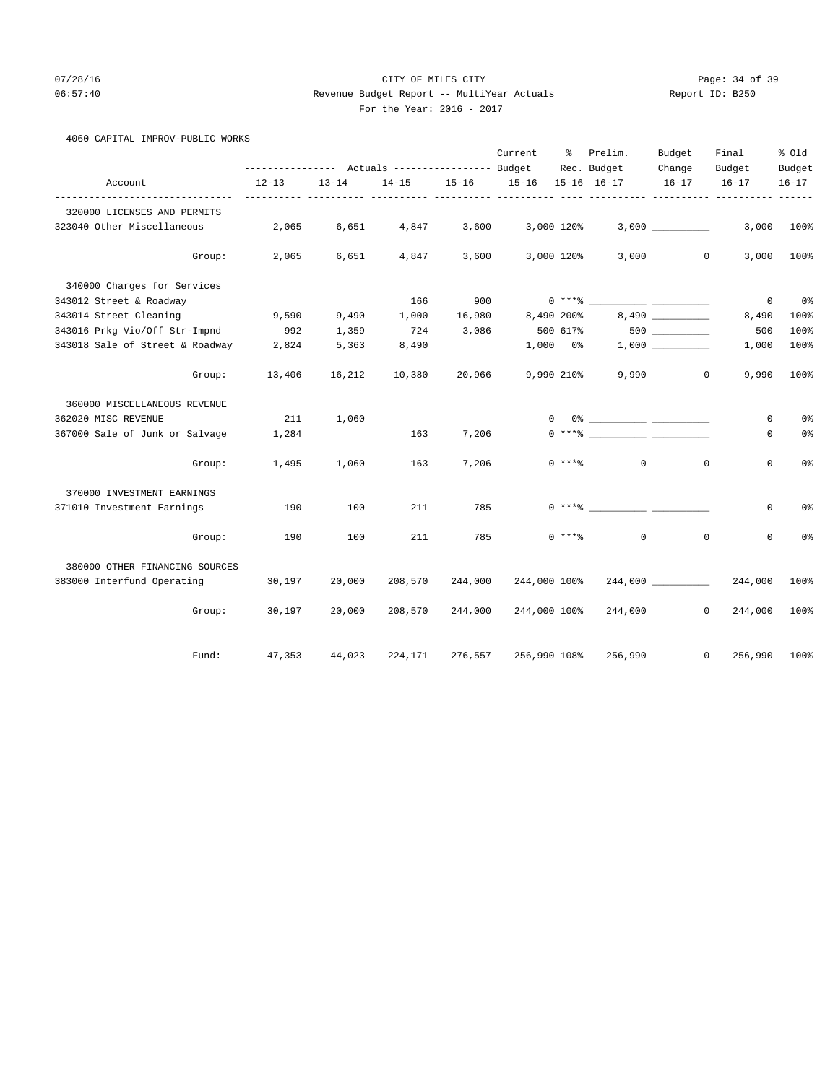# 07/28/16 Page: 34 of 39 06:57:40 Revenue Budget Report -- MultiYear Actuals Report ID: B250 For the Year: 2016 - 2017

4060 CAPITAL IMPROV-PUBLIC WORKS

|                                 |                                                       |           |         |         | Current                       | ိ          | Prelim.            | Budget    | Final                      | % Old          |
|---------------------------------|-------------------------------------------------------|-----------|---------|---------|-------------------------------|------------|--------------------|-----------|----------------------------|----------------|
|                                 | ---------------    Actuals ----------------    Budget |           |         |         |                               |            | Rec. Budget        | Change    | Budget                     | Budget         |
| Account                         | 12-13                                                 | $13 - 14$ |         |         | 14-15 15-16 15-16 15-16 16-17 |            |                    | $16 - 17$ | $16 - 17$                  | $16 - 17$      |
| 320000 LICENSES AND PERMITS     |                                                       |           |         |         |                               |            |                    |           |                            |                |
| 323040 Other Miscellaneous      | 2,065                                                 | 6,651     | 4,847   | 3,600   |                               | 3,000 120% |                    | 3,000     | 3,000                      | 100%           |
| Group:                          | 2,065                                                 | 6,651     | 4,847   | 3,600   |                               | 3,000 120% |                    | 3,000     | $\circ$<br>3,000           | 100%           |
| 340000 Charges for Services     |                                                       |           |         |         |                               |            |                    |           |                            |                |
| 343012 Street & Roadway         |                                                       |           | 166     | 900     |                               |            |                    |           | 0                          | 0 <sup>8</sup> |
| 343014 Street Cleaning          | 9,590                                                 | 9,490     | 1,000   | 16,980  |                               | 8,490 200% |                    | 8,490     | 8,490                      | 100%           |
| 343016 Prkg Vio/Off Str-Impnd   | 992                                                   | 1,359     | 724     | 3,086   | 500 617%                      |            |                    | 500       | 500                        | 100%           |
| 343018 Sale of Street & Roadway | 2,824                                                 | 5,363     | 8,490   |         |                               | $1,000$ 0% |                    |           | 1,000                      | 100%           |
| Group:                          | 13,406                                                | 16,212    | 10,380  | 20,966  | 9,990 210%                    |            | 9,990              |           | $\mathbf{0}$<br>9,990      | 100%           |
| 360000 MISCELLANEOUS REVENUE    |                                                       |           |         |         |                               |            |                    |           |                            |                |
| 362020 MISC REVENUE             | 211                                                   | 1,060     |         |         | $\mathbf 0$                   |            |                    |           | $\circ$                    | 0 <sup>8</sup> |
| 367000 Sale of Junk or Salvage  | 1,284                                                 |           | 163     | 7,206   |                               |            |                    |           | $\mathbf{0}$               | 0%             |
| Group:                          | 1,495                                                 | 1,060     | 163     | 7,206   |                               |            | $0***8$<br>$\circ$ |           | $\mathbf 0$<br>$\mathbf 0$ | 0 <sup>°</sup> |
| 370000 INVESTMENT EARNINGS      |                                                       |           |         |         |                               |            |                    |           |                            |                |
| 371010 Investment Earnings      | 190                                                   | 100       | 211     | 785     |                               |            | $0***$             |           | $\mathbf{0}$               | 0 <sup>8</sup> |
| Group:                          | 190                                                   | 100       | 211     | 785     |                               | $0***8$    | $\circ$            |           | $\mathbf 0$<br>$\mathbf 0$ | 0 <sup>°</sup> |
| 380000 OTHER FINANCING SOURCES  |                                                       |           |         |         |                               |            |                    |           |                            |                |
| 383000 Interfund Operating      | 30,197                                                | 20,000    | 208,570 | 244,000 | 244,000 100%                  |            |                    |           | 244,000                    | 100%           |
| Group:                          | 30,197                                                | 20,000    | 208,570 | 244,000 | 244,000 100%                  |            |                    | 244,000   | $\circ$<br>244,000         | 100%           |
| Fund:                           | 47,353                                                | 44,023    | 224,171 | 276,557 | 256,990 108%                  |            | 256,990            |           | $\Omega$<br>256,990        | 100%           |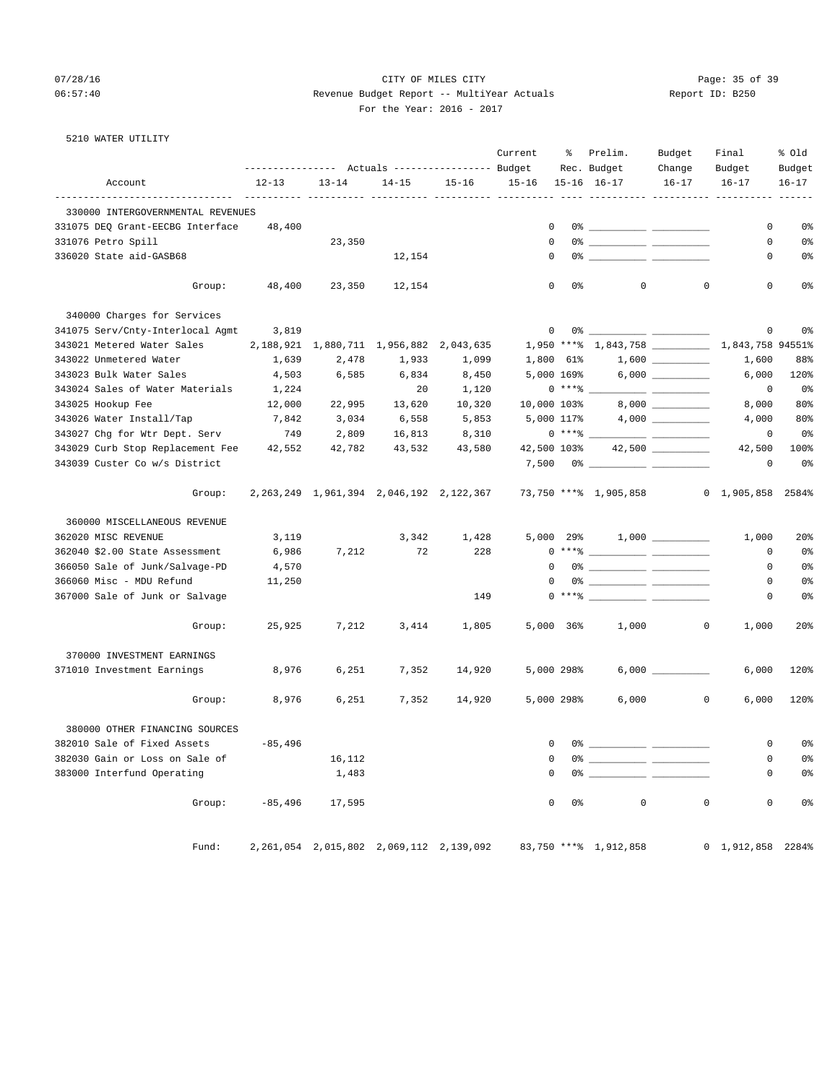5210 WATER UTILITY

# 07/28/16 Page: 35 of 39 06:57:40 Revenue Budget Report -- MultiYear Actuals Report ID: B250

Current % Prelim. Budget Final % Old

|  | For the Year: 2016 - 2017 |  |  |
|--|---------------------------|--|--|
|  |                           |  |  |

|         |           |           |           | current | Preim.                                                                  | <b>Budder</b> | r Tugi | ร ∪⊥น     |
|---------|-----------|-----------|-----------|---------|-------------------------------------------------------------------------|---------------|--------|-----------|
|         |           |           |           |         | ---------------    Actuals ----------------    Budget    Eec.    Budget | Change        | Budget | Budget    |
| Account | $12 - 13$ | $13 - 14$ | $14 - 15$ |         |                                                                         |               |        | $16 - 17$ |

| Account                           | $12 - 13$ | $13 - 14$                                       | $14 - 15$ | $15 - 16$                                       | $15 - 16$      |             | $15 - 16$ $16 - 17$                                                                                                                                                                                                                                                                                                      | $16 - 17$                                                                                                                                                                                                                                                                                                                                                                                                                                                                       | $16 - 17$                        | $16 - 17$       |
|-----------------------------------|-----------|-------------------------------------------------|-----------|-------------------------------------------------|----------------|-------------|--------------------------------------------------------------------------------------------------------------------------------------------------------------------------------------------------------------------------------------------------------------------------------------------------------------------------|---------------------------------------------------------------------------------------------------------------------------------------------------------------------------------------------------------------------------------------------------------------------------------------------------------------------------------------------------------------------------------------------------------------------------------------------------------------------------------|----------------------------------|-----------------|
| 330000 INTERGOVERNMENTAL REVENUES |           |                                                 |           |                                                 |                |             |                                                                                                                                                                                                                                                                                                                          |                                                                                                                                                                                                                                                                                                                                                                                                                                                                                 |                                  |                 |
| 331075 DEQ Grant-EECBG Interface  | 48,400    |                                                 |           |                                                 | $\mathbf 0$    |             |                                                                                                                                                                                                                                                                                                                          |                                                                                                                                                                                                                                                                                                                                                                                                                                                                                 | $\mathbf 0$                      | 0%              |
| 331076 Petro Spill                |           | 23,350                                          |           |                                                 | $\mathbf 0$    |             |                                                                                                                                                                                                                                                                                                                          |                                                                                                                                                                                                                                                                                                                                                                                                                                                                                 | $\circ$                          | 0%              |
| 336020 State aid-GASB68           |           |                                                 | 12,154    |                                                 | $\mathbf 0$    |             |                                                                                                                                                                                                                                                                                                                          |                                                                                                                                                                                                                                                                                                                                                                                                                                                                                 | 0                                | 0 <sup>8</sup>  |
|                                   |           |                                                 |           |                                                 |                |             |                                                                                                                                                                                                                                                                                                                          |                                                                                                                                                                                                                                                                                                                                                                                                                                                                                 |                                  |                 |
| Group:                            | 48,400    | 23,350                                          | 12,154    |                                                 | $\mathbf 0$    | 0%          | $\mathbf 0$                                                                                                                                                                                                                                                                                                              | $\mathbf{0}$                                                                                                                                                                                                                                                                                                                                                                                                                                                                    | $\mathbf 0$                      | 0 <sup>°</sup>  |
| 340000 Charges for Services       |           |                                                 |           |                                                 |                |             |                                                                                                                                                                                                                                                                                                                          |                                                                                                                                                                                                                                                                                                                                                                                                                                                                                 |                                  |                 |
| 341075 Serv/Cnty-Interlocal Agmt  | 3,819     |                                                 |           |                                                 | $\overline{0}$ |             |                                                                                                                                                                                                                                                                                                                          |                                                                                                                                                                                                                                                                                                                                                                                                                                                                                 | $\mathsf{O}$                     | 0 <sup>°</sup>  |
| 343021 Metered Water Sales        |           | 2, 188, 921 1, 880, 711 1, 956, 882 2, 043, 635 |           |                                                 |                |             | 1,950 *** 8 1,843,758 1,843,758 94551 8                                                                                                                                                                                                                                                                                  |                                                                                                                                                                                                                                                                                                                                                                                                                                                                                 |                                  |                 |
| 343022 Unmetered Water            | 1,639     | 2,478                                           | 1,933     | 1,099                                           |                | 1,800 61%   |                                                                                                                                                                                                                                                                                                                          |                                                                                                                                                                                                                                                                                                                                                                                                                                                                                 | 1,600                            | 88%             |
| 343023 Bulk Water Sales           | 4,503     | 6,585                                           | 6,834     | 8,450                                           |                | 5,000 169%  |                                                                                                                                                                                                                                                                                                                          |                                                                                                                                                                                                                                                                                                                                                                                                                                                                                 | 6,000                            | 120%            |
| 343024 Sales of Water Materials   | 1,224     |                                                 | 20        | 1,120                                           |                | $0***8$     |                                                                                                                                                                                                                                                                                                                          | <u> 22 mars - 23 mars 19</u>                                                                                                                                                                                                                                                                                                                                                                                                                                                    | $\mathbf 0$                      | 0%              |
| 343025 Hookup Fee                 | 12,000    | 22,995                                          | 13,620    | 10,320                                          | 10,000 103%    |             |                                                                                                                                                                                                                                                                                                                          |                                                                                                                                                                                                                                                                                                                                                                                                                                                                                 | 8,000                            | 80%             |
| 343026 Water Install/Tap          | 7,842     | 3,034                                           | 6,558     | 5,853                                           |                | 5,000 117%  |                                                                                                                                                                                                                                                                                                                          |                                                                                                                                                                                                                                                                                                                                                                                                                                                                                 | 4,000                            | 80%             |
| 343027 Chg for Wtr Dept. Serv     | 749       | 2,809                                           | 16,813    | 8,310                                           |                | $0***$ $*$  |                                                                                                                                                                                                                                                                                                                          | $\overline{\phantom{a}}$ $\overline{\phantom{a}}$ $\overline{\phantom{a}}$ $\overline{\phantom{a}}$ $\overline{\phantom{a}}$ $\overline{\phantom{a}}$ $\overline{\phantom{a}}$ $\overline{\phantom{a}}$ $\overline{\phantom{a}}$ $\overline{\phantom{a}}$ $\overline{\phantom{a}}$ $\overline{\phantom{a}}$ $\overline{\phantom{a}}$ $\overline{\phantom{a}}$ $\overline{\phantom{a}}$ $\overline{\phantom{a}}$ $\overline{\phantom{a}}$ $\overline{\phantom{a}}$ $\overline{\$ | 0                                | 0%              |
| 343029 Curb Stop Replacement Fee  | 42,552    | 42,782                                          | 43,532    | 43,580                                          | 42,500 103%    |             |                                                                                                                                                                                                                                                                                                                          |                                                                                                                                                                                                                                                                                                                                                                                                                                                                                 | 42,500                           | 100%            |
| 343039 Custer Co w/s District     |           |                                                 |           |                                                 |                |             |                                                                                                                                                                                                                                                                                                                          |                                                                                                                                                                                                                                                                                                                                                                                                                                                                                 | 0                                | 0%              |
| Group:                            |           |                                                 |           | 2, 263, 249 1, 961, 394 2, 046, 192 2, 122, 367 |                |             | 73,750 **** 1,905,858                                                                                                                                                                                                                                                                                                    |                                                                                                                                                                                                                                                                                                                                                                                                                                                                                 | $0 \quad 1,905,858 \quad 2584\%$ |                 |
| 360000 MISCELLANEOUS REVENUE      |           |                                                 |           |                                                 |                |             |                                                                                                                                                                                                                                                                                                                          |                                                                                                                                                                                                                                                                                                                                                                                                                                                                                 |                                  |                 |
| 362020 MISC REVENUE               | 3,119     |                                                 | 3,342     | 1,428                                           |                | $5,000$ 29% |                                                                                                                                                                                                                                                                                                                          |                                                                                                                                                                                                                                                                                                                                                                                                                                                                                 | 1,000                            | 20 <sup>8</sup> |
| 362040 \$2.00 State Assessment    | 6,986     | 7,212                                           | 72        | 228                                             |                |             | $0***$ $\frac{1}{2}$                                                                                                                                                                                                                                                                                                     |                                                                                                                                                                                                                                                                                                                                                                                                                                                                                 | 0                                | 0%              |
| 366050 Sale of Junk/Salvage-PD    | 4,570     |                                                 |           |                                                 | $\Omega$       |             |                                                                                                                                                                                                                                                                                                                          |                                                                                                                                                                                                                                                                                                                                                                                                                                                                                 | $\mathbf 0$                      | 0%              |
| 366060 Misc - MDU Refund          | 11,250    |                                                 |           |                                                 | $\mathbf 0$    |             |                                                                                                                                                                                                                                                                                                                          |                                                                                                                                                                                                                                                                                                                                                                                                                                                                                 | $\mathbf 0$                      | 0%              |
| 367000 Sale of Junk or Salvage    |           |                                                 |           | 149                                             |                |             | $0***$ $\frac{1}{2}$ $\frac{1}{2}$ $\frac{1}{2}$ $\frac{1}{2}$ $\frac{1}{2}$ $\frac{1}{2}$ $\frac{1}{2}$ $\frac{1}{2}$ $\frac{1}{2}$ $\frac{1}{2}$ $\frac{1}{2}$ $\frac{1}{2}$ $\frac{1}{2}$ $\frac{1}{2}$ $\frac{1}{2}$ $\frac{1}{2}$ $\frac{1}{2}$ $\frac{1}{2}$ $\frac{1}{2}$ $\frac{1}{2}$ $\frac{1}{2}$ $\frac{1}{$ |                                                                                                                                                                                                                                                                                                                                                                                                                                                                                 | $\mathbf 0$                      | 0 <sup>°</sup>  |
| Group:                            | 25,925    | 7,212                                           | 3,414     | 1,805                                           |                | 5,000 36%   | 1,000                                                                                                                                                                                                                                                                                                                    | $\overline{0}$                                                                                                                                                                                                                                                                                                                                                                                                                                                                  | 1,000                            | 20%             |
| 370000 INVESTMENT EARNINGS        |           |                                                 |           |                                                 |                |             |                                                                                                                                                                                                                                                                                                                          |                                                                                                                                                                                                                                                                                                                                                                                                                                                                                 |                                  |                 |
| 371010 Investment Earnings        | 8,976     | 6,251                                           | 7,352     | 14,920                                          |                | 5,000 298%  |                                                                                                                                                                                                                                                                                                                          | $6,000$                                                                                                                                                                                                                                                                                                                                                                                                                                                                         | 6,000                            | 120%            |
| Group:                            | 8,976     | 6,251                                           | 7,352     | 14,920                                          | 5,000 298%     |             | 6,000                                                                                                                                                                                                                                                                                                                    | $\circ$                                                                                                                                                                                                                                                                                                                                                                                                                                                                         | 6,000                            | 120%            |
| 380000 OTHER FINANCING SOURCES    |           |                                                 |           |                                                 |                |             |                                                                                                                                                                                                                                                                                                                          |                                                                                                                                                                                                                                                                                                                                                                                                                                                                                 |                                  |                 |
| 382010 Sale of Fixed Assets       | $-85,496$ |                                                 |           |                                                 | 0              |             |                                                                                                                                                                                                                                                                                                                          |                                                                                                                                                                                                                                                                                                                                                                                                                                                                                 | 0                                | 0%              |
| 382030 Gain or Loss on Sale of    |           | 16,112                                          |           |                                                 | $\Omega$       |             |                                                                                                                                                                                                                                                                                                                          |                                                                                                                                                                                                                                                                                                                                                                                                                                                                                 | $\mathbf 0$                      | 0%              |
| 383000 Interfund Operating        |           | 1,483                                           |           |                                                 | 0              |             |                                                                                                                                                                                                                                                                                                                          |                                                                                                                                                                                                                                                                                                                                                                                                                                                                                 | 0                                | 0 <sup>8</sup>  |
|                                   |           |                                                 |           |                                                 |                |             |                                                                                                                                                                                                                                                                                                                          |                                                                                                                                                                                                                                                                                                                                                                                                                                                                                 |                                  |                 |
| Group:                            | $-85,496$ | 17,595                                          |           |                                                 | $\mathbf 0$    | 0%          | $\mathbf 0$                                                                                                                                                                                                                                                                                                              | $\mathbf 0$                                                                                                                                                                                                                                                                                                                                                                                                                                                                     | $\mathbf 0$                      | 0 <sup>8</sup>  |
| Fund:                             |           | 2, 261, 054 2, 015, 802 2, 069, 112 2, 139, 092 |           |                                                 |                |             | 83,750 *** 8 1,912,858                                                                                                                                                                                                                                                                                                   |                                                                                                                                                                                                                                                                                                                                                                                                                                                                                 | $0\quad 1,912,858$               | 2284%           |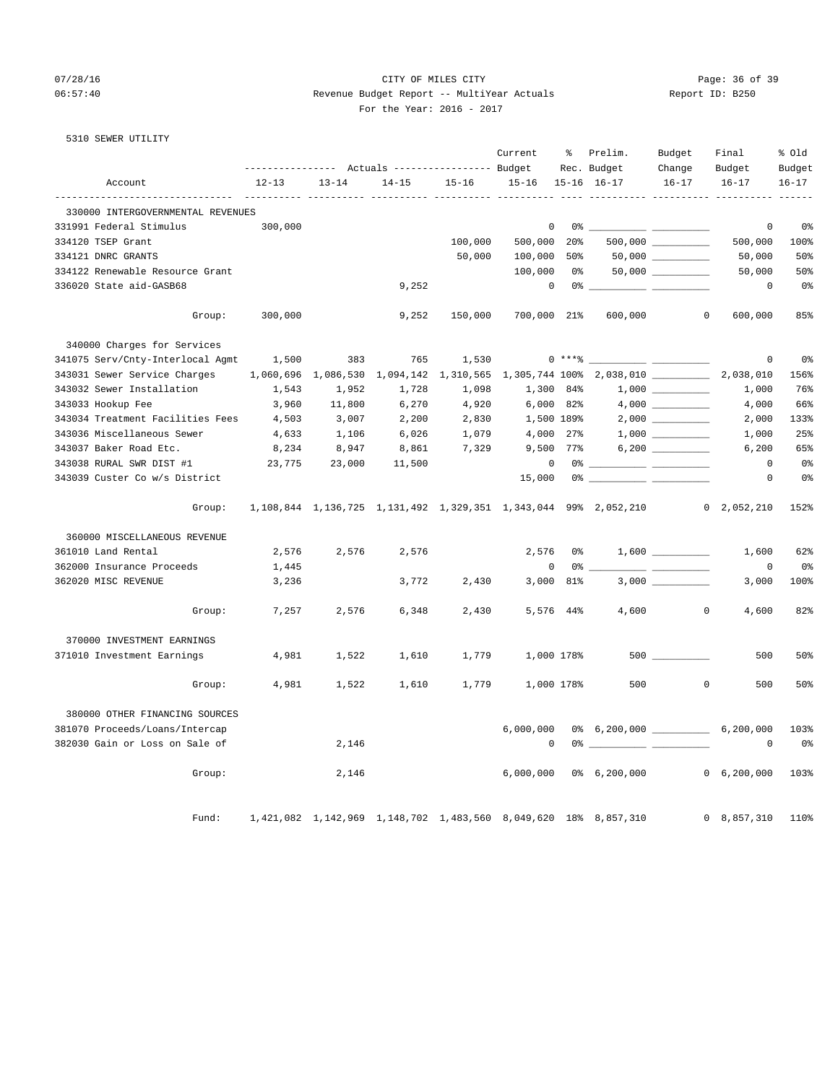### 07/28/16 CITY OF MILES CITY Page: 36 of 39 06:57:40 Revenue Budget Report -- MultiYear Actuals Report ID: B250 For the Year: 2016 - 2017

5310 SEWER UTILITY

|                                                                     | --------------- Actuals ---------------- Budget |           |                                                                 |                 | Current           | ိ          | Prelim.<br>Rec. Budget                                                                                                                                                                                                                                                                                                 | Budget<br>Change         | Final<br>Budget | % Old<br>Budget |
|---------------------------------------------------------------------|-------------------------------------------------|-----------|-----------------------------------------------------------------|-----------------|-------------------|------------|------------------------------------------------------------------------------------------------------------------------------------------------------------------------------------------------------------------------------------------------------------------------------------------------------------------------|--------------------------|-----------------|-----------------|
| Account                                                             | $12 - 13$                                       | $13 - 14$ |                                                                 | $14-15$ $15-16$ | 15-16 15-16 16-17 |            |                                                                                                                                                                                                                                                                                                                        | $16 - 17$                | $16 - 17$       | $16 - 17$       |
| ------------------------------<br>330000 INTERGOVERNMENTAL REVENUES |                                                 |           |                                                                 |                 |                   |            |                                                                                                                                                                                                                                                                                                                        |                          |                 | $- - - -$       |
| 331991 Federal Stimulus                                             | 300,000                                         |           |                                                                 |                 | 0                 |            | 0 %                                                                                                                                                                                                                                                                                                                    |                          | $\mathsf 0$     | 0 <sub>8</sub>  |
| 334120 TSEP Grant                                                   |                                                 |           |                                                                 | 100,000         | 500,000           | $20\%$     |                                                                                                                                                                                                                                                                                                                        | $500,000$ ___________    | 500,000         | 100%            |
| 334121 DNRC GRANTS                                                  |                                                 |           |                                                                 | 50,000          | 100,000           | 50%        |                                                                                                                                                                                                                                                                                                                        | $50,000$ _________       | 50,000          | 50%             |
| 334122 Renewable Resource Grant                                     |                                                 |           |                                                                 |                 | 100,000           | 0%         |                                                                                                                                                                                                                                                                                                                        | $50,000$ __________      | 50,000          | 50%             |
| 336020 State aid-GASB68                                             |                                                 |           | 9,252                                                           |                 | $\mathbf 0$       |            |                                                                                                                                                                                                                                                                                                                        | $\overline{\phantom{a}}$ | $\mathbf 0$     | 0 <sub>8</sub>  |
| Group:                                                              | 300,000                                         |           | 9,252                                                           | 150,000         |                   |            | 700,000 21% 600,000                                                                                                                                                                                                                                                                                                    | $\sim$ 0                 | 600,000         | 85%             |
| 340000 Charges for Services                                         |                                                 |           |                                                                 |                 |                   |            |                                                                                                                                                                                                                                                                                                                        |                          |                 |                 |
| 341075 Serv/Cnty-Interlocal Agmt                                    | 1,500                                           | 383       | 765                                                             | 1,530           |                   | $0***$ $*$ | $\overline{\phantom{a}}$                                                                                                                                                                                                                                                                                               |                          | $\mathbf 0$     | 0 <sub>8</sub>  |
| 343031 Sewer Service Charges                                        |                                                 |           |                                                                 |                 |                   |            | 1,060,696 1,086,530 1,094,142 1,310,565 1,305,744 100% 2,038,010 _________                                                                                                                                                                                                                                             |                          | 2,038,010       | 156%            |
| 343032 Sewer Installation                                           | 1,543                                           | 1,952     | 1,728                                                           | 1,098           | 1,300 84%         |            |                                                                                                                                                                                                                                                                                                                        |                          | 1,000           | 76%             |
| 343033 Hookup Fee                                                   | 3,960                                           | 11,800    | 6,270                                                           | 4,920           | 6,000 82%         |            |                                                                                                                                                                                                                                                                                                                        |                          | 4,000           | 66%             |
| 343034 Treatment Facilities Fees                                    | 4,503                                           | 3,007     | 2,200                                                           | 2,830           | 1,500 189%        |            |                                                                                                                                                                                                                                                                                                                        |                          | 2,000           | 133%            |
| 343036 Miscellaneous Sewer                                          | 4,633                                           | 1,106     | 6,026                                                           | 1,079           | 4,000 27%         |            |                                                                                                                                                                                                                                                                                                                        |                          | 1,000           | 25%             |
| 343037 Baker Road Etc.                                              | 8,234                                           | 8,947     | 8,861                                                           | 7,329           | 9,500 77%         |            |                                                                                                                                                                                                                                                                                                                        |                          | 6,200           | 65%             |
| 343038 RURAL SWR DIST #1                                            | 23,775                                          | 23,000    | 11,500                                                          |                 | $\mathbf 0$       |            |                                                                                                                                                                                                                                                                                                                        |                          | $\mathbf 0$     | 0 <sup>°</sup>  |
| 343039 Custer Co w/s District                                       |                                                 |           |                                                                 |                 | 15,000            |            | $0$ $\frac{1}{2}$ $\frac{1}{2}$ $\frac{1}{2}$ $\frac{1}{2}$ $\frac{1}{2}$ $\frac{1}{2}$ $\frac{1}{2}$ $\frac{1}{2}$ $\frac{1}{2}$ $\frac{1}{2}$ $\frac{1}{2}$ $\frac{1}{2}$ $\frac{1}{2}$ $\frac{1}{2}$ $\frac{1}{2}$ $\frac{1}{2}$ $\frac{1}{2}$ $\frac{1}{2}$ $\frac{1}{2}$ $\frac{1}{2}$ $\frac{1}{2}$ $\frac{1}{2$ |                          | 0               | 0 <sub>8</sub>  |
| Group:                                                              |                                                 |           |                                                                 |                 |                   |            | 1,108,844 1,136,725 1,131,492 1,329,351 1,343,044 99% 2,052,210 0 2,052,210                                                                                                                                                                                                                                            |                          |                 | 152%            |
| 360000 MISCELLANEOUS REVENUE                                        |                                                 |           |                                                                 |                 |                   |            |                                                                                                                                                                                                                                                                                                                        |                          |                 |                 |
| 361010 Land Rental                                                  | 2,576                                           | 2,576     | 2,576                                                           |                 | 2,576             | 0%         |                                                                                                                                                                                                                                                                                                                        |                          | 1,600           | 62%             |
| 362000 Insurance Proceeds                                           | 1,445                                           |           |                                                                 |                 | 0                 |            | $0*$ __                                                                                                                                                                                                                                                                                                                |                          | 0               | 0%              |
| 362020 MISC REVENUE                                                 | 3,236                                           |           | 3,772                                                           | 2,430           | 3,000             | 81%        |                                                                                                                                                                                                                                                                                                                        | 3,000                    | 3,000           | 100%            |
| Group:                                                              | 7,257                                           | 2,576     | 6,348                                                           | 2,430           |                   | 5,576 44%  | 4,600                                                                                                                                                                                                                                                                                                                  | $\sim$ 0                 | 4,600           | 82%             |
| 370000 INVESTMENT EARNINGS                                          |                                                 |           |                                                                 |                 |                   |            |                                                                                                                                                                                                                                                                                                                        |                          |                 |                 |
| 371010 Investment Earnings                                          | 4,981                                           | 1,522     | 1,610                                                           | 1,779           | 1,000 178%        |            |                                                                                                                                                                                                                                                                                                                        |                          | 500             | 50%             |
| Group:                                                              | 4,981                                           | 1,522     | 1,610                                                           | 1,779           | 1,000 178%        |            | 500                                                                                                                                                                                                                                                                                                                    | $\overline{0}$           | 500             | 50%             |
| 380000 OTHER FINANCING SOURCES                                      |                                                 |           |                                                                 |                 |                   |            |                                                                                                                                                                                                                                                                                                                        |                          |                 |                 |
| 381070 Proceeds/Loans/Intercap                                      |                                                 |           |                                                                 |                 | 6,000,000         |            | 0% 6,200,000 ____________ 6,200,000                                                                                                                                                                                                                                                                                    |                          |                 | 103%            |
| 382030 Gain or Loss on Sale of                                      |                                                 | 2,146     |                                                                 |                 | 0                 |            |                                                                                                                                                                                                                                                                                                                        |                          | $\mathbf 0$     | 0%              |
| Group:                                                              |                                                 | 2,146     |                                                                 |                 |                   |            | $6,000,000$ $0$ % $6,200,000$                                                                                                                                                                                                                                                                                          |                          | 0, 6, 200, 000  | 103%            |
| Fund:                                                               |                                                 |           | 1,421,082 1,142,969 1,148,702 1,483,560 8,049,620 18% 8,857,310 |                 |                   |            |                                                                                                                                                                                                                                                                                                                        |                          | 0 8,857,310     | 110%            |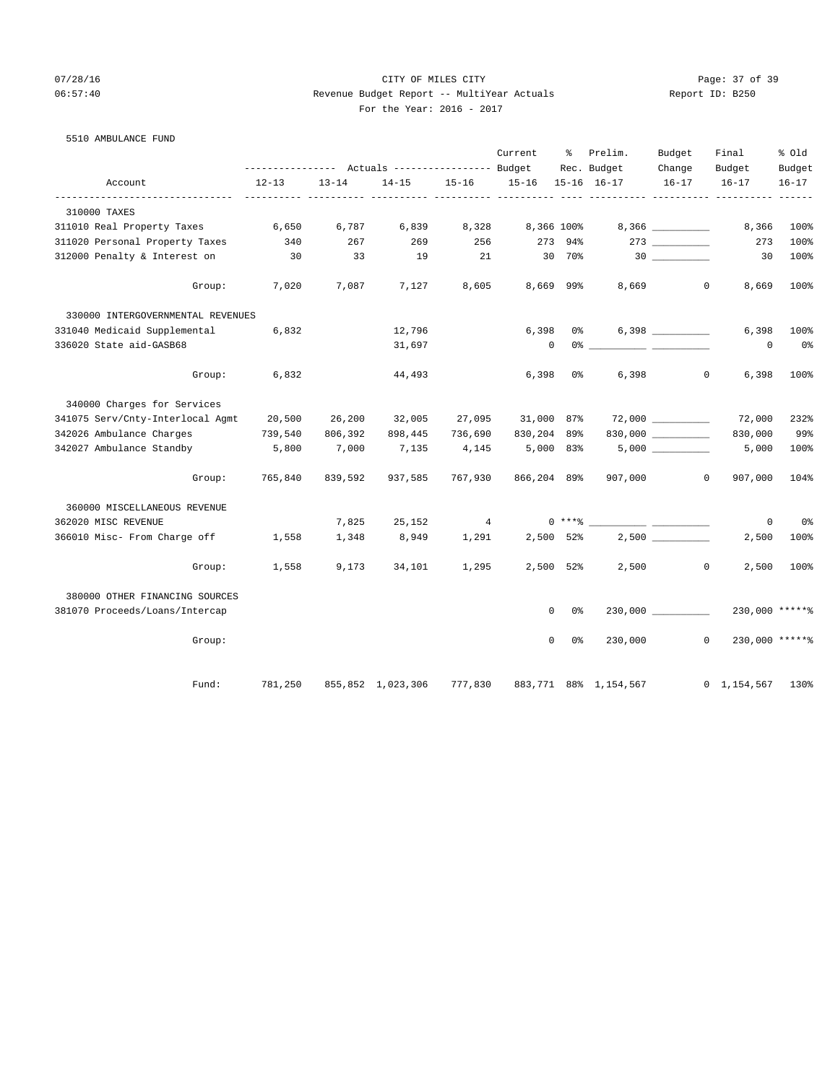# 07/28/16 Page: 37 of 39 06:57:40 Revenue Budget Report -- MultiYear Actuals Report ID: B250 For the Year: 2016 - 2017

| 5510 AMBULANCE FUND               |           |           |                           |                |             |                     |                       |                      |                                |                |
|-----------------------------------|-----------|-----------|---------------------------|----------------|-------------|---------------------|-----------------------|----------------------|--------------------------------|----------------|
|                                   |           |           |                           |                | Current     |                     | % Prelim.             | Budget               | Final                          | % Old          |
|                                   |           |           |                           |                |             |                     | Rec. Budget           | Change               | Budget                         | Budget         |
| Account                           | $12 - 13$ | $13 - 14$ | $14 - 15$                 | $15 - 16$      | $15 - 16$   |                     | 15-16 16-17           | $16 - 17$            | $16 - 17$                      | $16 - 17$      |
| 310000 TAXES                      |           |           |                           |                |             |                     |                       |                      |                                |                |
| 311010 Real Property Taxes        | 6,650     | 6,787     | 6,839                     | 8,328          |             | 8,366 100%          |                       | 8,366                | 8,366                          | 100%           |
| 311020 Personal Property Taxes    | 340       | 267       | 269                       | 256            |             | 273 94%             |                       |                      | 273                            | 100%           |
| 312000 Penalty & Interest on      | 30        | 33        | 19                        | 21             |             | 30 70%              |                       |                      | 30                             | 100%           |
| Group:                            | 7,020     | 7,087     | 7,127                     | 8,605          |             | 8,669 99%           | 8,669                 | $\mathbf{0}$         | 8,669                          | 100%           |
| 330000 INTERGOVERNMENTAL REVENUES |           |           |                           |                |             |                     |                       |                      |                                |                |
| 331040 Medicaid Supplemental      | 6,832     |           | 12,796                    |                | 6,398       |                     | $0\%$ and $0\%$       |                      | 6,398                          | 100%           |
| 336020 State aid-GASB68           |           |           | 31,697                    |                | $\mathbf 0$ |                     |                       |                      | $\mathbf 0$                    | 0 <sup>°</sup> |
| Group:                            | 6,832     |           | 44,493                    |                | 6,398       | 0%                  | 6,398                 | $\mathbf{0}$         | 6,398                          | 100%           |
| 340000 Charges for Services       |           |           |                           |                |             |                     |                       |                      |                                |                |
| 341075 Serv/Cnty-Interlocal Agmt  | 20,500    | 26,200    | 32,005                    | 27,095         | 31,000 87%  |                     |                       |                      | 72,000                         | 232%           |
| 342026 Ambulance Charges          | 739,540   | 806,392   | 898,445                   | 736,690        | 830,204     | 89%                 |                       |                      | 830,000                        | 99%            |
| 342027 Ambulance Standby          | 5,800     | 7,000     | 7,135                     | 4,145          |             | 5,000 83%           |                       |                      | 5,000                          | 100%           |
| Group:                            | 765,840   | 839,592   | 937,585                   | 767,930        | 866,204 89% |                     | 907,000               | $\mathbf{0}$         | 907,000                        | 104%           |
| 360000 MISCELLANEOUS REVENUE      |           |           |                           |                |             |                     |                       |                      |                                |                |
| 362020 MISC REVENUE               |           | 7,825     | 25,152                    | $\overline{4}$ |             | $0***8$             |                       |                      | 0                              | 0%             |
| 366010 Misc- From Charge off      | 1,558     | 1,348     | 8,949                     | 1,291          |             | 2,500 52%           |                       |                      | 2,500                          | 100%           |
| Group:                            | 1,558     | 9,173     | 34,101                    | 1,295          |             | 2,500 52%           | 2,500                 | $\circ$              | 2,500                          | 100%           |
| 380000 OTHER FINANCING SOURCES    |           |           |                           |                |             |                     |                       |                      |                                |                |
| 381070 Proceeds/Loans/Intercap    |           |           |                           |                |             | $\mathbf{0}$<br>0 % |                       | $230,000$ __________ | 230,000 ******                 |                |
| Group:                            |           |           |                           |                |             | $\mathbf 0$<br>0%   | 230,000               | $\mathbf{0}$         | 230,000 ******                 |                |
| Fund:                             | 781,250   |           | 855,852 1,023,306 777,830 |                |             |                     | 883,771 88% 1,154,567 |                      | $0 \quad 1,154,567 \quad 130\$ |                |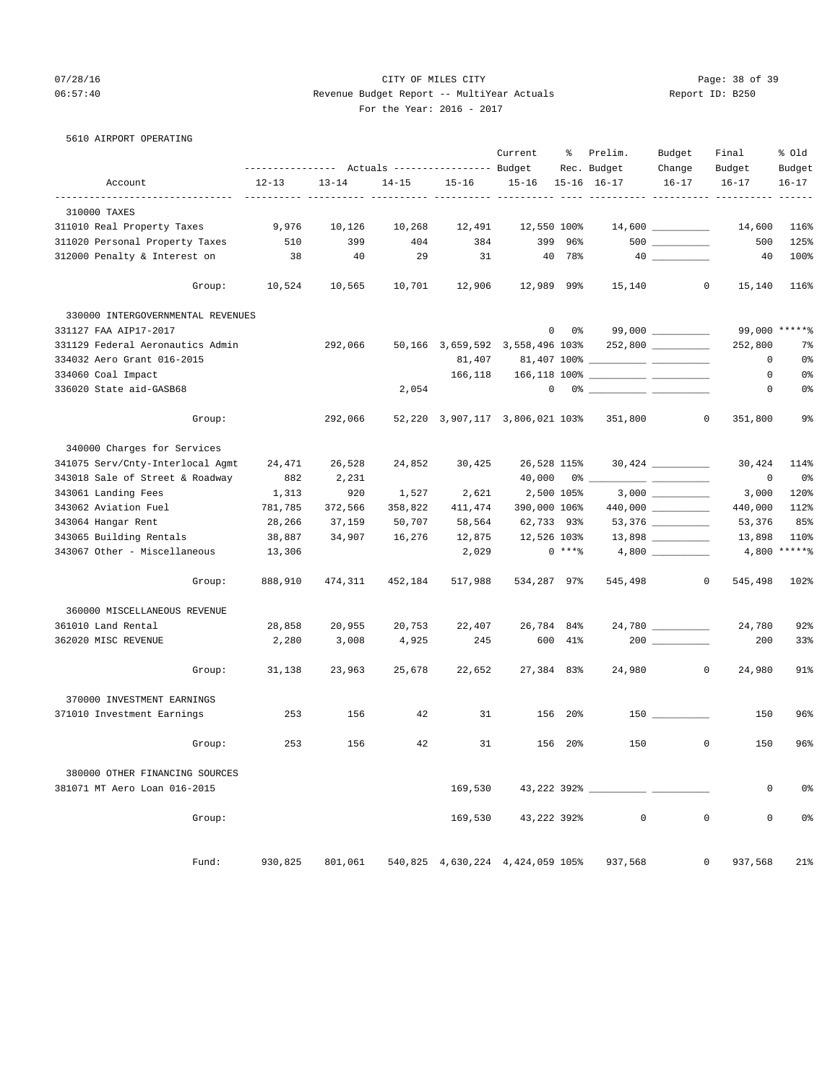# 07/28/16 Page: 38 of 39 06:57:40 Revenue Budget Report -- MultiYear Actuals Report ID: B250 For the Year: 2016 - 2017

|  | 5610 AIRPORT OPERATING |
|--|------------------------|
|  |                        |

|                                   | ---------------    Actuals ----------------    Budget |           |           | Current                          | ៖             | Prelim.<br>Rec. Budget | Budget<br>Change                                                                                                                                                                                                                                                                                                                                                   | Final<br>Budget                                                                                                                                                                                                                                                                                                                                                                                                       | % old<br>Budget         |                |
|-----------------------------------|-------------------------------------------------------|-----------|-----------|----------------------------------|---------------|------------------------|--------------------------------------------------------------------------------------------------------------------------------------------------------------------------------------------------------------------------------------------------------------------------------------------------------------------------------------------------------------------|-----------------------------------------------------------------------------------------------------------------------------------------------------------------------------------------------------------------------------------------------------------------------------------------------------------------------------------------------------------------------------------------------------------------------|-------------------------|----------------|
| Account                           | $12 - 13$                                             | $13 - 14$ | $14 - 15$ | $15 - 16$                        | $15 - 16$     |                        | $15 - 16$ $16 - 17$                                                                                                                                                                                                                                                                                                                                                | $16 - 17$                                                                                                                                                                                                                                                                                                                                                                                                             | $16 - 17$               | $16 - 17$      |
| 310000 TAXES                      |                                                       |           |           | ----- ----                       |               |                        |                                                                                                                                                                                                                                                                                                                                                                    |                                                                                                                                                                                                                                                                                                                                                                                                                       |                         |                |
| 311010 Real Property Taxes        | 9,976                                                 | 10,126    | 10,268    | 12,491                           | 12,550 100%   |                        |                                                                                                                                                                                                                                                                                                                                                                    |                                                                                                                                                                                                                                                                                                                                                                                                                       | 14,600                  | 116%           |
| 311020 Personal Property Taxes    | 510                                                   | 399       | 404       | 384                              | 399           | 96%                    |                                                                                                                                                                                                                                                                                                                                                                    |                                                                                                                                                                                                                                                                                                                                                                                                                       | 500                     | 125%           |
| 312000 Penalty & Interest on      | 38                                                    | 40        | 29        | 31                               | 40            | 78%                    |                                                                                                                                                                                                                                                                                                                                                                    |                                                                                                                                                                                                                                                                                                                                                                                                                       | 40                      | 100%           |
| Group:                            | 10,524                                                | 10,565    | 10,701    | 12,906                           | 12,989 99%    |                        | 15,140                                                                                                                                                                                                                                                                                                                                                             |                                                                                                                                                                                                                                                                                                                                                                                                                       | $\circ$<br>15,140       | 116%           |
| 330000 INTERGOVERNMENTAL REVENUES |                                                       |           |           |                                  |               |                        |                                                                                                                                                                                                                                                                                                                                                                    |                                                                                                                                                                                                                                                                                                                                                                                                                       |                         |                |
| 331127 FAA AIP17-2017             |                                                       |           |           |                                  |               | 0<br>0 <sup>o</sup>    |                                                                                                                                                                                                                                                                                                                                                                    |                                                                                                                                                                                                                                                                                                                                                                                                                       |                         | 99,000 ******  |
| 331129 Federal Aeronautics Admin  |                                                       | 292,066   |           | 50,166 3,659,592 3,558,496 103%  |               |                        |                                                                                                                                                                                                                                                                                                                                                                    |                                                                                                                                                                                                                                                                                                                                                                                                                       | 252,800                 | $7\%$          |
| 334032 Aero Grant 016-2015        |                                                       |           |           | 81,407                           |               |                        |                                                                                                                                                                                                                                                                                                                                                                    |                                                                                                                                                                                                                                                                                                                                                                                                                       | 0                       | 0%             |
| 334060 Coal Impact                |                                                       |           |           |                                  |               |                        |                                                                                                                                                                                                                                                                                                                                                                    |                                                                                                                                                                                                                                                                                                                                                                                                                       | 0                       | 0%             |
| 336020 State aid-GASB68           |                                                       |           | 2,054     |                                  |               |                        | $\begin{picture}(150,10) \put(0,0){\vector(1,0){100}} \put(15,0){\vector(1,0){100}} \put(15,0){\vector(1,0){100}} \put(15,0){\vector(1,0){100}} \put(15,0){\vector(1,0){100}} \put(15,0){\vector(1,0){100}} \put(15,0){\vector(1,0){100}} \put(15,0){\vector(1,0){100}} \put(15,0){\vector(1,0){100}} \put(15,0){\vector(1,0){100}} \put(15,0){\vector(1,0){100}}$ |                                                                                                                                                                                                                                                                                                                                                                                                                       | 0                       | 0%             |
| Group:                            |                                                       | 292,066   |           |                                  |               |                        | 52,220 3,907,117 3,806,021 103% 351,800                                                                                                                                                                                                                                                                                                                            |                                                                                                                                                                                                                                                                                                                                                                                                                       | $\circ$<br>351,800      | 9%             |
| 340000 Charges for Services       |                                                       |           |           |                                  |               |                        |                                                                                                                                                                                                                                                                                                                                                                    |                                                                                                                                                                                                                                                                                                                                                                                                                       |                         |                |
| 341075 Serv/Cnty-Interlocal Agmt  | 24,471                                                | 26,528    | 24,852    | 30,425                           | 26,528 115%   |                        |                                                                                                                                                                                                                                                                                                                                                                    |                                                                                                                                                                                                                                                                                                                                                                                                                       | 30,424                  | 114%           |
| 343018 Sale of Street & Roadway   | 882                                                   | 2,231     |           |                                  | 40,000        |                        |                                                                                                                                                                                                                                                                                                                                                                    | $\frac{1}{1-\frac{1}{1-\frac{1}{1-\frac{1}{1-\frac{1}{1-\frac{1}{1-\frac{1}{1-\frac{1}{1-\frac{1}{1-\frac{1}{1-\frac{1}{1-\frac{1}{1-\frac{1}{1-\frac{1}{1-\frac{1}{1-\frac{1}{1-\frac{1}{1-\frac{1}{1-\frac{1}{1-\frac{1}{1-\frac{1}{1-\frac{1}{1-\frac{1}{1-\frac{1}{1-\frac{1}{1-\frac{1}{1-\frac{1}{1-\frac{1}{1-\frac{1}{1-\frac{1}{1-\frac{1}{1-\frac{1}{1-\frac{1}{1-\frac{1}{1-\frac{1}{1-\frac{1}{1-\frac{1$ | 0                       | 0%             |
| 343061 Landing Fees               | 1,313                                                 | 920       | 1,527     | 2,621                            |               | 2,500 105%             |                                                                                                                                                                                                                                                                                                                                                                    |                                                                                                                                                                                                                                                                                                                                                                                                                       | 3,000                   | 120%           |
| 343062 Aviation Fuel              | 781,785                                               | 372,566   | 358,822   | 411,474                          | 390,000 106%  |                        |                                                                                                                                                                                                                                                                                                                                                                    |                                                                                                                                                                                                                                                                                                                                                                                                                       | 440,000                 | 112%           |
| 343064 Hangar Rent                | 28,266                                                | 37,159    | 50,707    | 58,564                           | 62,733 93%    |                        |                                                                                                                                                                                                                                                                                                                                                                    |                                                                                                                                                                                                                                                                                                                                                                                                                       | 53,376                  | 85%            |
| 343065 Building Rentals           | 38,887                                                | 34,907    | 16,276    | 12,875                           | 12,526 103%   |                        |                                                                                                                                                                                                                                                                                                                                                                    |                                                                                                                                                                                                                                                                                                                                                                                                                       | 13,898                  | 110%           |
| 343067 Other - Miscellaneous      | 13,306                                                |           |           | 2,029                            |               | $0***8$                |                                                                                                                                                                                                                                                                                                                                                                    | $4,800$ __________                                                                                                                                                                                                                                                                                                                                                                                                    |                         | $4,800$ *****% |
| Group:                            | 888,910                                               | 474,311   | 452,184   | 517,988                          | 534,287 97%   |                        | 545,498                                                                                                                                                                                                                                                                                                                                                            |                                                                                                                                                                                                                                                                                                                                                                                                                       | $\mathbf{0}$<br>545,498 | 102%           |
| 360000 MISCELLANEOUS REVENUE      |                                                       |           |           |                                  |               |                        |                                                                                                                                                                                                                                                                                                                                                                    |                                                                                                                                                                                                                                                                                                                                                                                                                       |                         |                |
| 361010 Land Rental                | 28,858                                                | 20,955    | 20,753    | 22,407                           | 26,784 84%    |                        |                                                                                                                                                                                                                                                                                                                                                                    |                                                                                                                                                                                                                                                                                                                                                                                                                       | 24,780                  | 92%            |
| 362020 MISC REVENUE               | 2,280                                                 | 3,008     | 4,925     | 245                              |               | 600 41%                |                                                                                                                                                                                                                                                                                                                                                                    |                                                                                                                                                                                                                                                                                                                                                                                                                       | 200                     | 33%            |
| Group:                            | 31,138                                                | 23,963    | 25,678    | 22,652                           | 27,384 83%    |                        | 24,980                                                                                                                                                                                                                                                                                                                                                             |                                                                                                                                                                                                                                                                                                                                                                                                                       | $\mathbf 0$<br>24,980   | 91%            |
| 370000 INVESTMENT EARNINGS        |                                                       |           |           |                                  |               |                        |                                                                                                                                                                                                                                                                                                                                                                    |                                                                                                                                                                                                                                                                                                                                                                                                                       |                         |                |
| 371010 Investment Earnings        | 253                                                   | 156       | 42        | 31                               |               | 156 20%                |                                                                                                                                                                                                                                                                                                                                                                    |                                                                                                                                                                                                                                                                                                                                                                                                                       | 150                     | 96%            |
| Group:                            | 253                                                   | 156       | 42        | 31                               |               | 156 20%                | 150                                                                                                                                                                                                                                                                                                                                                                |                                                                                                                                                                                                                                                                                                                                                                                                                       | $\mathbf 0$<br>150      | 96%            |
| 380000 OTHER FINANCING SOURCES    |                                                       |           |           |                                  |               |                        |                                                                                                                                                                                                                                                                                                                                                                    |                                                                                                                                                                                                                                                                                                                                                                                                                       |                         |                |
| 381071 MT Aero Loan 016-2015      |                                                       |           |           | 169,530                          | 43,222 392% _ |                        |                                                                                                                                                                                                                                                                                                                                                                    |                                                                                                                                                                                                                                                                                                                                                                                                                       | 0                       | 0 <sup>8</sup> |
| Group:                            |                                                       |           |           | 169,530                          | 43,222 392%   |                        | 0                                                                                                                                                                                                                                                                                                                                                                  |                                                                                                                                                                                                                                                                                                                                                                                                                       | $\mathbf 0$<br>0        | 0%             |
| Fund:                             | 930,825                                               | 801,061   |           | 540,825 4,630,224 4,424,059 105% |               |                        | 937,568                                                                                                                                                                                                                                                                                                                                                            |                                                                                                                                                                                                                                                                                                                                                                                                                       | 0<br>937,568            | 21%            |